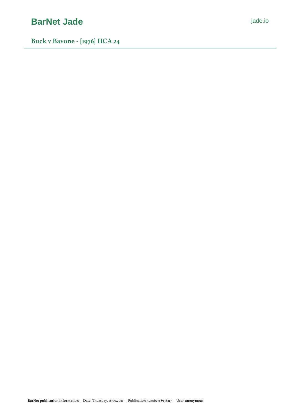# **[BarNet Jade](https://jade.io/)** *[jade.io](https://jade.io/)*

**Buck v Bavone - [1976] HCA 24**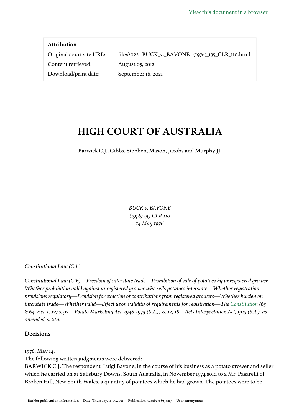| <b>Attribution</b>       |                                                     |
|--------------------------|-----------------------------------------------------|
| Original court site URL: | file://022--BUCK_v._BAVONE--(1976)_135_CLR_110.html |
| Content retrieved:       | August 05, 2012                                     |
| Download/print date:     | September 16, 2021                                  |

# **HIGH COURT OF AUSTRALIA**

Barwick C.J., Gibbs, Stephen, Mason, Jacobs and Murphy JJ.

*BUCK v. BAVONE (1976) 135 CLR 110 14 May 1976*

*Constitutional Law (Cth)*

*Constitutional Law (Cth)—Freedom of interstate trade—Prohibition of sale of potatoes by unregistered grower— Whether prohibition valid against unregistered grower who sells potatoes interstate—Whether registration provisions regulatory—Provision for exaction of contributions from registered growers—Whether burden on interstate trade—Whether valid—Effect upon validity of requirements for registration—The [Constitution](https://jade.io/article/260323)* (63 *&64 Vict. c. 12) s. 92—Potato Marketing Act, 1948-1973 (S.A.), ss. 12, 18—Acts Interpretation Act, 1915 (S.A.), as amended, s. 22a.*

## **Decisions**

1976, May 14.

The following written judgments were delivered:-

BARWICK C.J. The respondent, Luigi Bavone, in the course of his business as a potato grower and seller which he carried on at Salisbury Downs, South Australia, in November 1974 sold to a Mr. Pasarelli of Broken Hill, New South Wales, a quantity of potatoes which he had grown. The potatoes were to be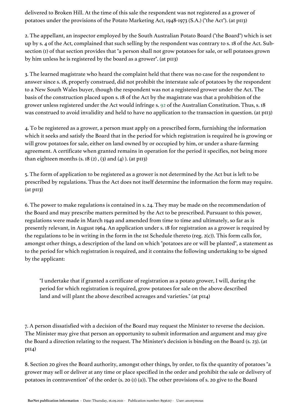delivered to Broken Hill. At the time of this sale the respondent was not registered as a grower of potatoes under the provisions of the Potato Marketing Act, 1948-1973 (S.A.) ("the Act"). (at p113)

2. The appellant, an inspector employed by the South Australian Potato Board ("the Board") which is set up by s. 4 of the Act, complained that such selling by the respondent was contrary to s. 18 of the Act. Subsection (1) of that section provides that "a person shall not grow potatoes for sale, or sell potatoes grown by him unless he is registered by the board as a grower". (at p113)

3. The learned magistrate who heard the complaint held that there was no case for the respondent to answer since s. 18, properly construed, did not prohibit the interstate sale of potatoes by the respondent to a New South Wales buyer, though the respondent was not a registered grower under the Act. The basis of the construction placed upon s. 18 of the Act by the magistrate was that a prohibition of the grower unless registered under the Act would infringe s. [92](https://jade.io/article/260323/section/2036) of the Australian Constitution. Thus, s. 18 was construed to avoid invalidity and held to have no application to the transaction in question. (at p113)

4. To be registered as a grower, a person must apply on a prescribed form, furnishing the information which it seeks and satisfy the Board that in the period for which registration is required he is growing or will grow potatoes for sale, either on land owned by or occupied by him, or under a share-farming agreement. A certificate when granted remains in operation for the period it specifies, not being more than eighteen months  $(s. 18(2), (3)$  and  $(4)$ ). (at pII3)

5. The form of application to be registered as a grower is not determined by the Act but is left to be prescribed by regulations. Thus the Act does not itself determine the information the form may require. (at p113)

6. The power to make regulations is contained in s. 24. They may be made on the recommendation of the Board and may prescribe matters permitted by the Act to be prescribed. Pursuant to this power, regulations were made in March 1949 and amended from time to time and ultimately, so far as is presently relevant, in August 1964. An application under s. 18 for registration as a grower is required by the regulations to be in writing in the form in the 1st Schedule thereto (reg. 2(c)). This form calls for, amongst other things, a description of the land on which "potatoes are or will be planted", a statement as to the period for which registration is required, and it contains the following undertaking to be signed by the applicant:

"I undertake that if granted a certificate of registration as a potato grower, I will, during the period for which registration is required, grow potatoes for sale on the above described land and will plant the above described acreages and varieties." (at pII4)

7. A person dissatisfied with a decision of the Board may request the Minister to reverse the decision. The Minister may give that person an opportunity to submit information and argument and may give the Board a direction relating to the request. The Minister's decision is binding on the Board (s. 23). (at p114)

8. Section 20 gives the Board authority, amongst other things, by order, to fix the quantity of potatoes "a grower may sell or deliver at any time or place specified in the order and prohibit the sale or delivery of potatoes in contravention" of the order (s. 20 (1) (a)). The other provisions of s. 20 give to the Board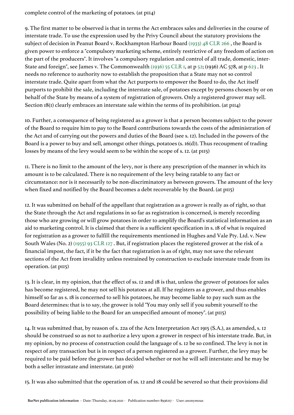complete control of the marketing of potatoes. (at p114)

9. The first matter to be observed is that in terms the Act embraces sales and deliveries in the course of interstate trade. To use the expression used by the Privy Council about the statutory provisions the subject of decision in Peanut Board v. Rockhampton Harbour Board [\(1933\) 48 CLR 266](https://jade.io/article/63627) , the Board is given power to enforce a "compulsory marketing scheme, entirely restrictive of any freedom of action on the part of the producers". It involves "a compulsory regulation and control of all trade, domestic, inter-State and foreign", see James v. The Commonwealth [\(1936\) 55 CLR 1,](https://jade.io/article/269619) at p [52](https://jade.io/article/269619/section/471); (1936) AC 578, at p [623](https://jade.io/article/269619/section/140111) . It needs no reference to authority now to establish the proposition that a State may not so control interstate trade. Quite apart from what the Act purports to empower the Board to do, the Act itself purports to prohibit the sale, including the interstate sale, of potatoes except by persons chosen by or on behalf of the State by means of a system of registration of growers. Only a registered grower may sell. Section 18(1) clearly embraces an interstate sale within the terms of its prohibition. (at p114)

10. Further, a consequence of being registered as a grower is that a person becomes subject to the power of the Board to require him to pay to the Board contributions towards the costs of the administration of the Act and of carrying out the powers and duties of the Board (see s. 12). Included in the powers of the Board is a power to buy and sell, amongst other things, potatoes (s. 16(d)). Thus recoupment of trading losses by means of the levy would seem to be within the scope of s. 12. (at p115)

11. There is no limit to the amount of the levy, nor is there any prescription of the manner in which its amount is to be calculated. There is no requirement of the levy being ratable to any fact or circumstance: nor is it necessarily to be non-discriminatory as between growers. The amount of the levy when fixed and notified by the Board becomes a debt recoverable by the Board. (at p115)

12. It was submitted on behalf of the appellant that registration as a grower is really as of right, so that the State through the Act and regulations in so far as registration is concerned, is merely recording those who are growing or will grow potatoes in order to amplify the Board's statistical information as an aid to marketing control. It is claimed that there is a sufficient specification in s. 18 of what is required for registration as a grower to fulfill the requirements mentioned in Hughes and Vale Pty. Ltd. v. New South Wales (No. 2) [\(1955\) 93 CLR 127](https://jade.io/article/65062) . But, if registration places the registered grower at the risk of a financial impost, the fact, if it be the fact that registration is as of right, may not save the relevant sections of the Act from invalidity unless restrained by construction to exclude interstate trade from its operation. (at p115)

13. It is clear, in my opinion, that the effect of ss. 12 and 18 is that, unless the grower of potatoes for sales has become registered, he may not sell his potatoes at all. If he registers as a grower, and thus enables himself so far as s. 18 is concerned to sell his potatoes, he may become liable to pay such sum as the Board determines: that is to say, the grower is told "You may only sell if you submit yourself to the possibility of being liable to the Board for an unspecified amount of money". (at p115)

14. It was submitted that, by reason of s. 22a of the Acts Interpretation Act 1915 (S.A.), as amended, s. 12 should be construed so as not to authorize a levy upon a grower in respect of his interstate trade. But, in my opinion, by no process of construction could the language of s. 12 be so confined. The levy is not in respect of any transaction but is in respect of a person registered as a grower. Further, the levy may be required to be paid before the grower has decided whether or not he will sell interstate: and he may be both a seller intrastate and interstate. (at p116)

15. It was also submitted that the operation of ss. 12 and 18 could be severed so that their provisions did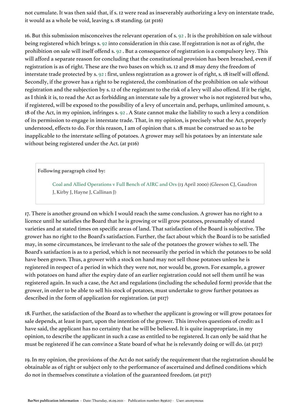not cumulate. It was then said that, if s. 12 were read as inseverably authorizing a levy on interstate trade, it would as a whole be void, leaving s. 18 standing. (at p116)

16. But this submission misconceives the relevant operation of s. [92](https://jade.io/article/260323/section/2036) . It is the prohibition on sale without being registered which brings s. [92](https://jade.io/article/260323/section/2036) into consideration in this case. If registration is not as of right, the prohibition on sale will itself offend s. [92](https://jade.io/article/260323/section/2036) . But a consequence of registration is a compulsory levy. This will afford a separate reason for concluding that the constitutional provision has been breached, even if registration is as of right. These are the two bases on which ss. 12 and 18 may deny the freedom of interstate trade protected by s. [92](https://jade.io/article/260323/section/2036) : first, unless registration as a grower is of right, s. 18 itself will offend. Secondly, if the grower has a right to be registered, the combination of the prohibition on sale without registration and the subjection by s. 12 of the registrant to the risk of a levy will also offend. If it be right, as I think it is, to read the Act as forbidding an interstate sale by a grower who is not registered but who, if registered, will be exposed to the possibility of a levy of uncertain and, perhaps, unlimited amount, s. 18 of the Act, in my opinion, infringes s. [92](https://jade.io/article/260323/section/2036) . A State cannot make the liability to such a levy a condition of its permission to engage in interstate trade. That, in my opinion, is precisely what the Act, properly understood, effects to do. For this reason, I am of opinion that s. 18 must be construed so as to be inapplicable to the interstate selling of potatoes. A grower may sell his potatoes by an interstate sale without being registered under the Act. (at p116)

**Following paragraph cited by:**

Coal and Allied Operations v Full Bench of AIRC and Ors (13 April 2000) (Gleeson CJ, Gaudron J, Kirby J, Hayne J, Callinan J)

17. There is another ground on which I would reach the same conclusion. A grower has no right to a licence until he satisfies the Board that he is growing or will grow potatoes, presumably of stated varieties and at stated times on specific areas of land. That satisfaction of the Board is subjective. The grower has no right to the Board's satisfaction. Further, the fact about which the Board is to be satisfied may, in some circumstances, be irrelevant to the sale of the potatoes the grower wishes to sell. The Board's satisfaction is as to a period, which is not necessarily the period in which the potatoes to be sold have been grown. Thus, a grower with a stock on hand may not sell those potatoes unless he is registered in respect of a period in which they were not, nor would be, grown. For example, a grower with potatoes on hand after the expiry date of an earlier registration could not sell them until he was registered again. In such a case, the Act and regulations (including the scheduled form) provide that the grower, in order to be able to sell his stock of potatoes, must undertake to grow further potatoes as described in the form of application for registration. (at p117)

18. Further, the satisfaction of the Board as to whether the applicant is growing or will grow potatoes for sale depends, at least in part, upon the intention of the grower. This involves questions of credit: as I have said, the applicant has no certainty that he will be believed. It is quite inappropriate, in my opinion, to describe the applicant in such a case as entitled to be registered. It can only be said that he must be registered if he can convince a State board of what he is relevantly doing or will do. (at p117)

19. In my opinion, the provisions of the Act do not satisfy the requirement that the registration should be obtainable as of right or subject only to the performance of ascertained and defined conditions which do not in themselves constitute a violation of the guaranteed freedom. (at p117)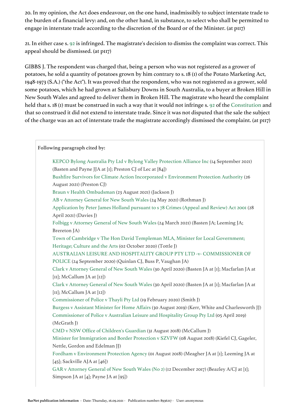20. In my opinion, the Act does endeavour, on the one hand, inadmissibly to subject interstate trade to the burden of a financial levy: and, on the other hand, in substance, to select who shall be permitted to engage in interstate trade according to the discretion of the Board or of the Minister. (at p117)

21. In either case s. [92](https://jade.io/article/260323/section/2036) is infringed. The magistrate's decision to dismiss the complaint was correct. This appeal should be dismissed. (at p117)

GIBBS J. The respondent was charged that, being a person who was not registered as a grower of potatoes, he sold a quantity of potatoes grown by him contrary to s. 18 (1) of the Potato Marketing Act, 1948-1973 (S.A.) ("the Act"). It was proved that the respondent, who was not registered as a grower, sold some potatoes, which he had grown at Salisbury Downs in South Australia, to a buyer at Broken Hill in New South Wales and agreed to deliver them in Broken Hill. The magistrate who heard the complaint held that s. 18 (1) must be construed in such a way that it would not infringe s. [92](https://jade.io/article/260323/section/2036) of the [Constitution](https://jade.io/article/260323) and that so construed it did not extend to interstate trade. Since it was not disputed that the sale the subject of the charge was an act of interstate trade the magistrate accordingly dismissed the complaint. (at p117)

# **Following paragraph cited by:**

KEPCO Bylong Australia Pty Ltd v Bylong Valley Protection Alliance Inc (14 September 2021) (Basten and Payne JJA at [1]; Preston CJ of Lec at [84]) Bushfire Survivors for Climate Action Incorporated v Environment Protection Authority (26 August 2021) (Preston CJ) Braun v Health Ombudsman (23 August 2021) (Jackson J) AB v Attorney General for New South Wales (24 May 2021) (Rothman J) Application by Peter James Holland pursuant to s 78 Crimes (Appeal and Review) Act 2001 (28 April 2021) (Davies J) Folbigg v Attorney General of New South Wales (24 March 2021) (Basten JA; Leeming JA; Brereton JA) Town of Cambridge v The Hon David Templeman MLA, Minister for Local Government; Heritage; Culture and the Arts (02 October 2020) (Tottle J) AUSTRALIAN LEISURE AND HOSPITALITY GROUP PTY LTD -v- COMMISSIONER OF POLICE (24 September 2020) (Quinlan CJ, Buss P, Vaughan JA) Clark v Attorney General of New South Wales (30 April 2020) (Basten JA at [1]; Macfarlan JA at [11]; McCallum JA at [12]) Clark v Attorney General of New South Wales (30 April 2020) (Basten JA at [1]; Macfarlan JA at [11]; McCallum JA at [12]) Commissioner of Police v Thayli Pty Ltd (19 February 2020) (Smith J) Burgess v Assistant Minister for Home Affairs (30 August 2019) (Kerr, White and Charlesworth JJ) Commissioner of Police v Australian Leisure and Hospitality Group Pty Ltd (05 April 2019) (McGrath J) CMD v NSW Office of Children's Guardian (31 August 2018) (McCallum J) Minister for Immigration and Border Protection v SZVFW (08 August 2018) (Kiefel CJ, Gageler, Nettle, Gordon and Edelman JJ) Fordham v Environment Protection Agency (01 August 2018) (Meagher JA at [1]; Leeming JA at  $[45]$ ; Sackville AJA at  $[46]$ ) GAR v Attorney General of New South Wales (No 2) (12 December 2017) (Beazley A/CJ at [1]; Simpson JA at [4]; Payne JA at [95])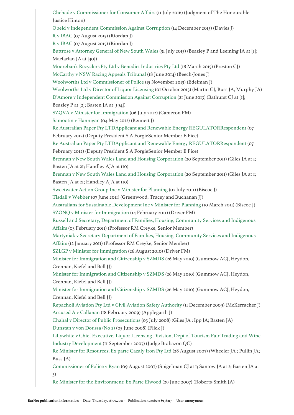Chehade v Commissioner for Consumer Affairs (11 July 2016) (Judgment of The Honourable Justice Hinton) Obeid v Independent Commission Against Corruption (14 December 2015) (Davies J) R v IBAC (07 August 2015) (Riordan J) R v IBAC (07 August 2015) (Riordan J) Buttrose v Attorney General of New South Wales (31 July 2015) (Beazley P and Leeming JA at [1]; Macfarlan JA at [30]) Moorebank Recyclers Pty Ltd v Benedict Industries Pty Ltd (18 March 2015) (Preston CJ) McCarthy v NSW Racing Appeals Tribunal (18 June 2014) (Beech-Jones J) Woolworths Ltd v Commissioner of Police (15 November 2013) (Edelman J) Woolworths Ltd v Director of Liquor Licensing (01 October 2013) (Martin CJ, Buss JA, Murphy JA) D'Amore v Independent Commission Against Corruption (21 June 2013) (Bathurst CJ at [1]; Beazley P at [2]; Basten JA at [194]) SZQVA v Minister for Immigration (06 July 2012) (Cameron FM) Samootin v Hannigan (04 May 2012) (Bennett J) Re Australian Paper Pty LTDApplicant and Renewable Energy REGULATORRespondent (07 February 2012) (Deputy President S A ForgieSenior Member E Fice) Re Australian Paper Pty LTDApplicant and Renewable Energy REGULATORRespondent (07 February 2012) (Deputy President S A ForgieSenior Member E Fice) Brennan v New South Wales Land and Housing Corporation (20 September 2011) (Giles JA at 1; Basten JA at 21; Handley AJA at 110) Brennan v New South Wales Land and Housing Corporation (20 September 2011) (Giles JA at 1; Basten JA at 21; Handley AJA at 110) Sweetwater Action Group Inc v Minister for Planning (07 July 2011) (Biscoe J) Tisdall v Webber (07 June 2011) (Greenwood, Tracey and Buchanan JJ) Australians for Sustainable Development Inc v Minister for Planning (10 March 2011) (Biscoe J) SZONQ v Minister for Immigration (14 February 2011) (Driver FM) Russell and Secretary, Department of Families, Housing, Community Services and Indigenous Affairs (03 February 2011) (Professor RM Creyke, Senior Member) Martyniak v Secretary Department of Families, Housing, Community Services and Indigenous Affairs (12 January 2011) (Professor RM Creyke, Senior Member) SZLGP v Minister for Immigration (26 August 2010) (Driver FM) Minister for Immigration and Citizenship v SZMDS (26 May 2010) (Gummow ACJ, Heydon, Crennan, Kiefel and Bell JJ) Minister for Immigration and Citizenship v SZMDS (26 May 2010) (Gummow ACJ, Heydon, Crennan, Kiefel and Bell JJ) Minister for Immigration and Citizenship v SZMDS (26 May 2010) (Gummow ACJ, Heydon, Crennan, Kiefel and Bell JJ) Repacholi Aviation Pty Ltd v Civil Aviation Safety Authority (11 December 2009) (McKerracher J) Accused A v Callanan (18 February 2009) (Applegarth J) Chahal v Director of Public Prosecutions (03 July 2008) (Giles JA ; Ipp JA; Basten JA) Dunstan v von Doussa (No 2) (05 June 2008) (Flick J) Lillywhite v Chief Executive, Liquor Licensing Division, Dept of Tourism Fair Trading and Wine Industry Development (11 September 2007) (Judge Brabazon QC) Re Minister for Resources; Ex parte Cazaly Iron Pty Ltd (28 August 2007) (Wheeler JA ; Pullin JA; Buss JA) Commissioner of Police v Ryan (09 August 2007) (Spigelman CJ at 1; Santow JA at 2; Basten JA at 3) Re Minister for the Environment; Ex Parte Elwood (29 June 2007) (Roberts-Smith JA)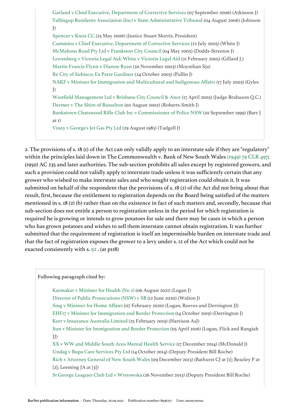Garland v Chief Executive, Department of Corrective Services (07 September 2006) (Atkinson J) Yallingup Residents Association (Inc) v State Administrative Tribunal (04 August 2006) (Johnson J) Spencer v Knox CC (25 May 2006) (Justice Stuart Morris, President) Cummins v Chief Executive, Department of Corrective Services (22 July 2005) (White J) McMahons Road Pty Ltd v Frankston City Council (04 May 2005) (Dodds-Streeton J) Lewenberg v Victoria Legal Aid; White v Victoria Legal Aid (21 February 2005) (Gillard J.) Martin Francis Flynn v Dianne Ryan (20 November 2003) (Moynihan Sja) Re City of Subiaco; Ex Parte Gardiner (24 October 2003) (Pullin J) NAKF v Minister for Immigration and Multicultural and Indigenous Affairs (17 July 2003) (Gyles J) Westfield Management Ltd v Brisbane City Council & Anor (17 April 2003) (Judge Brabazon Q.C.) Dermer v The Shire of Busselton (02 August 2002) (Roberts-Smith J) Bankstown Chatswood Rifle Club Inc v Commissioner of Police NSW (10 September 1999) (Barr J at 1) Viney v George's Jet Gas Pty Ltd (29 August 1985) (Tadgell J)

2. The provisions of s. 18 (1) of the Act can only validly apply to an interstate sale if they are "regulatory" within the principles laid down in The Commonwealth v. Bank of New South Wales [\(1949\) 79 CLR 497;](https://jade.io/article/314471) (1950) AC 235 and later authorities. The sub-section prohibits all sales except by registered growers, and such a provision could not validly apply to interstate trade unless it was sufficiently certain that any grower who wished to make interstate sales and who sought registration could obtain it. It was submitted on behalf of the respondent that the provisions of s. 18 (2) of the Act did not bring about that result, first, because the entitlement to registration depends on the Board being satisfied of the matters mentioned in s. 18 (2) (b) rather than on the existence in fact of such matters and, secondly, because that sub-section does not entitle a person to registration unless in the period for which registration is required he is growing or intends to grow potatoes for sale and there may be cases in which a person who has grown potatoes and wishes to sell them interstate cannot obtain registration. It was further submitted that the requirement of registration is itself an impermissible burden on interstate trade and that the fact of registration exposes the grower to a levy under s. 12 of the Act which could not be exacted consistently with s. [92](https://jade.io/article/260323/section/2036) . (at p118)

#### **Following paragraph cited by:**

Karmakar v Minister for Health (No 2) (06 August 2021) (Logan J)

Director of Public Prosecutions (NSW) v SB (12 June 2020) (Walton J)

Sing v Minister for Home Affairs (07 February 2020) (Logan, Reeves and Derrington JJ)

EHF17 v Minister for Immigration and Border Protection (14 October 2019) (Derrington J)

Kerr v Insurance Australia Limited (25 February 2019) (Harrison AsJ)

Sun v Minister for Immigration and Border Protection (05 April 2016) (Logan, Flick and Rangiah JJ)

XX v WW and Middle South Area Mental Health Service (17 December 2014) (McDonald J) Undag v Bupa Care Services Pty Ltd (14 October 2014) (Deputy President Bill Roche) Rich v Attorney General of New South Wales (09 December 2013) (Bathurst CJ at [1]; Beazley P at [2]; Leeming JA at [3])

St George Leagues Club Ltd v Wretowska (26 November 2013) (Deputy President Bill Roche)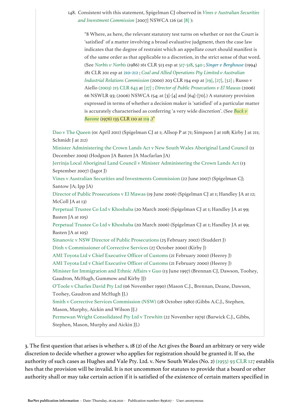148. Consistent with this statement, Spigelman CJ observed in *[Vines v Australian Securities](https://jade.io/article/10939)  [and Investment Commission](https://jade.io/article/10939)* [2007] NSWCA 126 (at [\[8\]](https://jade.io/article/10939/section/140572) ):

"8 Where, as here, the relevant statutory test turns on whether or not the Court is 'satisfied' of a matter involving a broad evaluative judgment, then the case law indicates that the degree of restraint which an appellate court should manifest is of the same order as that applicable to a discretion, in the strict sense of that word. (See *[Norbis v Norbis](https://jade.io/article/67263)* (1986) 161 CLR 513 esp at [517-518](https://jade.io/article/67263/section/140168), [540](https://jade.io/article/67263/section/1115) ; *[Singer v Berghouse](https://jade.io/citation/18762309)* (1994) 181 CLR 201 esp at [210-212](https://jade.io/citation/18762308/section/10905) ; *[Coal and Allied Operations Pty Limited v Australian](https://jade.io/article/68216)  [Industrial Relations Commission](https://jade.io/article/68216)* (2000) 203 CLR 194 esp at [\[19\],](https://jade.io/article/68216/section/140543) [\[27\]](https://jade.io/article/68216/section/140176), [\[32\]](https://jade.io/article/68216/section/260) ; Russo v Aiello [\(2003\) 215 CLR 643](https://jade.io/article/68425) at [\[27\]](https://jade.io/article/68425/section/140176) ; *[Director of Public Prosecutions v El Mawas](https://jade.io/article/126393)* (2006) 66 NSWLR 93; (2006) NSWCA 154; at [3]-[4] and [64]-[70].) A statutory provision expressed in terms of whether a decision maker is 'satisfied' of a particular matter is accurately characterised as conferring 'a very wide discretion'. (See *[Buck v](https://jade.io/article/66591)  [Bavone](https://jade.io/article/66591)* (1976) 135 CLR 110 at [119](https://jade.io/article/66591/section/140442).)"

Dao v The Queen (01 April 2011) (Spigelman CJ at 1; Allsop P at 71; Simpson J at 108; Kirby J at 211; Schmidt J at 212) Minister Administering the Crown Lands Act v New South Wales Aboriginal Land Council (11 December 2009) (Hodgson JA Basten JA Macfarlan JA) Jerrinja Local Aboriginal Land Council v Minister Administering the Crown Lands Act (13 September 2007) (Jagot J) Vines v Australian Securities and Investments Commission (22 June 2007) (Spigelman CJ; Santow JA; Ipp JA) Director of Public Prosecutions v El Mawas (19 June 2006) (Spigelman CJ at 1; Handley JA at 12; McColl JA at 13) Perpetual Trustee Co Ltd v Khoshaba (20 March 2006) (Spigelman CJ at 1; Handley JA at 99; Basten JA at 105) Perpetual Trustee Co Ltd v Khoshaba (20 March 2006) (Spigelman CJ at 1; Handley JA at 99; Basten JA at 105) Sinanovic v NSW Director of Public Prosecutions (25 February 2002) (Studdert J) Dinh v Commissioner of Corrective Services (27 October 2000) (Kirby J) AMI Toyota Ltd v Chief Executive Officer of Customs (21 February 2000) (Heerey J) AMI Toyota Ltd v Chief Executive Officer of Customs (21 February 2000) (Heerey J) Minister for Immigration and Ethnic Affairs v Guo (13 June 1997) (Brennan CJ, Dawson, Toohey, Gaudron, McHugh, Gummow and Kirby JJ) O'Toole v Charles David Pty Ltd (06 November 1990) (Mason C.J., Brennan, Deane, Dawson, Toohey, Gaudron and McHugh JJ.) Smith v Corrective Services Commission (NSW) (28 October 1980) (Gibbs A.C.J., Stephen, Mason, Murphy, Aickin and Wilson JJ.) Permewan Wright Consolidated Pty Ltd v Trewhitt (22 November 1979) (Barwick C.J., Gibbs, Stephen, Mason, Murphy and Aickin JJ.)

3. The first question that arises is whether s. 18 (2) of the Act gives the Board an arbitrary or very wide discretion to decide whether a grower who applies for registration should be granted it. If so, the authority of such cases as Hughes and Vale Pty. Ltd. v. New South Wales (No. 2) [\(1955\) 93 CLR 127](https://jade.io/article/65062) establis hes that the provision will be invalid. It is not uncommon for statutes to provide that a board or other authority shall or may take certain action if it is satisfied of the existence of certain matters specified in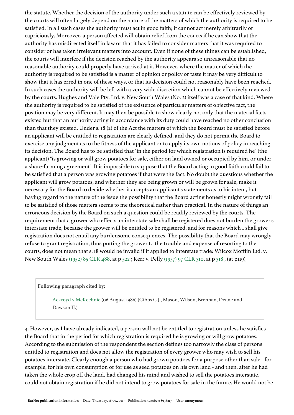the statute. Whether the decision of the authority under such a statute can be effectively reviewed by the courts will often largely depend on the nature of the matters of which the authority is required to be satisfied. In all such cases the authority must act in good faith; it cannot act merely arbitrarily or capriciously. Moreover, a person affected will obtain relief from the courts if he can show that the authority has misdirected itself in law or that it has failed to consider matters that it was required to consider or has taken irrelevant matters into account. Even if none of these things can be established, the courts will interfere if the decision reached by the authority appears so unreasonable that no reasonable authority could properly have arrived at it. However, where the matter of which the authority is required to be satisfied is a matter of opinion or policy or taste it may be very difficult to show that it has erred in one of these ways, or that its decision could not reasonably have been reached. In such cases the authority will be left with a very wide discretion which cannot be effectively reviewed by the courts. Hughes and Vale Pty. Ltd. v. New South Wales (No. 2) itself was a case of that kind. Where the authority is required to be satisfied of the existence of particular matters of objective fact, the position may be very different. It may then be possible to show clearly not only that the material facts existed but that an authority acting in accordance with its duty could have reached no other conclusion than that they existed. Under s. 18 (2) of the Act the matters of which the Board must be satisfied before an applicant will be entitled to registration are clearly defined, and they do not permit the Board to exercise any judgment as to the fitness of the applicant or to apply its own notions of policy in reaching its decision. The Board has to be satisfied that "in the period for which registration is required he" (the applicant) "is growing or will grow potatoes for sale, either on land owned or occupied by him, or under a share-farming agreement". It is impossible to suppose that the Board acting in good faith could fail to be satisfied that a person was growing potatoes if that were the fact. No doubt the questions whether the applicant will grow potatoes, and whether they are being grown or will be grown for sale, make it necessary for the Board to decide whether it accepts an applicant's statements as to his intent, but having regard to the nature of the issue the possibility that the Board acting honestly might wrongly fail to be satisfied of those matters seems to me theoretical rather than practical. In the nature of things an erroneous decision by the Board on such a question could be readily reviewed by the courts. The requirement that a grower who effects an interstate sale shall be registered does not burden the grower's interstate trade, because the grower will be entitled to be registered, and for reasons which I shall give registration does not entail any burdensome consequences. The possibility that the Board may wrongly refuse to grant registration, thus putting the grower to the trouble and expense of resorting to the courts, does not mean that s. 18 would be invalid if it applied to interstate trade: Wilcox Mofflin Ltd. v. New South Wales [\(1952\) 85 CLR 488](https://jade.io/article/64799), at p [522](https://jade.io/article/64799/section/140635) ; Kerr v. Pelly [\(1957\) 97 CLR 310](https://jade.io/article/65232), at p [318](https://jade.io/article/65232/section/140625) . (at p119)

#### **Following paragraph cited by:**

Ackroyd v McKechnie (06 August 1986) (Gibbs C.J., Mason, Wilson, Brennan, Deane and Dawson JJ.)

4. However, as I have already indicated, a person will not be entitled to registration unless he satisfies the Board that in the period for which registration is required he is growing or will grow potatoes. According to the submission of the respondent the section defines too narrowly the class of persons entitled to registration and does not allow the registration of every grower who may wish to sell his potatoes interstate. Clearly enough a person who had grown potatoes for a purpose other than sale - for example, for his own consumption or for use as seed potatoes on his own land - and then, after he had taken the whole crop off the land, had changed his mind and wished to sell the potatoes interstate, could not obtain registration if he did not intend to grow potatoes for sale in the future. He would not be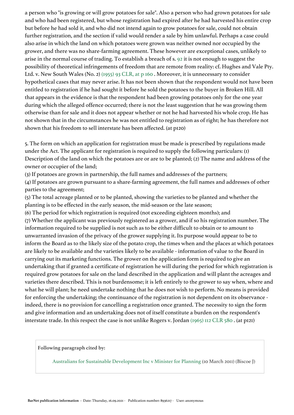a person who "is growing or will grow potatoes for sale". Also a person who had grown potatoes for sale and who had been registered, but whose registration had expired after he had harvested his entire crop but before he had sold it, and who did not intend again to grow potatoes for sale, could not obtain further registration, and the section if valid would render a sale by him unlawful. Perhaps a case could also arise in which the land on which potatoes were grown was neither owned nor occupied by the grower, and there was no share-farming agreement. These however are exceptional cases, unlikely to arise in the normal course of trading. To establish a breach of s. [92](https://jade.io/article/260323/section/2036) it is not enough to suggest the possibility of theoretical infringements of freedom that are remote from reality: cf. Hughes and Vale Pty. Ltd. v. New South Wales (No. 2) [\(1955\) 93 CLR, at p 160](https://jade.io/article/65062/section/139979) . Moreover, it is unnecessary to consider hypothetical cases that may never arise. It has not been shown that the respondent would not have been entitled to registration if he had sought it before he sold the potatoes to the buyer in Broken Hill. All that appears in the evidence is that the respondent had been growing potatoes only for the one year during which the alleged offence occurred; there is not the least suggestion that he was growing them otherwise than for sale and it does not appear whether or not he had harvested his whole crop. He has not shown that in the circumstances he was not entitled to registration as of right; he has therefore not shown that his freedom to sell interstate has been affected. (at p120)

5. The form on which an application for registration must be made is prescribed by regulations made under the Act. The applicant for registration is required to supply the following particulars: (1) Description of the land on which the potatoes are or are to be planted; (2) The name and address of the owner or occupier of the land;

(3) If potatoes are grown in partnership, the full names and addresses of the partners;

(4) If potatoes are grown pursuant to a share-farming agreement, the full names and addresses of other parties to the agreement;

(5) The total acreage planted or to be planted, showing the varieties to be planted and whether the planting is to be effected in the early season, the mid-season or the late season;

(6) The period for which registration is required (not exceeding eighteen months); and (7) Whether the applicant was previously registered as a grower, and if so his registration number. The information required to be supplied is not such as to be either difficult to obtain or to amount to unwarranted invasion of the privacy of the grower supplying it. Its purpose would appear to be to inform the Board as to the likely size of the potato crop, the times when and the places at which potatoes are likely to be available and the varieties likely to be available - information of value to the Board in carrying out its marketing functions. The grower on the application form is required to give an undertaking that if granted a certificate of registration he will during the period for which registration is required grow potatoes for sale on the land described in the application and will plant the acreages and varieties there described. This is not burdensome; it is left entirely to the grower to say when, where and what he will plant; he need undertake nothing that he does not wish to perform. No means is provided for enforcing the undertaking; the continuance of the registration is not dependent on its observance indeed, there is no provision for cancelling a registration once granted. The necessity to sign the form and give information and an undertaking does not of itself constitute a burden on the respondent's interstate trade. In this respect the case is not unlike Rogers v. Jordan [\(1965\) 112 CLR 580](https://jade.io/article/65836) . (at p121)

**Following paragraph cited by:**

Australians for Sustainable Development Inc v Minister for Planning (10 March 2011) (Biscoe J)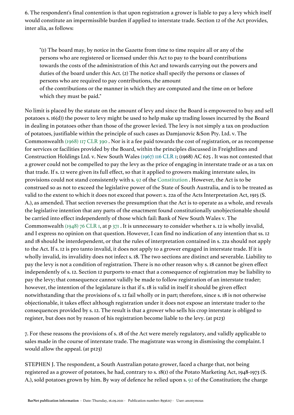6. The respondent's final contention is that upon registration a grower is liable to pay a levy which itself would constitute an impermissible burden if applied to interstate trade. Section 12 of the Act provides, inter alia, as follows:

"(1) The board may, by notice in the Gazette from time to time require all or any of the persons who are registered or licensed under this Act to pay to the board contributions towards the costs of the administration of this Act and towards carrying out the powers and duties of the board under this Act. (2) The notice shall specify the persons or classes of persons who are required to pay contributions, the amount

of the contributions or the manner in which they are computed and the time on or before which they must be paid."

No limit is placed by the statute on the amount of levy and since the Board is empowered to buy and sell potatoes s. 16(d)) the power to levy might be used to help make up trading losses incurred by the Board in dealing in potatoes other than those of the grower levied. The levy is not simply a tax on production of potatoes, justifiable within the principle of such cases as Damjanovic &Son Pty. Ltd. v. The Commonwealth [\(1968\) 117 CLR 390](https://jade.io/article/66059) . Nor is it a fee paid towards the cost of registration, or as recompense for services or facilities provided by the Board, within the principles discussed in Freightlines and Construction Holdings Ltd. v. New South Wales [\(1967\) 116 CLR 1;](https://jade.io/citation/2670221) (1968) AC 625 . It was not contested that a grower could not be compelled to pay the levy as the price of engaging in interstate trade or as a tax on that trade. If s. 12 were given its full effect, so that it applied to growers making interstate sales, its provisions could not stand consistently with s. [92](https://jade.io/article/260323/section/2036) of the [Constitution](https://jade.io/article/260323) . However, the Act is to be construed so as not to exceed the legislative power of the State of South Australia, and is to be treated as valid to the extent to which it does not exceed that power: s. 22a of the Acts Interpretation Act, 1915 (S. A.), as amended. That section reverses the presumption that the Act is to operate as a whole, and reveals the legislative intention that any parts of the enactment found constitutionally unobjectionable should be carried into effect independently of those which fail: Bank of New South Wales v. The Commonwealth [\(1948\) 76 CLR 1](https://jade.io/article/64583), at p [371](https://jade.io/article/64583/section/140702) . It is unnecessary to consider whether s. 12 is wholly invalid, and I express no opinion on that question. However, I can find no indication of any intention that ss. 12 and 18 should be interdependent, or that the rules of interpretation contained in s. 22a should not apply to the Act. If s. 12 is pro tanto invalid, it does not apply to a grower engaged in interstate trade. If it is wholly invalid, its invalidity does not infect s. 18. The two sections are distinct and severable. Liability to pay the levy is not a condition of registration. There is no other reason why s. 18 cannot be given effect independently of s. 12. Section 12 purports to enact that a consequence of registration may be liability to pay the levy; that consequence cannot validly be made to follow registration of an interstate trader; however, the intention of the legislature is that if s. 18 is valid in itself it should be given effect notwithstanding that the provisions of s. 12 fail wholly or in part; therefore, since s. 18 is not otherwise objectionable, it takes effect although registration under it does not expose an interstate trader to the consequences provided by s. 12. The result is that a grower who sells his crop interstate is obliged to register, but does not by reason of his registration become liable to the levy. (at p123)

7. For these reasons the provisions of s. 18 of the Act were merely regulatory, and validly applicable to sales made in the course of interstate trade. The magistrate was wrong in dismissing the complaint. I would allow the appeal. (at p123)

STEPHEN J. The respondent, a South Australian potato grower, faced a charge that, not being registered as a grower of potatoes, he had, contrary to s. 18(1) of the Potato Marketing Act, 1948-1973 (S. A.), sold potatoes grown by him. By way of defence he relied upon s. [92](https://jade.io/article/260323/section/2036) of the Constitution; the charge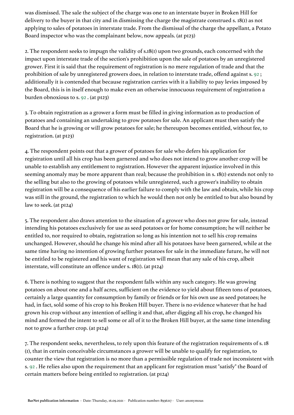was dismissed. The sale the subject of the charge was one to an interstate buyer in Broken Hill for delivery to the buyer in that city and in dismissing the charge the magistrate construed s. 18(1) as not applying to sales of potatoes in interstate trade. From the dismissal of the charge the appellant, a Potato Board inspector who was the complainant below, now appeals. (at p123)

2. The respondent seeks to impugn the validity of s.18(1) upon two grounds, each concerned with the impact upon interstate trade of the section's prohibition upon the sale of potatoes by an unregistered grower. First it is said that the requirement of registration is no mere regulation of trade and that the prohibition of sale by unregistered growers does, in relation to interstate trade, offend against s. [92](https://jade.io/article/260323/section/2036) ; additionally it is contended that because registration carries with it a liability to pay levies imposed by the Board, this is in itself enough to make even an otherwise innocuous requirement of registration a burden obnoxious to s. [92](https://jade.io/article/260323/section/2036) . (at p123)

3. To obtain registration as a grower a form must be filled in giving information as to production of potatoes and containing an undertaking to grow potatoes for sale. An applicant must then satisfy the Board that he is growing or will grow potatoes for sale; he thereupon becomes entitled, without fee, to registration. (at p123)

4. The respondent points out that a grower of potatoes for sale who defers his application for registration until all his crop has been garnered and who does not intend to grow another crop will be unable to establish any entitlement to registration. However the apparent injustice involved in this seeming anomaly may be more apparent than real; because the prohibition in s. 18(1) extends not only to the selling but also to the growing of potatoes while unregistered, such a grower's inability to obtain registration will be a consequence of his earlier failure to comply with the law and obtain, while his crop was still in the ground, the registration to which he would then not only be entitled to but also bound by law to seek. (at p124)

5. The respondent also draws attention to the situation of a grower who does not grow for sale, instead intending his potatoes exclusively for use as seed potatoes or for home consumption; he will neither be entitled to, nor required to obtain, registration so long as his intention not to sell his crop remains unchanged. However, should he change his mind after all his potatoes have been garnered, while at the same time having no intention of growing further potatoes for sale in the immediate future, he will not be entitled to be registered and his want of registration will mean that any sale of his crop, albeit interstate, will constitute an offence under s. 18(1). (at p124)

6. There is nothing to suggest that the respondent falls within any such category. He was growing potatoes on about one and a half acres, sufficient on the evidence to yield about fifteen tons of potatoes, certainly a large quantity for consumption by family or friends or for his own use as seed potatoes; he had, in fact, sold some of his crop to his Broken Hill buyer. There is no evidence whatever that he had grown his crop without any intention of selling it and that, after digging all his crop, he changed his mind and formed the intent to sell some or all of it to the Broken Hill buyer, at the same time intending not to grow a further crop. (at p124)

7. The respondent seeks, nevertheless, to rely upon this feature of the registration requirements of s. 18 (1), that in certain conceivable circumstances a grower will be unable to qualify for registration, to counter the view that registration is no more than a permissible regulation of trade not inconsistent with s. [92](https://jade.io/article/260323/section/2036) . He relies also upon the requirement that an applicant for registration must "satisfy" the Board of certain matters before being entitled to registration. (at p124)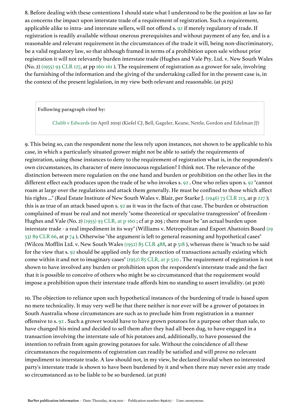8. Before dealing with these contentions I should state what I understood to be the position at law so far as concerns the impact upon interstate trade of a requirement of registration. Such a requirement, applicable alike to intra- and interstate sellers, will not offend s. [92](https://jade.io/article/260323/section/2036) if merely regulatory of trade. If registration is readily available without onerous prerequisites and without payment of any fee, and is a reasonable and relevant requirement in the circumstances of the trade it will, being non-discriminatory, be a valid regulatory law, so that although framed in terms of a prohibition upon sale without prior registration it will not relevantly burden interstate trade (Hughes and Vale Pty. Ltd. v. New South Wales (No. 2) [\(1955\) 93 CLR 127](https://jade.io/article/65062), at pp [160-161](https://jade.io/article/65062/section/6155) ). The requirement of registration as a grower for sale, involving the furnishing of the information and the giving of the undertaking called for in the present case is, in the context of the present legislation, in my view both relevant and reasonable. (at p125)

**Following paragraph cited by:**

Clubb v Edwards (10 April 2019) (Kiefel CJ, Bell, Gageler, Keane, Nettle, Gordon and Edelman JJ)

9. This being so, can the respondent none the less rely upon instances, not shown to be applicable to his case, in which a particularly situated grower might not be able to satisfy the requirements of registration, using those instances to deny to the requirement of registration what is, in the respondent's own circumstances, its character of mere innocuous regulation? I think not. The relevance of the distinction between mere regulation on the one hand and burden or prohibition on the other lies in the different effect each produces upon the trade of he who invokes s. [92](https://jade.io/article/260323/section/2036) . One who relies upon s. [92](https://jade.io/article/260323/section/2036) "cannot roam at large over the regulations and attack them generally. He must be confined to those which affect his rights ..." (Real Estate Institute of New South Wales v. Blair, per Starke J. [\(1946\) 73 CLR 213](https://jade.io/article/64446), at p [227](https://jade.io/article/64446/section/140328)); this is as true of an attack based upon s. [92](https://jade.io/article/260323/section/2036) as it was in the facts of that case. The burden or obstruction complained of must be real and not merely "some theoretical or speculative transgression" of freedom - Hughes and Vale (No. 2) [\(1955\) 93 CLR, at p 160](https://jade.io/article/65062/section/139979) ; cf at p 205 ; there must be "an actual burden upon interstate trade - a real impediment in its way" (Williams v. Metropolitan and Export Abattoirs Board [\(19](https://jade.io/article/64957) [53\) 89 CLR 66](https://jade.io/article/64957), at p [74](https://jade.io/article/64957/section/139949) ). Otherwise "the argument is left to general reasoning and hypothetical cases" (Wilcox Mofflin Ltd. v. New South Wales [\(1952\) 85 CLR 488,](https://jade.io/article/64799) at p [518](https://jade.io/article/64799/section/140265) ), whereas there is "much to be said for the view that s. [92](https://jade.io/article/260323/section/2036) should be applied only for the protection of transactions actually existing which come within it and not to imaginary cases" [\(1952\) 85 CLR, at p 520](https://jade.io/article/64799/section/140094) . The requirement of registration is not shown to have involved any burden or prohibition upon the respondent's interstate trade and the fact that it is possible to conceive of others who might be so circumstanced that the requirement would impose a prohibition upon their interstate trade affords him no standing to assert invalidity. (at p126)

10. The objection to reliance upon such hypothetical instances of the burdening of trade is based upon no mere technicality. It may very well be that there neither is nor ever will be a grower of potatoes in South Australia whose circumstances are such as to preclude him from registration in a manner offensive to s. [92](https://jade.io/article/260323/section/2036) . Such a grower would have to have grown potatoes for a purpose other than sale, to have changed his mind and decided to sell them after they had all been dug, to have engaged in a transaction involving the interstate sale of his potatoes and, additionally, to have possessed the intention to refrain from again growing potatoes for sale. Without the coincidence of all these circumstances the requirements of registration can readily be satisfied and will prove no relevant impediment to interstate trade. A law should not, in my view, be declared invalid when no interested party's interstate trade is shown to have been burdened by it and when there may never exist any trade so circumstanced as to be liable to be so burdened. (at p126)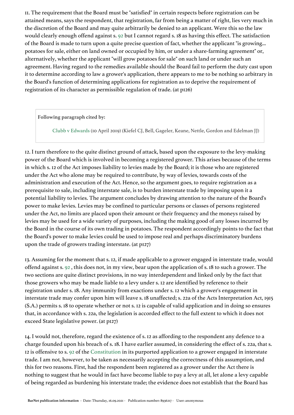11. The requirement that the Board must be "satisfied" in certain respects before registration can be attained means, says the respondent, that registration, far from being a matter of right, lies very much in the discretion of the Board and may quite arbitrarily be denied to an applicant. Were this so the law would clearly enough offend against s. [92](https://jade.io/article/260323/section/2036) but I cannot regard s. 18 as having this effect. The satisfaction of the Board is made to turn upon a quite precise question of fact, whether the applicant "is growing... potatoes for sale, either on land owned or occupied by him, or under a share-farming agreement" or, alternatively, whether the applicant "will grow potatoes for sale" on such land or under such an agreement. Having regard to the remedies available should the Board fail to perform the duty cast upon it to determine according to law a grower's application, there appears to me to be nothing so arbitrary in the Board's function of determining applications for registration as to deprive the requirement of registration of its character as permissible regulation of trade. (at p126)

**Following paragraph cited by:**

Clubb v Edwards (10 April 2019) (Kiefel CJ, Bell, Gageler, Keane, Nettle, Gordon and Edelman JJ)

12. I turn therefore to the quite distinct ground of attack, based upon the exposure to the levy-making power of the Board which is involved in becoming a registered grower. This arises because of the terms in which s. 12 of the Act imposes liability to levies made by the Board; it is those who are registered under the Act who alone may be required to contribute, by way of levies, towards costs of the administration and execution of the Act. Hence, so the argument goes, to require registration as a prerequisite to sale, including interstate sale, is to burden interstate trade by imposing upon it a potential liability to levies. The argument concludes by drawing attention to the nature of the Board's power to make levies. Levies may be confined to particular persons or classes of persons registered under the Act, no limits are placed upon their amount or their frequency and the moneys raised by levies may be used for a wide variety of purposes, including the making good of any losses incurred by the Board in the course of its own trading in potatoes. The respondent accordingly points to the fact that the Board's power to make levies could be used to impose real and perhaps discriminatory burdens upon the trade of growers trading interstate. (at p127)

13. Assuming for the moment that s. 12, if made applicable to a grower engaged in interstate trade, would offend against s. [92](https://jade.io/article/260323/section/2036) , this does not, in my view, bear upon the application of s. 18 to such a grower. The two sections are quite distinct provisions, in no way interdependent and linked only by the fact that those growers who may be made liable to a levy under s. 12 are identified by reference to their registration under s. 18. Any immunity from exactions under s. 12 which a grower's engagement in interstate trade may confer upon him will leave s. 18 unaffected; s. 22a of the Acts Interpretation Act, 1915 (S.A.) permits s. 18 to operate whether or not s. 12 is capable of valid application and in doing so ensures that, in accordance with s. 22a, the legislation is accorded effect to the full extent to which it does not exceed State legislative power. (at p127)

14. I would not, therefore, regard the existence of s. 12 as affording to the respondent any defence to a charge founded upon his breach of s. 18. I have earlier assumed, in considering the effect of s. 22a, that s. 12 is offensive to s. [92](https://jade.io/article/260323/section/2036) of the [Constitution](https://jade.io/article/260323) in its purported application to a grower engaged in interstate trade. I am not, however, to be taken as necessarily accepting the correctness of this assumption, and this for two reasons. First, had the respondent been registered as a grower under the Act there is nothing to suggest that he would in fact have become liable to pay a levy at all, let alone a levy capable of being regarded as burdening his interstate trade; the evidence does not establish that the Board has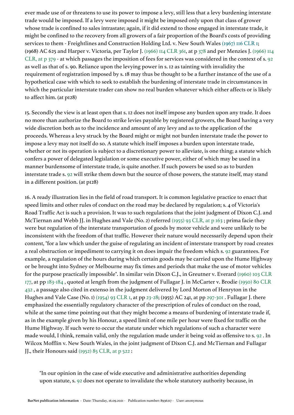ever made use of or threatens to use its power to impose a levy, still less that a levy burdening interstate trade would be imposed. If a levy were imposed it might be imposed only upon that class of grower whose trade is confined to sales intrastate; again, if it did extend to those engaged in interstate trade, it might be confined to the recovery from all growers of a fair proportion of the Board's costs of providing services to them - Freightlines and Construction Holding Ltd. v. New South Wales [\(1967\) 116 CLR 1](https://jade.io/citation/2670221); (1968) AC 625 and Harper v. Victoria, per Taylor J. [\(1966\) 114 CLR 361](https://jade.io/article/65907), at p [378](https://jade.io/article/65907/section/140786) and per Menzies J. [\(1966\) 114](https://jade.io/article/65907/section/140683)  [CLR, at p 379](https://jade.io/article/65907/section/140683) - at which passages the imposition of fees for services was considered in the context of s. [92](https://jade.io/article/260323/section/2036) as well as that of s. 90. Reliance upon the levying power in s. 12 as tainting with invalidity the requirement of registration imposed by s. 18 may thus be thought to be a further instance of the use of a hypothetical case with which to seek to establish the burdening of interstate trade in circumstances in which the particular interstate trader can show no real burden whatever which either affects or is likely to affect him. (at p128)

15. Secondly the view is at least open that s. 12 does not itself impose any burden upon any trade. It does no more than authorize the Board to strike levies payable by registered growers, the Board having a very wide discretion both as to the incidence and amount of any levy and as to the application of the proceeds. Whereas a levy struck by the Board might or might not burden interstate trade the power to impose a levy may not itself do so. A statute which itself imposes a burden upon interstate trade, whether or not its operation is subject to a discretionary power to alleviate, is one thing; a statute which confers a power of delegated legislation or some executive power, either of which may be used in a manner burdensome of interstate trade, is quite another. If such powers be used so as to burden interstate trade s. [92](https://jade.io/article/260323/section/2036) will strike them down but the source of those powers, the statute itself, may stand in a different position. (at p128)

16. A ready illustration lies in the field of road transport. It is common legislative practice to enact that speed limits and other rules of conduct on the road may be declared by regulation; s. 4 of Victoria's Road Traffic Act is such a provision. It was to such regulations that the joint judgment of Dixon C.J. and McTiernan and Webb JJ. in Hughes and Vale (No. 2) referred [\(1955\) 93 CLR, at p 163](https://jade.io/article/65062/section/140008) ; prima facie they were but regulation of the interstate transportation of goods by motor vehicle and were unlikely to be inconsistent with the freedom of that traffic. However their nature would necessarily depend upon their content, "for a law which under the guise of regulating an incident of interstate transport by road creates a real obstruction or impediment to carrying it on does impair the freedom which s. [92](https://jade.io/article/260323/section/2036) guarantees. For example, a regulation of the hours during which certain goods may be carried upon the Hume Highway or be brought into Sydney or Melbourne may fix times and periods that make the use of motor vehicles for the purpose practically impossible". In similar vein Dixon C.J., in Greutner v. Everard [\(1960\) 103 CLR](https://jade.io/article/65449)  [177](https://jade.io/article/65449), at pp [183-184](https://jade.io/article/65449/section/1492) , quoted at length from the judgment of Fullagar J. in McCarter v. Brodie [\(1950\) 80 CLR](https://jade.io/article/64665)  [432](https://jade.io/article/64665) , a passage also cited in extenso in the judgment delivered by Lord Morton of Henryton in the Hughes and Vale Case (No. 1) [\(1954\) 93 CLR 1](https://jade.io/article/261074), at pp [23-28;](https://jade.io/article/261074/section/37723) (1955) AC 241, at pp [297-301](https://jade.io/article/261074/section/49820) . Fullagar J. there emphasized the essentially regulatory character of the prescription of rules of conduct on the road, while at the same time pointing out that they might become a means of burdening of interstate trade if, as in the example given by his Honour, a speed limit of one mile per hour were fixed for traffic on the Hume Highway. If such were to occur the statute under which regulations of such a character were made would, I think, remain valid, only the regulation made under it being void as offensive to s. [92](https://jade.io/article/260323/section/2036) . In Wilcox Mofflin v. New South Wales, in the joint judgment of Dixon C.J. and McTiernan and Fullagar JJ., their Honours said [\(1952\) 85 CLR, at p 522](https://jade.io/article/64799/section/140635) :

"In our opinion in the case of wide executive and administrative authorities depending upon statute, s. [92](https://jade.io/article/260323/section/2036) does not operate to invalidate the whole statutory authority because, in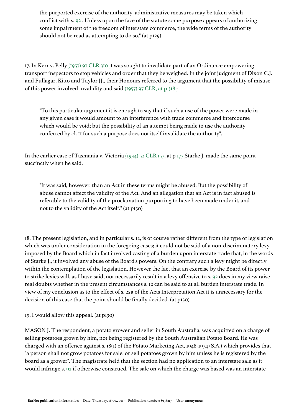the purported exercise of the authority, administrative measures may be taken which conflict with s. [92](https://jade.io/article/260323/section/2036) . Unless upon the face of the statute some purpose appears of authorizing some impairment of the freedom of interstate commerce, the wide terms of the authority should not be read as attempting to do so." (at p129)

17. In Kerr v. Pelly [\(1957\) 97 CLR 310](https://jade.io/article/65232) it was sought to invalidate part of an Ordinance empowering transport inspectors to stop vehicles and order that they be weighed. In the joint judgment of Dixon C.J. and Fullagar, Kitto and Taylor JJ., their Honours referred to the argument that the possibility of misuse of this power involved invalidity and said [\(1957\) 97 CLR, at p 318](https://jade.io/article/65232/section/140625) :

"To this particular argument it is enough to say that if such a use of the power were made in any given case it would amount to an interference with trade commerce and intercourse which would be void; but the possibility of an attempt being made to use the authority conferred by cl. 11 for such a purpose does not itself invalidate the authority".

In the earlier case of Tasmania v. Victoria [\(1934\) 52 CLR 157,](https://jade.io/article/63797) at p [177](https://jade.io/article/63797/section/140480) Starke J. made the same point succinctly when he said:

"It was said, however, than an Act in these terms might be abused. But the possibility of abuse cannot affect the validity of the Act. And an allegation that an Act is in fact abused is referable to the validity of the proclamation purporting to have been made under it, and not to the validity of the Act itself." (at p130)

18. The present legislation, and in particular s. 12, is of course rather different from the type of legislation which was under consideration in the foregoing cases; it could not be said of a non-discriminatory levy imposed by the Board which in fact involved casting of a burden upon interstate trade that, in the words of Starke J., it involved any abuse of the Board's powers. On the contrary such a levy might be directly within the contemplation of the legislation. However the fact that an exercise by the Board of its power to strike levies will, as I have said, not necessarily result in a levy offensive to s. [92](https://jade.io/article/260323/section/2036) does in my view raise real doubts whether in the present circumstances s. 12 can be said to at all burden interstate trade. In view of my conclusion as to the effect of s. 22a of the Acts Interpretation Act it is unnecessary for the decision of this case that the point should be finally decided. (at p130)

19. I would allow this appeal. (at p130)

MASON J. The respondent, a potato grower and seller in South Australia, was acquitted on a charge of selling potatoes grown by him, not being registered by the South Australian Potato Board. He was charged with an offence against s. 18(1) of the Potato Marketing Act, 1948-1974 (S.A.) which provides that "a person shall not grow potatoes for sale, or sell potatoes grown by him unless he is registered by the board as a grower". The magistrate held that the section had no application to an interstate sale as it would infringe s. [92](https://jade.io/article/260323/section/2036) if otherwise construed. The sale on which the charge was based was an interstate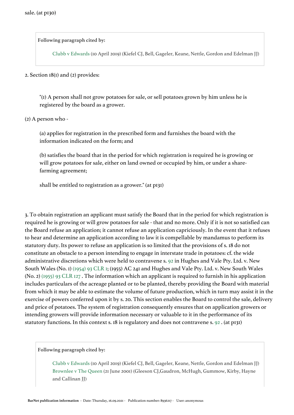**Following paragraph cited by:**

Clubb v Edwards (10 April 2019) (Kiefel CJ, Bell, Gageler, Keane, Nettle, Gordon and Edelman JJ)

### 2. Section 18(1) and (2) provides:

"(1) A person shall not grow potatoes for sale, or sell potatoes grown by him unless he is registered by the board as a grower.

(2) A person who -

(a) applies for registration in the prescribed form and furnishes the board with the information indicated on the form; and

(b) satisfies the board that in the period for which registration is required he is growing or will grow potatoes for sale, either on land owned or occupied by him, or under a sharefarming agreement;

shall be entitled to registration as a grower." (at p131)

3. To obtain registration an applicant must satisfy the Board that in the period for which registration is required he is growing or will grow potatoes for sale - that and no more. Only if it is not so satisfied can the Board refuse an application; it cannot refuse an application capriciously. In the event that it refuses to hear and determine an application according to law it is compellable by mandamus to perform its statutory duty. Its power to refuse an application is so limited that the provisions of s. 18 do not constitute an obstacle to a person intending to engage in interstate trade in potatoes: cf. the wide administrative discretions which were held to contravene s. [92](https://jade.io/article/260323/section/2036) in Hughes and Vale Pty. Ltd. v. New South Wales (No. 1) [\(1954\) 93 CLR 1](https://jade.io/article/261074); (1955) AC 241 and Hughes and Vale Pty. Ltd. v. New South Wales (No. 2) [\(1955\) 93 CLR 127](https://jade.io/article/65062) . The information which an applicant is required to furnish in his application includes particulars of the acreage planted or to be planted, thereby providing the Board with material from which it may be able to estimate the volume of future production, which in turn may assist it in the exercise of powers conferred upon it by s. 20. This section enables the Board to control the sale, delivery and price of potatoes. The system of registration consequently ensures that on application growers or intending growers will provide information necessary or valuable to it in the performance of its statutory functions. In this context s. 18 is regulatory and does not contravene s. [92](https://jade.io/article/260323/section/2036) . (at p131)

**Following paragraph cited by:**

Clubb v Edwards (10 April 2019) (Kiefel CJ, Bell, Gageler, Keane, Nettle, Gordon and Edelman JJ) Brownlee v The Queen (21 June 2001) (Gleeson CJ,Gaudron, McHugh, Gummow, Kirby, Hayne and Callinan JJ)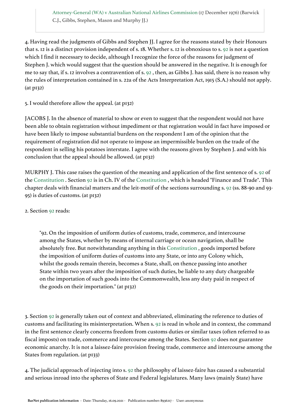Attorney-General (WA) v Australian National Airlines Commission (17 December 1976) (Barwick C.J., Gibbs, Stephen, Mason and Murphy JJ.)

4. Having read the judgments of Gibbs and Stephen JJ. I agree for the reasons stated by their Honours that s. 12 is a distinct provision independent of s. 18. Whether s. 12 is obnoxious to s. [92](https://jade.io/article/260323/section/2036) is not a question which I find it necessary to decide, although I recognize the force of the reasons for judgment of Stephen J. which would suggest that the question should be answered in the negative. It is enough for me to say that, if s. 12 involves a contravention of s. [92](https://jade.io/article/260323/section/2036) , then, as Gibbs J. has said, there is no reason why the rules of interpretation contained in s. 22a of the Acts Interpretation Act, 1915 (S.A.) should not apply. (at p132)

5. I would therefore allow the appeal. (at p132)

JACOBS J. In the absence of material to show or even to suggest that the respondent would not have been able to obtain registration without impediment or that registration would in fact have imposed or have been likely to impose substantial burdens on the respondent I am of the opinion that the requirement of registration did not operate to impose an impermissible burden on the trade of the respondent in selling his potatoes interstate. I agree with the reasons given by Stephen J. and with his conclusion that the appeal should be allowed. (at p132)

MURPHY J. This case raises the question of the meaning and application of the first sentence of s. [92](https://jade.io/article/260323/section/2036) of the [Constitution](https://jade.io/article/260323) . Section [92](https://jade.io/article/260323/section/2036) is in Ch. IV of the [Constitution](https://jade.io/article/260323) , which is headed "Finance and Trade". This chapter deals with financial matters and the leit-motif of the sections surrounding s. [92](https://jade.io/article/260323/section/2036) (ss. 88-90 and 93- 95) is duties of customs. (at p132)

2. Section [92](https://jade.io/article/260323/section/2036) reads:

"92. On the imposition of uniform duties of customs, trade, commerce, and intercourse among the States, whether by means of internal carriage or ocean navigation, shall be absolutely free. But notwithstanding anything in this [Constitution](https://jade.io/article/260323) , goods imported before the imposition of uniform duties of customs into any State, or into any Colony which, whilst the goods remain therein, becomes a State, shall, on thence passing into another State within two years after the imposition of such duties, be liable to any duty chargeable on the importation of such goods into the Commonwealth, less any duty paid in respect of the goods on their importation." (at p132)

3. Section [92](https://jade.io/article/260323/section/2036) is generally taken out of context and abbreviated, eliminating the reference to duties of customs and facilitating its misinterpretation. When s. [92](https://jade.io/article/260323/section/2036) is read in whole and in context, the command in the first sentence clearly concerns freedom from customs duties or similar taxes (often referred to as fiscal imposts) on trade, commerce and intercourse among the States. Section [92](https://jade.io/article/260323/section/2036) does not guarantee economic anarchy. It is not a laissez-faire provision freeing trade, commerce and intercourse among the States from regulation. (at p133)

4. The judicial approach of injecting into s. [92](https://jade.io/article/260323/section/2036) the philosophy of laissez-faire has caused a substantial and serious inroad into the spheres of State and Federal legislatures. Many laws (mainly State) have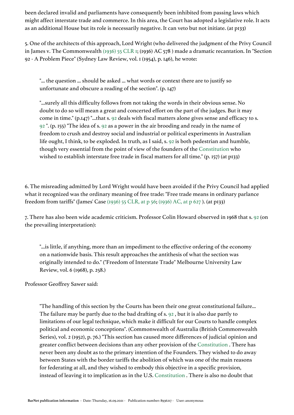been declared invalid and parliaments have consequently been inhibited from passing laws which might affect interstate trade and commerce. In this area, the Court has adopted a legislative role. It acts as an additional House but its role is necessarily negative. It can veto but not initiate. (at p133)

5. One of the architects of this approach, Lord Wright (who delivered the judgment of the Privy Council in James v. The Commonwealth [\(1936\) 55 CLR 1;](https://jade.io/article/269619) (1936) AC 578 ) made a dramatic recantation. In "Section 92 - A Problem Piece" (Sydney Law Review, vol. 1 (1954), p. 146), he wrote:

"... the question ... should be asked ... what words or context there are to justify so unfortunate and obscure a reading of the section". (p. 147)

"...surely all this difficulty follows from not taking the words in their obvious sense. No doubt to do so will mean a great and concerted effort on the part of the judges. But it may come in time." (p.147) "...that s. [92](https://jade.io/article/260323/section/2036) deals with fiscal matters alone gives sense and efficacy to s. [92](https://jade.io/article/260323/section/2036) ". (p. 155) "The idea of s. [92](https://jade.io/article/260323/section/2036) as a power in the air brooding and ready in the name of freedom to crush and destroy social and industrial or political experiments in Australian life ought, I think, to be exploded. In truth, as I said, s. [92](https://jade.io/article/260323/section/2036) is both pedestrian and humble, though very essential from the point of view of the founders of the [Constitution](https://jade.io/article/260323) who wished to establish interstate free trade in fiscal matters for all time." (p. 157) (at p133)

6. The misreading admitted by Lord Wright would have been avoided if the Privy Council had applied what it recognized was the ordinary meaning of free trade: "Free trade means in ordinary parlance freedom from tariffs" (James' Case [\(1936\) 55 CLR, at p 56](https://jade.io/article/269619/section/140189); [\(1936\) AC, at p 627](https://jade.io/article/269619/section/140612) ). (at p133)

7. There has also been wide academic criticism. Professor Colin Howard observed in 1968 that s. [92](https://jade.io/article/260323/section/2036) (on the prevailing interpretation):

"...is little, if anything, more than an impediment to the effective ordering of the economy on a nationwide basis. This result approaches the antithesis of what the section was originally intended to do." ("Freedom of Interstate Trade" Melbourne University Law Review, vol. 6 (1968), p. 258.)

Professor Geoffrey Sawer said:

"The handling of this section by the Courts has been their one great constitutional failure... The failure may be partly due to the bad drafting of s. [92](https://jade.io/article/260323/section/2036) , but it is also due partly to limitations of our legal technique, which make it difficult for our Courts to handle complex political and economic conceptions". (Commonwealth of Australia (British Commonwealth Series), vol. 2 (1952), p. 76.) "This section has caused more differences of judicial opinion and greater conflict between decisions than any other provision of the [Constitution](https://jade.io/article/260323) . There has never been any doubt as to the primary intention of the Founders. They wished to do away between States with the border tariffs the abolition of which was one of the main reasons for federating at all, and they wished to embody this objective in a specific provision, instead of leaving it to implication as in the U.S. [Constitution](https://jade.io/article/260323) . There is also no doubt that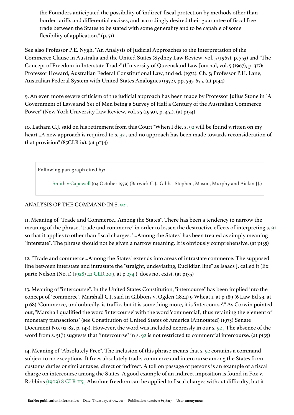the Founders anticipated the possibility of 'indirect' fiscal protection by methods other than border tariffs and differential excises, and accordingly desired their guarantee of fiscal free trade between the States to be stated with some generality and to be capable of some flexibility of application." (p. 71)

See also Professor P.E. Nygh, "An Analysis of Judicial Approaches to the Interpretation of the Commerce Clause in Australia and the United States (Sydney Law Review, vol. 5 (1967), p. 353) and "The Concept of Freedom in Interstate Trade" (University of Queensland Law Journal, vol. 5 (1967), p. 317); Professor Howard, Australian Federal Constitutional Law, 2nd ed. (1972), Ch. 5; Professor P.H. Lane, Australian Federal System with United States Analogues (1972), pp. 595-675. (at p134)

9. An even more severe criticism of the judicial approach has been made by Professor Julius Stone in "A Government of Laws and Yet of Men being a Survey of Half a Century of the Australian Commerce Power" (New York University Law Review, vol. 25 (1950), p. 451). (at p134)

10. Latham C.J. said on his retirement from this Court "When I die, s. [92](https://jade.io/article/260323/section/2036) will be found written on my heart...A new approach is required to s. [92](https://jade.io/article/260323/section/2036) , and no approach has been made towards reconsideration of that provision" (85CLR ix). (at p134)

**Following paragraph cited by:**

Smith v Capewell (04 October 1979) (Barwick C.J., Gibbs, Stephen, Mason, Murphy and Aickin JJ.)

# ANALYSIS OF THE COMMAND IN S. [92](https://jade.io/article/260323/section/2036) .

11. Meaning of "Trade and Commerce...Among the States". There has been a tendency to narrow the meaning of the phrase, "trade and commerce" in order to lessen the destructive effects of interpreting s. [92](https://jade.io/article/260323/section/2036) so that it applies to other than fiscal charges. "...Among the States" has been treated as simply meaning "interstate". The phrase should not be given a narrow meaning. It is obviously comprehensive. (at p135)

12. "Trade and commerce...Among the States" extends into areas of intrastate commerce. The supposed line between interstate and intrastate the "straight, undeviating, Euclidian line" as Isaacs J. called it (Ex parte Nelson (No. 1) [\(1928\) 42 CLR 209](https://jade.io/article/63377), at p [234](https://jade.io/article/63377/section/140375) ), does not exist. (at p135)

13. Meaning of "intercourse". In the United States Constitution, "intercourse" has been implied into the concept of "commerce". Marshall C.J. said in Gibbons v. Ogden (1824) 9 Wheat 1, at p 189 (6 Law Ed 23, at p 68) "Commerce, undoubtedly, is traffic, but it is something more, it is 'intercourse'." As Corwin pointed out, "Marshall qualified the word 'intercourse' with the word 'commercial', thus retaining the element of monetary transactions" (see Constitution of United States of America (Annotated) (1973) Senate Document No. 92-82, p. 143). However, the word was included expressly in our s. [92](https://jade.io/article/260323/section/2036) . The absence of the word from s. 51(i) suggests that "intercourse" in s. [92](https://jade.io/article/260323/section/2036) is not restricted to commercial intercourse. (at p135)

14. Meaning of "Absolutely Free". The inclusion of this phrase means that s. [92](https://jade.io/article/260323/section/2036) contains a command subject to no exceptions. It frees absolutely trade, commerce and intercourse among the States from customs duties or similar taxes, direct or indirect. A toll on passage of persons is an example of a fiscal charge on intercourse among the States. A good example of an indirect imposition is found in Fox v. Robbins [\(1909\) 8 CLR 115](https://jade.io/article/61988) . Absolute freedom can be applied to fiscal charges without difficulty, but it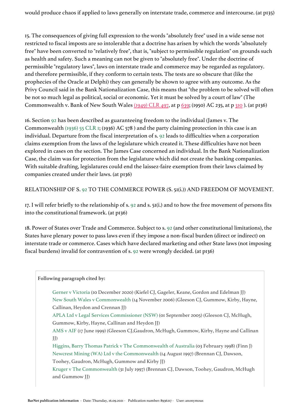would produce chaos if applied to laws generally on interstate trade, commerce and intercourse. (at p135)

15. The consequences of giving full expression to the words "absolutely free" used in a wide sense not restricted to fiscal imposts are so intolerable that a doctrine has arisen by which the words "absolutely free" have been converted to "relatively free", that is, "subject to permissible regulation" on grounds such as health and safety. Such a meaning can not be given to "absolutely free". Under the doctrine of permissible "regulatory laws", laws on interstate trade and commerce may be regarded as regulatory. and therefore permissible, if they conform to certain tests. The tests are so obscure that (like the prophecies of the Oracle at Delphi) they can generally be shown to agree with any outcome. As the Privy Council said in the Bank Nationalization Case, this means that "the problem to be solved will often be not so much legal as political, social or economic. Yet it must be solved by a court of law" (The Commonwealth v. Bank of New South Wales [\(1949\) CLR 497,](https://jade.io/citation/3073868) at p [639](https://jade.io/citation/2420310/section/140165); (1950) AC 235, at p [310](https://jade.io/citation/2420310/section/140819) ). (at p136)

16. Section [92](https://jade.io/article/260323/section/2036) has been described as guaranteeing freedom to the individual (James v. The Commonwealth [\(1936\) 55 CLR 1](https://jade.io/article/269619); (1936) AC 578 ) and the party claiming protection in this case is an individual. Departure from the fiscal interpretation of s. [92](https://jade.io/article/260323/section/2036) leads to difficulties when a corporation claims exemption from the laws of the legislature which created it. These difficulties have not been explored in cases on the section. The James Case concerned an individual. In the Bank Nationalization Case, the claim was for protection from the legislature which did not create the banking companies. With suitable drafting, legislatures could end the laissez-faire exemption from their laws claimed by companies created under their laws. (at p136)

RELATIONSHIP OF S. [92](https://jade.io/article/260323/section/2036) TO THE COMMERCE POWER (S. 51(i.)) AND FREEDOM OF MOVEMENT.

17. I will refer briefly to the relationship of s. [92](https://jade.io/article/260323/section/2036) and s. 51(i.) and to how the free movement of persons fits into the constitutional framework. (at p136)

18. Power of States over Trade and Commerce. Subject to s. [92](https://jade.io/article/260323/section/2036) (and other constitutional limitations), the States have plenary power to pass laws even if they impose a non-fiscal burden (direct or indirect) on interstate trade or commerce. Cases which have declared marketing and other State laws (not imposing fiscal burdens) invalid for contravention of s. [92](https://jade.io/article/260323/section/2036) were wrongly decided. (at p136)

**Following paragraph cited by:**

Gerner v Victoria (10 December 2020) (Kiefel CJ, Gageler, Keane, Gordon and Edelman JJ) New South Wales v Commonwealth (14 November 2006) (Gleeson CJ, Gummow, Kirby, Hayne, Callinan, Heydon and Crennan JJ)

APLA Ltd v Legal Services Commissioner (NSW) (01 September 2005) (Gleeson CJ, McHugh, Gummow, Kirby, Hayne, Callinan and Heydon JJ)

AMS v AIF (17 June 1999) (Gleeson CJ,Gaudron, McHugh, Gummow, Kirby, Hayne and Callinan JJ)

Higgins, Barry Thomas Patrick v The Commonwealth of Australia (03 February 1998) (Finn J) Newcrest Mining (WA) Ltd v the Commonwealth (14 August 1997) (Brennan CJ, Dawson, Toohey, Gaudron, McHugh, Gummow and Kirby JJ)

Kruger v The Commonwealth (31 July 1997) (Brennan CJ, Dawson, Toohey, Gaudron, McHugh and Gummow JJ)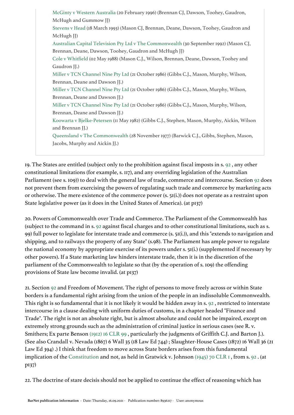| McGinty v Western Australia (20 February 1996) (Brennan CJ, Dawson, Toohey, Gaudron,         |
|----------------------------------------------------------------------------------------------|
| McHugh and Gummow JJ)                                                                        |
| Stevens v Head (18 March 1993) (Mason CJ, Brennan, Deane, Dawson, Toohey, Gaudron and        |
| McHugh JJ)                                                                                   |
| Australian Capital Television Pty Ltd v The Commonwealth (30 September 1992) (Mason CJ,      |
| Brennan, Deane, Dawson, Toohey, Gaudron and McHugh JJ)                                       |
| Cole v Whitfield (02 May 1988) (Mason C.J., Wilson, Brennan, Deane, Dawson, Toohey and       |
| Gaudron JJ.)                                                                                 |
| Miller v TCN Channel Nine Pty Ltd (21 October 1986) (Gibbs C.J., Mason, Murphy, Wilson,      |
| Brennan, Deane and Dawson JJ.)                                                               |
| Miller v TCN Channel Nine Pty Ltd (21 October 1986) (Gibbs C.J., Mason, Murphy, Wilson,      |
| Brennan, Deane and Dawson JJ.)                                                               |
| Miller v TCN Channel Nine Pty Ltd (21 October 1986) (Gibbs C.J., Mason, Murphy, Wilson,      |
| Brennan, Deane and Dawson JJ.)                                                               |
| Koowarta v Bjelke-Petersen (II May 1982) (Gibbs C.J., Stephen, Mason, Murphy, Aickin, Wilson |
| and Brennan JJ.)                                                                             |
| Queensland v The Commonwealth (28 November 1977) (Barwick C.J., Gibbs, Stephen, Mason,       |
| Jacobs, Murphy and Aickin JJ.)                                                               |
|                                                                                              |

19. The States are entitled (subject only to the prohibition against fiscal imposts in s. [92](https://jade.io/article/260323/section/2036) , any other constitutional limitations (for example, s. 117), and any overriding legislation of the Australian Parliament (see s. 109)) to deal with the general law of trade, commerce and intercourse. Section [92](https://jade.io/article/260323/section/2036) does not prevent them from exercising the powers of regulating such trade and commerce by marketing acts or otherwise. The mere existence of the commerce power (s. 51(i.)) does not operate as a restraint upon State legislative power (as it does in the United States of America). (at p137)

20. Powers of Commonwealth over Trade and Commerce. The Parliament of the Commonwealth has (subject to the command in s. [92](https://jade.io/article/260323/section/2036) against fiscal charges and to other constitutional limitations, such as s. 99) full power to legislate for interstate trade and commerce (s. 51(i.)), and this "extends to navigation and shipping, and to railways the property of any State" (s.98). The Parliament has ample power to regulate the national economy by appropriate exercise of its powers under s. 51(i.) (supplemented if necessary by other powers). If a State marketing law hinders interstate trade, then it is in the discretion of the parliament of the Commonwealth to legislate so that (by the operation of s. 109) the offending provisions of State law become invalid. (at p137)

21. Section [92](https://jade.io/article/260323/section/2036) and Freedom of Movement. The right of persons to move freely across or within State borders is a fundamental right arising from the union of the people in an indissoluble Commonwealth. This right is so fundamental that it is not likely it would be hidden away in s. [92](https://jade.io/article/260323/section/2036) , restricted to interstate intercourse in a clause dealing with uniform duties of customs, in a chapter headed "Finance and Trade". The right is not an absolute right, but is almost absolute and could not be impaired, except on extremely strong grounds such as the administration of criminal justice in serious cases (see R. v. Smithers; Ex parte Benson [\(1912\) 16 CLR 99](https://jade.io/article/62248) , particularly the judgments of Griffith C.J. and Barton J.). (See also Crandall v. Nevada (1867) 6 Wall 35 (18 Law Ed 744) ; Slaughter-House Cases (1872) 16 Wall 36 (21 Law Ed 394) .) I think that freedom to move across State borders arises from this fundamental implication of the [Constitution](https://jade.io/article/260323) and not, as held in Gratwick v. Johnson [\(1945\) 70 CLR 1](https://jade.io/article/64406) , from s. [92](https://jade.io/article/260323/section/2036) . (at p137)

22. The doctrine of stare decisis should not be applied to continue the effect of reasoning which has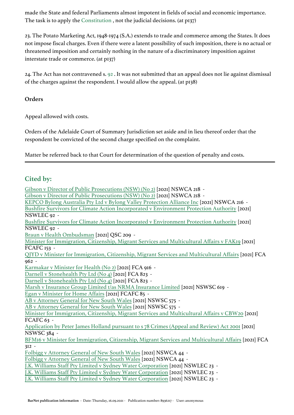made the State and federal Parliaments almost impotent in fields of social and economic importance. The task is to apply the [Constitution](https://jade.io/article/260323) , not the judicial decisions. (at p137)

23. The Potato Marketing Act, 1948-1974 (S.A.) extends to trade and commerce among the States. It does not impose fiscal charges. Even if there were a latent possibility of such imposition, there is no actual or threatened imposition and certainly nothing in the nature of a discriminatory imposition against interstate trade or commerce. (at p137)

24. The Act has not contravened s. [92](https://jade.io/article/260323/section/2036) . It was not submitted that an appeal does not lie against dismissal of the charges against the respondent. I would allow the appeal. (at p138)

**Orders**

Appeal allowed with costs.

Orders of the Adelaide Court of Summary Jurisdiction set aside and in lieu thereof order that the respondent be convicted of the second charge specified on the complaint.

Matter be referred back to that Court for determination of the question of penalty and costs.

# **Cited by:**

[Gibson v Director of Public Prosecutions \(NSW\) \(No 2\)](https://jade.io/article/834968) [2021] NSWCA 218 - [Gibson v Director of Public Prosecutions \(NSW\) \(No 2\)](https://jade.io/article/834968) [2021] NSWCA 218 - [KEPCO Bylong Australia Pty Ltd v Bylong Valley Protection Alliance Inc](https://jade.io/article/834969) [2021] NSWCA 216 - [Bushfire Survivors for Climate Action Incorporated v Environment Protection Authority](https://jade.io/article/829268) [2021] NSWLEC 92 - [Bushfire Survivors for Climate Action Incorporated v Environment Protection Authority](https://jade.io/article/829268) [2021] NSWLEC 92 - [Braun v Health Ombudsman](https://jade.io/article/828834) [2021] QSC 209 - [Minister for Immigration, Citizenship, Migrant Services and Multicultural Affairs v FAK19](https://jade.io/article/829035) [2021] FCAFC 153 - [QJYD v Minister for Immigration, Citizenship, Migrant Services and Multicultural Affairs](https://jade.io/article/827996) [2021] FCA 962 - [Karmakar v Minister for Health \(No 2\)](https://jade.io/article/826935) [2021] FCA 916 - [Darnell v Stonehealth Pty Ltd \(No 4\)](https://jade.io/article/824425) [2021] FCA 823 - [Darnell v Stonehealth Pty Ltd \(No 4\)](https://jade.io/article/824425) [2021] FCA 823 -[Marsh v Insurance Group Limited t/as NRMA Insurance Limited](https://jade.io/article/814065) [2021] NSWSC 619 - [Egan v Minister for Home Affairs](https://jade.io/article/813002) [2021] FCAFC 85 - [AB v Attorney General for New South Wales](https://jade.io/article/811112) [2021] NSWSC 575 - [AB v Attorney General for New South Wales](https://jade.io/article/811112) [2021] NSWSC 575 - [Minister for Immigration, Citizenship, Migrant Services and Multicultural Affairs v CBW20](https://jade.io/article/804997) [2021] FCAFC  $63 -$ [Application by Peter James Holland pursuant to s 78 Crimes \(Appeal and Review\) Act 2001](https://jade.io/article/803882) [2021] NSWSC 384 - [BFM16 v Minister for Immigration, Citizenship, Migrant Services and Multicultural Affairs](https://jade.io/article/799571) [2021] FCA 312 - [Folbigg v Attorney General of New South Wales](https://jade.io/article/797969) [2021] NSWCA 44 - [Folbigg v Attorney General of New South Wales](https://jade.io/article/797969) [2021] NSWCA 44 - [J.K. Williams Staff Pty Limited v Sydney Water Corporation](https://jade.io/article/797320) [2021] NSWLEC 23 - [J.K. Williams Staff Pty Limited v Sydney Water Corporation](https://jade.io/article/797320) [2021] NSWLEC 23 - [J.K. Williams Staff Pty Limited v Sydney Water Corporation](https://jade.io/article/797320) [2021] NSWLEC 23 -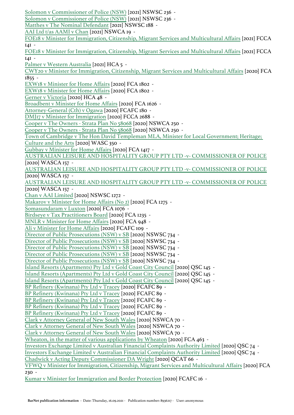[Solomon v Commissioner of Police \(NSW\)](https://jade.io/article/793781) [2021] NSWSC 236 - [Solomon v Commissioner of Police \(NSW\)](https://jade.io/article/793781) [2021] NSWSC 236 - [Matthes v The Nominal Defendant](https://jade.io/article/789882) [2021] NSWSC 188 - [AAI Ltd t/as AAMI v Chan](https://jade.io/article/788240) [2021] NSWCA 19 - [FOE18 v Minister for Immigration, Citizenship, Migrant Services and Multicultural Affairs](https://jade.io/article/788266) [2021] FCCA  $IAI -$ [FOE18 v Minister for Immigration, Citizenship, Migrant Services and Multicultural Affairs](https://jade.io/article/788266) [2021] FCCA  $IAI -$ [Palmer v Western Australia](https://jade.io/article/788038) [2021] HCA 5 - [CWY20 v Minister for Immigration, Citizenship, Migrant Services and Multicultural Affairs](https://jade.io/article/780694) [2020] FCA 1855 - [EXW18 v Minister for Home Affairs](https://jade.io/article/779650) [2020] FCA 1802 - [EXW18 v Minister for Home Affairs](https://jade.io/article/779650) [2020] FCA 1802 - [Gerner v Victoria](https://jade.io/article/778853) [2020] HCA 48 - [Broadbent v Minister for Home Affairs](https://jade.io/article/775674) [2020] FCA 1626 - [Attorney-General \(Cth\) v Ogawa](https://jade.io/article/773647) [2020] FCAFC 180 -[DMJ17 v Minister for Immigration](https://jade.io/article/773822) [2020] FCCA 2688 - [Cooper v The Owners - Strata Plan No 58068](https://jade.io/article/769427) [2020] NSWCA 250 - [Cooper v The Owners - Strata Plan No 58068](https://jade.io/article/769427) [2020] NSWCA 250 - [Town of Cambridge v The Hon David Templeman MLA, Minister for Local Government; Heritage;](https://jade.io/article/768264)  [Culture and the Arts](https://jade.io/article/768264) [2020] WASC 350 - [Gubbay v Minister for Home Affairs](https://jade.io/article/769595) [2020] FCA 1417 - [AUSTRALIAN LEISURE AND HOSPITALITY GROUP PTY LTD -v- COMMISSIONER OF POLICE](https://jade.io/article/766990) [2020] WASCA 157 - [AUSTRALIAN LEISURE AND HOSPITALITY GROUP PTY LTD -v- COMMISSIONER OF POLICE](https://jade.io/article/766990) [2020] WASCA 157 - [AUSTRALIAN LEISURE AND HOSPITALITY GROUP PTY LTD -v- COMMISSIONER OF POLICE](https://jade.io/article/766990) [2020] WASCA 157 -[Chan v AAI Limited](https://jade.io/article/765565) [2020] NSWSC 1272 - [Makarov v Minister for Home Affairs \(No 2\)](https://jade.io/article/763998) [2020] FCA 1275 - [Somasundaram v Luxton](https://jade.io/article/757646) [2020] FCA 1076 - [Birdseye v Tax Practitioners Board](https://jade.io/article/762475) [2020] FCA 1235 - [MNLR v Minister for Home Affairs](https://jade.io/article/755565) [2020] FCA 948 - [Ali v Minister for Home Affairs](https://jade.io/article/754095) [2020] FCAFC 109 - [Director of Public Prosecutions \(NSW\) v SB](https://jade.io/article/752451) [2020] NSWSC 734 - [Director of Public Prosecutions \(NSW\) v SB](https://jade.io/article/752451) [2020] NSWSC 734 - [Director of Public Prosecutions \(NSW\) v SB](https://jade.io/article/752451) [2020] NSWSC 734 - [Director of Public Prosecutions \(NSW\) v SB](https://jade.io/article/752451) [2020] NSWSC 734 - [Director of Public Prosecutions \(NSW\) v SB](https://jade.io/article/752451) [2020] NSWSC 734 - [Island Resorts \(Apartments\) Pty Ltd v Gold Coast City Council](https://jade.io/article/737254) [2020] QSC 145 - [Island Resorts \(Apartments\) Pty Ltd v Gold Coast City Council](https://jade.io/article/737254) [2020] QSC 145 - [Island Resorts \(Apartments\) Pty Ltd v Gold Coast City Council](https://jade.io/article/737254) [2020] QSC 145 - [BP Refinery \(Kwinana\) Pty Ltd v Tracey](https://jade.io/article/732353) [2020] FCAFC 89 - [BP Refinery \(Kwinana\) Pty Ltd v Tracey](https://jade.io/article/732353) [2020] FCAFC 89 - [BP Refinery \(Kwinana\) Pty Ltd v Tracey](https://jade.io/article/732353) [2020] FCAFC 89 - [BP Refinery \(Kwinana\) Pty Ltd v Tracey](https://jade.io/article/732353) [2020] FCAFC 89 - [BP Refinery \(Kwinana\) Pty Ltd v Tracey](https://jade.io/article/732353) [2020] FCAFC 89 - [Clark v Attorney General of New South Wales](https://jade.io/article/727373) [2020] NSWCA 70 - [Clark v Attorney General of New South Wales](https://jade.io/article/727373) [2020] NSWCA 70 - [Clark v Attorney General of New South Wales](https://jade.io/article/727373) [2020] NSWCA 70 - [Wheaton, in the matter of various applications by Wheaton](https://jade.io/article/725161) [2020] FCA 463 -[Investors Exchange Limited v Australian Financial Complaints Authority Limited](https://jade.io/article/725206) [2020] QSC 74 - [Investors Exchange Limited v Australian Financial Complaints Authority Limited](https://jade.io/article/725206) [2020] QSC 74 - [Chadwick v Acting Deputy Commissioner DA Wright](https://jade.io/article/721904) [2020] QCAT 66 - [VFWQ v Minister for Immigration, Citizenship, Migrant Services and Multicultural Affairs](https://jade.io/article/713981) [2020] FCA 230 - [Kumar v Minister for Immigration and Border Protection](https://jade.io/article/710294) [2020] FCAFC 16 -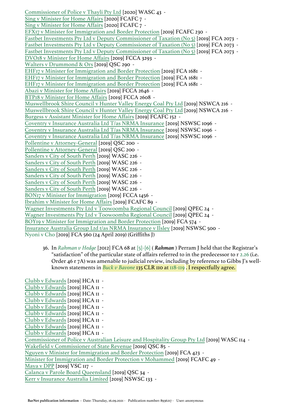[Commissioner of Police v Thayli Pty Ltd](https://jade.io/article/709844) [2020] WASC 43 - [Sing v Minister for Home Affairs](https://jade.io/article/708051) [2020] FCAFC 7 - [Sing v Minister for Home Affairs](https://jade.io/article/708051) [2020] FCAFC 7 - [EFX17 v Minister for Immigration and Border Protection](https://jade.io/article/695159) [2019] FCAFC 230 - [Fastbet Investments Pty Ltd v Deputy Commissioner of Taxation \(No 5\)](https://jade.io/article/693739) [2019] FCA 2073 - [Fastbet Investments Pty Ltd v Deputy Commissioner of Taxation \(No 5\)](https://jade.io/article/693739) [2019] FCA 2073 - [Fastbet Investments Pty Ltd v Deputy Commissioner of Taxation \(No 5\)](https://jade.io/article/693739) [2019] FCA 2073 - [DVO18 v Minister for Home Affairs](https://jade.io/article/693744) [2019] FCCA 3293 - [Walters v Drummond & Ors](https://jade.io/article/676079) [2019] QSC 290 - [EHF17 v Minister for Immigration and Border Protection](https://jade.io/article/669771) [2019] FCA 1681 - [EHF17 v Minister for Immigration and Border Protection](https://jade.io/article/669771) [2019] FCA 1681 - [EHF17 v Minister for Immigration and Border Protection](https://jade.io/article/669771) [2019] FCA 1681 - [Abazi v Minister for Home Affairs](https://jade.io/article/667689) [2019] FCCA 2646 - [BTP18 v Minister for Home Affairs](https://jade.io/article/667688) [2019] FCCA 2608 - [Muswellbrook Shire Council v Hunter Valley Energy Coal Pty Ltd](https://jade.io/article/665267) [2019] NSWCA 216 - [Muswellbrook Shire Council v Hunter Valley Energy Coal Pty Ltd](https://jade.io/article/665267) [2019] NSWCA 216 - [Burgess v Assistant Minister for Home Affairs](https://jade.io/article/665150) [2019] FCAFC 152 - [Coventry v Insurance Australia Ltd T/as NRMA Insurance](https://jade.io/article/664962) [2019] NSWSC 1096 - [Coventry v Insurance Australia Ltd T/as NRMA Insurance](https://jade.io/article/664962) [2019] NSWSC 1096 - [Coventry v Insurance Australia Ltd T/as NRMA Insurance](https://jade.io/article/664962) [2019] NSWSC 1096 - [Pollentine v Attorney-General](https://jade.io/article/658170) [2019] QSC 200 - [Pollentine v Attorney-General](https://jade.io/article/658170) [2019] QSC 200 - [Sanders v City of South Perth](https://jade.io/article/729910) [2019] WASC 226 - [Sanders v City of South Perth](https://jade.io/article/729910) [2019] WASC 226 - [Sanders v City of South Perth](https://jade.io/article/729910) [2019] WASC 226 - [Sanders v City of South Perth](https://jade.io/article/729910) [2019] WASC 226 - [Sanders v City of South Perth](https://jade.io/article/729910) [2019] WASC 226 - [Sanders v City of South Perth](https://jade.io/article/729910) [2019] WASC 226 - [BON17 v Minister for Immigration](https://jade.io/article/648755) [2019] FCCA 1456 - [Ibrahim v Minister for Home Affairs](https://jade.io/article/646450) [2019] FCAFC 89 - [Wagner Investments Pty Ltd v Toowoomba Regional Council](https://jade.io/article/646493) [2019] QPEC 24 - [Wagner Investments Pty Ltd v Toowoomba Regional Council](https://jade.io/article/646493) [2019] QPEC 24 - [BOY19 v Minister for Immigration and Border Protection](https://jade.io/article/643722) [2019] FCA 574 - [Insurance Australia Group Ltd t/as NRMA Insurance v Ilsley](https://jade.io/article/643471) [2019] NSWSC 500 -Nyoni v Cho [2019] FCA 560 (24 April 2019) (Griffiths J)

36. In *[Rahman v Hedge](https://jade.io/article/260965)* [2012] FCA 68 at [\[5\]-\[6\]](https://jade.io/article/260965/section/1294) ( *Rahman* ) Perram J held that the Registrar's "satisfaction" of the particular state of affairs referred to in the predecessor to r [2.26](https://jade.io/article/251316/section/95649) (i.e. Order 46 r 7A) was amenable to judicial review, including by reference to Gibbs J's wellknown statements in *[Buck v Bavone](https://jade.io/article/66591)* 135 CLR 110 at [118-119](https://jade.io/article/66591/section/418) . I respectfully agree.

[Clubb v Edwards](https://jade.io/article/641090) [2019] HCA 11 - [Clubb v Edwards](https://jade.io/article/641090) [2019] HCA 11 - [Clubb v Edwards](https://jade.io/article/641090) [2019] HCA 11 - [Clubb v Edwards](https://jade.io/article/641090) [2019] HCA 11 - [Clubb v Edwards](https://jade.io/article/641090) [2019] HCA 11 - [Clubb v Edwards](https://jade.io/article/641090) [2019] HCA 11 - [Clubb v Edwards](https://jade.io/article/641090) [2019] HCA 11 - [Clubb v Edwards](https://jade.io/article/641090) [2019] HCA 11 - [Clubb v Edwards](https://jade.io/article/641090) [2019] HCA 11 - [Commissioner of Police v Australian Leisure and Hospitality Group Pty Ltd](https://jade.io/article/640586) [2019] WASC 114 - [Wakefield v Commissioner of State Revenue](https://jade.io/article/640535) [2019] QSC 85 - [Nguyen v Minister for Immigration and Border Protection](https://jade.io/article/639352) [2019] FCA 423 - [Minister for Immigration and Border Protection v Mohammed](https://jade.io/article/639351) [2019] FCAFC 49 - [Maya v DPP](https://jade.io/article/636967) [2019] VSC 117 - [Calanca v Parole Board Queensland](https://jade.io/article/635808) [2019] QSC 34 - [Kerr v Insurance Australia Limited](https://jade.io/article/635575) [2019] NSWSC 133 -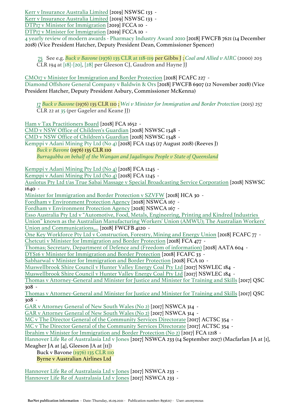[Kerr v Insurance Australia Limited](https://jade.io/article/635575) [2019] NSWSC 133 - [Kerr v Insurance Australia Limited](https://jade.io/article/635575) [2019] NSWSC 133 - [DTP17 v Minister for Immigration](https://jade.io/article/635289) [2019] FCCA 10 -

[DTP17 v Minister for Immigration](https://jade.io/article/635289) [2019] FCCA 10 -

4 yearly review of modern awards - Pharmacy Industry Award 2010 [2018] FWCFB 7621 (14 December 2018) (Vice President Hatcher, Deputy President Dean, Commissioner Spencer)

75 See e.g. *[Buck v Bavone](https://jade.io/article/66591)* [\(1976\) 135 CLR at 118-119](https://jade.io/article/66591/section/418) per Gibbs J ; *[Coal and Allied v AIRC](https://jade.io/article/68216)* (2000) 203 CLR 194 at [\[18\]-\[20\]](https://jade.io/article/68216/section/140864), [\[28\]](https://jade.io/article/68216/section/140558) per Gleeson CJ, Gaudron and Hayne JJ

[CMO17 v Minister for Immigration and Border Protection](https://jade.io/article/624558) [2018] FCAFC 227 - Diamond Offshore General Company v Baldwin & Ors [2018] FWCFB 6907 (12 November 2018) (Vice President Hatcher, Deputy President Asbury, Commissioner McKenna)

17 *[Buck v Bavone](https://jade.io/article/66591)* (1976) 135 CLR 110 ; *[Wei v Minister for Immigration and Border Protection](https://jade.io/article/421509)* (2015) 257 CLR 22 at [35](https://jade.io/article/421509/section/140268) (per Gageler and Keane JJ)

[Ham v Tax Practitioners Board](https://jade.io/article/619341) [2018] FCA 1652 - [CMD v NSW Office of Children's Guardian](https://jade.io/article/618889) [2018] NSWSC 1348 - [CMD v NSW Office of Children's Guardian](https://jade.io/article/618889) [2018] NSWSC 1348 - Kemppi v Adani Mining Pty Ltd (No 4) [2018] FCA 1245 (17 August 2018) (Reeves J) *[Buck v Bavone](https://jade.io/article/66591)* (1976) 135 CLR 110 *[Burragubba on behalf of the Wangan and Jagalingou People v State of Queensland](https://jade.io/article/526911)* [Kemppi v Adani Mining Pty Ltd \(No 4\)](https://jade.io/article/599528) [2018] FCA 1245 - [Kemppi v Adani Mining Pty Ltd \(No 4\)](https://jade.io/article/599528) [2018] FCA 1245 - [Auslotus Pty Ltd t/as True Sabai Massage v Special Broadcasting Service Corporation](https://jade.io/article/618887) [2018] NSWSC 1640 - [Minister for Immigration and Border Protection v SZVFW](https://jade.io/article/598216) [2018] HCA 30 - [Fordham v Environment Protection Agency](https://jade.io/article/597578) [2018] NSWCA 167 - [Fordham v Environment Protection Agency](https://jade.io/article/597578) [2018] NSWCA 167 - [Esso Australia Pty Ltd v "Automotive, Food, Metals, Engineering, Printing and Kindred Industries](https://jade.io/article/595889)  [Union" known as the Australian Manufacturing Workers' Union \(AMWU\); The Australian Workers'](https://jade.io/article/595889)  [Union and Communications,...](https://jade.io/article/595889) [2018] FWCFB 4120 - [One Key Workforce Pty Ltd v Construction, Forestry, Mining and Energy Union](https://jade.io/article/585466) [2018] FCAFC 77 - [Chetcuti v Minister for Immigration and Border Protection](https://jade.io/article/577300) [2018] FCA 477 - [Thomas; Secretary, Department of Defence and \(Freedom of information\)](https://jade.io/article/575423) [2018] AATA 604 - [DYS16 v Minister for Immigration and Border Protection](https://jade.io/article/574404) [2018] FCAFC 33 - [Sabharwal v Minister for Immigration and Border Protection](https://jade.io/article/569089) [2018] FCA 10 - [Muswellbrook Shire Council v Hunter Valley Energy Coal Pty Ltd](https://jade.io/article/566925) [2017] NSWLEC 184 - [Muswellbrook Shire Council v Hunter Valley Energy Coal Pty Ltd](https://jade.io/article/566925) [2017] NSWLEC 184 - [Thomas v Attorney-General and Minister for Justice and Minister for Training and Skills](https://jade.io/article/566486) [2017] QSC 308 - [Thomas v Attorney-General and Minister for Justice and Minister for Training and Skills](https://jade.io/article/566486) [2017] QSC 308 - [GAR v Attorney General of New South Wales \(No 2\)](https://jade.io/article/565782) [2017] NSWCA 314 - [GAR v Attorney General of New South Wales \(No 2\)](https://jade.io/article/565782) [2017] NSWCA 314 - [MC v The Director General of the Community Services Directorate](https://jade.io/article/564053) [2017] ACTSC 354 - [MC v The Director General of the Community Services Directorate](https://jade.io/article/564053) [2017] ACTSC 354 - [Ibrahim v Minister for Immigration and Border Protection \(No 2\)](https://jade.io/article/550740) [2017] FCA 1218 - Hannover Life Re of Australasia Ltd v Jones [2017] NSWCA 233 (14 September 2017) (Macfarlan JA at [1], Meagher JA at [4], Gleeson JA at [11]) Buck v Bavone [\(1976\) 135 CLR 110](https://jade.io/article/66591)

Byrne v Australian Airlines Ltd

[Hannover Life Re of Australasia Ltd v Jones](https://jade.io/article/547632) [2017] NSWCA 233 - [Hannover Life Re of Australasia Ltd v Jones](https://jade.io/article/547632) [2017] NSWCA 233 -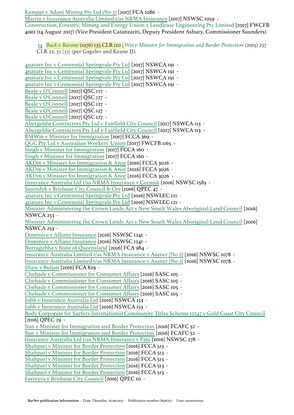[Kemppi v Adani Mining Pty Ltd \(No 2\)](https://jade.io/article/569472) [2017] FCA 1086 -

[Martin v Insurance Australia Limited t/as NRMA Insurance](https://jade.io/article/544778) [2017] NSWSC 1059 -

Construction, Forestry, Mining and Energy Union v Lendlease Engineering Pty Limited [2017] FWCFB 4001 (14 August 2017) (Vice President Catanzariti, Deputy President Asbury, Commissioner Saunders)

14 *[Buck v Bavone](https://jade.io/article/66591)* (1976) 135 CLR 110 ; *[Wei v Minister for Immigration and Border Protection](https://jade.io/article/421509)* (2015) 257 CLR 22, [35](https://jade.io/article/421509/section/533) [\[33\]](https://jade.io/article/421509/section/533) (per Gageler and Keane JJ).

[4nature Inc v Centennial Springvale Pty Ltd](https://jade.io/article/542882) [2017] NSWCA 191 - [4nature Inc v Centennial Springvale Pty Ltd](https://jade.io/article/542882) [2017] NSWCA 191 - [4nature Inc v Centennial Springvale Pty Ltd](https://jade.io/article/542882) [2017] NSWCA 191 - [4nature Inc v Centennial Springvale Pty Ltd](https://jade.io/article/542882) [2017] NSWCA 191 - [Beale v O'Connell](https://jade.io/article/534150) [2017] QSC 127 - [Beale v O'Connell](https://jade.io/article/534150) [2017] QSC 127 - [Beale v O'Connell](https://jade.io/article/534150) [2017] QSC 127 - [Beale v O'Connell](https://jade.io/article/534150) [2017] QSC 127 - [Beale v O'Connell](https://jade.io/article/534150) [2017] QSC 127 - [Abergeldie Contractors Pty Ltd v Fairfield City Council](https://jade.io/article/531615) [2017] NSWCA 113 - [Abergeldie Contractors Pty Ltd v Fairfield City Council](https://jade.io/article/531615) [2017] NSWCA 113 - [BMW16 v Minister for Immigration](https://jade.io/article/523778) [2017] FCCA 369 -[QGC Pty Ltd v Australian Workers' Union](https://jade.io/article/522789) [2017] FWCFB 1165 - [Singh v Minister for Immigration](https://jade.io/article/519748) [2017] FCCA 160 - [Singh v Minister for Immigration](https://jade.io/article/519748) [2017] FCCA 160 - [AKD16 v Minister for Immigration & Anor](https://jade.io/article/506254) [2016] FCCA 3026 - [AKD16 v Minister for Immigration & Anor](https://jade.io/article/506254) [2016] FCCA 3026 - [AKD16 v Minister for Immigration & Anor](https://jade.io/article/506254) [2016] FCCA 3026 - [Insurance Australia Ltd t/as NRMA Insurance v Cornish](https://jade.io/article/504191) [2016] NSWSC 1583 - [Steendyk v Brisbane City Council & Ors](https://jade.io/article/492962) [2016] QPEC 47 - [4nature Inc v Centennial Springvale Pty Ltd](https://jade.io/article/491192) [2016] NSWLEC 121 - [4nature Inc v Centennial Springvale Pty Ltd](https://jade.io/article/491192) [2016] NSWLEC 121 - [Minister Administering the Crown Lands Act v New South Wales Aboriginal Land Council](https://jade.io/article/490633) [2016] NSWCA 253 - [Minister Administering the Crown Lands Act v New South Wales Aboriginal Land Council](https://jade.io/article/490633) [2016] NSWCA 253 - [Dominice v Allianz Insurance](https://jade.io/article/490405) [2016] NSWSC 1241 - [Dominice v Allianz Insurance](https://jade.io/article/490405) [2016] NSWSC 1241 - [Burragubba v State of Queensland](https://jade.io/article/488448) [2016] FCA 984 - [Insurance Australia Limited t/as NRMA Insurance v Asaner \[No 2\]](https://jade.io/article/487095) [2016] NSWSC 1078 - [Insurance Australia Limited t/as NRMA Insurance v Asaner \[No 2\]](https://jade.io/article/487095) [2016] NSWSC 1078 - [Shaw v Buljan](https://jade.io/article/484750) [2016] FCA 829 - [Chehade v Commissioner for Consumer Affairs](https://jade.io/article/484428) [2016] SASC 105 - [Chehade v Commissioner for Consumer Affairs](https://jade.io/article/484428) [2016] SASC 105 - [Chehade v Commissioner for Consumer Affairs](https://jade.io/article/484428) [2016] SASC 105 - [Chehade v Commissioner for Consumer Affairs](https://jade.io/article/484428) [2016] SASC 105 - [Jubb v Insurance Australia Ltd](https://jade.io/article/483087) [2016] NSWCA 153 - [Jubb v Insurance Australia Ltd](https://jade.io/article/483087) [2016] NSWCA 153 - [Body Corporate for Surfers International Community Titles Scheme 12247 v Gold Coast City Council](https://jade.io/article/480272) [2016] QPEC 29 - [Sun v Minister for Immigration and Border Protection](https://jade.io/article/460421) [2016] FCAFC 52 - [Sun v Minister for Immigration and Border Protection](https://jade.io/article/460421) [2016] FCAFC 52 - [Insurance Australia Ltd t/as NRMA Insurance v Pate](https://jade.io/article/450974) [2016] NSWSC 278 - [Shahpari v Minister for Border Protection](https://jade.io/article/450280) [2016] FCCA 513 - [Shahpari v Minister for Border Protection](https://jade.io/article/450280) [2016] FCCA 513 - [Shahpari v Minister for Border Protection](https://jade.io/article/450280) [2016] FCCA 513 - [Shahpari v Minister for Border Protection](https://jade.io/article/450280) [2016] FCCA 513 - [Shahpari v Minister for Border Protection](https://jade.io/article/450280) [2016] FCCA 513 - [Ferreyra v Brisbane City Council](https://jade.io/article/448875) [2016] QPEC 10 -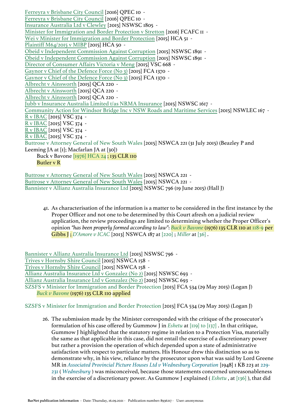[Ferreyra v Brisbane City Council](https://jade.io/article/448875) [2016] QPEC 10 - [Ferreyra v Brisbane City Council](https://jade.io/article/448875) [2016] QPEC 10 - [Insurance Australia Ltd v Clewley](https://jade.io/article/447098) [2015] NSWSC 1805 - [Minister for Immigration and Border Protection v Stretton](https://jade.io/article/447150) [2016] FCAFC 11 - [Wei v Minister for Immigration and Border Protection](https://jade.io/article/421509) [2015] HCA 51 -[Plaintiff M64/2015 v MIBP](https://jade.io/article/421511) [2015] HCA 50 - [Obeid v Independent Commission Against Corruption](https://jade.io/article/421086) [2015] NSWSC 1891 - [Obeid v Independent Commission Against Corruption](https://jade.io/article/421086) [2015] NSWSC 1891 - [Director of Consumer Affairs Victoria v Meng](https://jade.io/article/421155) [2015] VSC 668 - [Gaynor v Chief of the Defence Force \(No 3\)](https://jade.io/article/420240) [2015] FCA 1370 - [Gaynor v Chief of the Defence Force \(No 3\)](https://jade.io/article/420240) [2015] FCA 1370 - [Albrecht v Ainsworth](https://jade.io/article/417256) [2015] QCA 220 - [Albrecht v Ainsworth](https://jade.io/article/417256) [2015] QCA 220 - [Albrecht v Ainsworth](https://jade.io/article/417256) [2015] QCA 220 - [Jubb v Insurance Australia Limited t/as NRMA Insurance](https://jade.io/article/416821) [2015] NSWSC 1617 - [Community Action for Windsor Bridge Inc v NSW Roads and Maritime Services](https://jade.io/article/415994) [2015] NSWLEC 167 - [R v IBAC](https://jade.io/article/403777) [2015] VSC 374 - [R v IBAC](https://jade.io/article/403777) [2015] VSC 374 - [R v IBAC](https://jade.io/article/403777) [2015] VSC 374 - [R v IBAC](https://jade.io/article/403777) [2015] VSC 374 - Buttrose v Attorney General of New South Wales [2015] NSWCA 221 (31 July 2015) (Beazley P and Leeming JA at [1]; Macfarlan JA at [30]) Buck v Bavone [\[1976\] HCA 24](https://jade.io/article/66591) ; 135 CLR 110 Butler v R [Buttrose v Attorney General of New South Wales](https://jade.io/article/402094) [2015] NSWCA 221 -

[Buttrose v Attorney General of New South Wales](https://jade.io/article/402094) [2015] NSWCA 221 - Bannister v Allianz Australia Insurance Ltd [2015] NSWSC 796 (19 June 2015) (Hall J)

41. As characterisation of the information is a matter to be considered in the first instance by the Proper Officer and not one to be determined by this Court afresh on a judicial review application, the review proceedings are limited to determining whether the Proper Officer's opinion *"has been properly formed according to law"*: *[Buck v Bavone](https://jade.io/article/66591)* (1976) 135 CLR 110 at [118-9](https://jade.io/article/66591/section/418) per Gibbs J ; *[D'Amore v ICAC](https://jade.io/article/297060)* [2013] NSWCA 187 at [\[220\]](https://jade.io/article/297060/section/7830) ; *[Miller](https://jade.io/article/311983)* at [\[36\]](https://jade.io/article/311983/section/1155) .

[Bannister v Allianz Australia Insurance Ltd](https://jade.io/article/397888) [2015] NSWSC 796 - [Trives v Hornsby Shire Council](https://jade.io/article/397022) [2015] NSWCA 158 - [Trives v Hornsby Shire Council](https://jade.io/article/397022) [2015] NSWCA 158 - [Allianz Australia Insurance Ltd v Gonzalez \(No 2\)](https://jade.io/article/396557) [2015] NSWSC 693 - [Allianz Australia Insurance Ltd v Gonzalez \(No 2\)](https://jade.io/article/396557) [2015] NSWSC 693 - SZSFS v Minister for Immigration and Border Protection [2015] FCA 534 (29 May 2015) (Logan J) *[Buck v Bavone](https://jade.io/article/66591)* (1976) 135 CLR 110 applied

SZSFS v Minister for Immigration and Border Protection [2015] FCA 534 (29 May 2015) (Logan J)

26. The submission made by the Minister corresponded with the critique of the prosecutor's formulation of his case offered by Gummow J in *[Eshetu](https://jade.io/article/68120)* at [\[119\] to \[137\]](https://jade.io/article/68120/section/552889) . In that critique, Gummow J highlighted that the statutory regime in relation to a Protection Visa, materially the same as that applicable in this case, did not entail the exercise of a discretionary power but rather a provision the operation of which depended upon a state of administrative satisfaction with respect to particular matters. His Honour drew this distinction so as to demonstrate why, in his view, reliance by the prosecutor upon what was said by Lord Greene MR in *[Associated Provincial Picture Houses Ltd v Wednesbury Corporation](https://jade.io/citation/15147703)* [1948] 1 KB 223 at [229-](https://jade.io/citation/2670181/section/22219) [231](https://jade.io/citation/2670181/section/22219) ( *[Wednesbury](https://jade.io/citation/15147703)* ) was misconceived, because those statements concerned unreasonableness in the exercise of a discretionary power. As Gummow J explained ( *[Eshetu](https://jade.io/article/68120)* , at [\[136\]](https://jade.io/article/68120/section/1836) ), that did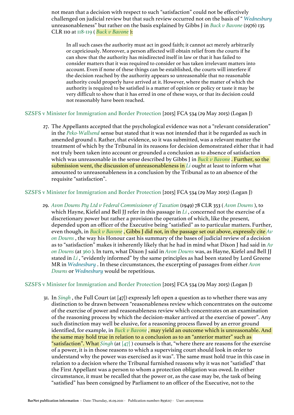not mean that a decision with respect to such "satisfaction" could not be effectively challenged on judicial review but that such review occurred not on the basis of " *[Wednesbury](https://jade.io/citation/15147703)* unreasonableness" but rather on the basis explained by Gibbs J in *[Buck v Bavone](https://jade.io/article/66591)* (1976) 135 CLR 110 at [118-119](https://jade.io/article/66591/section/418) ( *[Buck v Bavone](https://jade.io/article/66591)* ):

In all such cases the authority must act in good faith; it cannot act merely arbitrarily or capriciously. Moreover, a person affected will obtain relief from the courts if he can show that the authority has misdirected itself in law or that it has failed to consider matters that it was required to consider or has taken irrelevant matters into account. Even if none of these things can be established, the courts will interfere if the decision reached by the authority appears so unreasonable that no reasonable authority could properly have arrived at it. However, where the matter of which the authority is required to be satisfied is a matter of opinion or policy or taste it may be very difficult to show that it has erred in one of these ways, or that its decision could not reasonably have been reached.

SZSFS v Minister for Immigration and Border Protection [2015] FCA 534 (29 May 2015) (Logan J)

27. The Appellants accepted that the psychological evidence was not a "relevant consideration" in the *[Peko-Wallsend](https://jade.io/article/67289)* sense but stated that it was not intended that it be regarded as such in amended ground 1. Rather, that evidence, so it was submitted, was a relevant matter the treatment of which by the Tribunal in its reasons for decision demonstrated either that it had not truly been taken into account or grounded a conclusion as to absence of satisfaction which was unreasonable in the sense described by Gibbs J in *[Buck v Bavone](https://jade.io/article/66591)* . Further, so the submission went, the discussion of unreasonableness in *[Li](https://jade.io/article/294688)* ought at least to inform what amounted to unreasonableness in a conclusion by the Tribunal as to an absence of the requisite "satisfaction".

## SZSFS v Minister for Immigration and Border Protection [2015] FCA 534 (29 May 2015) (Logan J)

29. *[Avon Downs Pty Ltd v Federal Commissioner of Taxation](https://jade.io/article/64604)* (1949) 78 CLR 353 ( *[Avon Downs](https://jade.io/article/64604)* ), to which Hayne, Kiefel and Bell JJ refer in this passage in *[Li](https://jade.io/article/294688)* , concerned not the exercise of a discretionary power but rather a provision the operation of which, like the present, depended upon an officer of the Executive being "satisfied" as to particular matters. Further, even though, in *[Buck v Bavone](https://jade.io/article/66591)* , Gibbs J did not, in the passage set out above, expressly cite *[Av](https://jade.io/article/64604) [on Downs](https://jade.io/article/64604)* , the way his Honour cast his summary of the bases of judicial review of a decision as to "satisfaction" makes it inherently likely that he had in mind what Dixon J had said in *[Av](https://jade.io/article/64604) [on Downs](https://jade.io/article/64604)* (at [360](https://jade.io/article/64604/section/139914) ). In turn, what Dixon J said in *[Avon Downs](https://jade.io/article/64604)* was, as Hayne, Kiefel and Bell JJ stated in *[Li](https://jade.io/article/294688)* , "evidently informed" by the same principles as had been stated by Lord Greene MR in *[Wednesbury](https://jade.io/citation/15147703)* . In these circumstances, the excerpting of passages from either *[Avon](https://jade.io/article/64604)  [Downs](https://jade.io/article/64604)* or *[Wednesbury](https://jade.io/citation/15147703)* would be repetitious.

### SZSFS v Minister for Immigration and Border Protection [2015] FCA 534 (29 May 2015) (Logan J)

31. In *[Singh](https://jade.io/article/332579)* , the Full Court (at [47]) expressly left open a question as to whether there was any distinction to be drawn between "reasonableness review which concentrates on the outcome of the exercise of power and reasonableness review which concentrates on an examination of the reasoning process by which the decision-maker arrived at the exercise of power". Any such distinction may well be elusive, for a reasoning process flawed by an error ground identified, for example, in *[Buck v Bavone](https://jade.io/article/66591)*, may yield an outcome which is unreasonable. And the same may hold true in relation to a conclusion as to an "anterior matter" such as "satisfaction". What *[Singh](https://jade.io/article/332579)* (at [\[47\]](https://jade.io/article/332579/section/777) ) counsels is that, "where there are reasons for the exercise of a power, it is in those reasons to which a supervising court should look in order to understand why the power was exercised as it was". The same must hold true in this case in relation to a decision where the Tribunal furnished reasons why it was not "satisfied" that the First Appellant was a person to whom a protection obligation was owed. In either circumstance, it must be recalled that the power or, as the case may be, the task of being "satisfied" has been consigned by Parliament to an officer of the Executive, not to the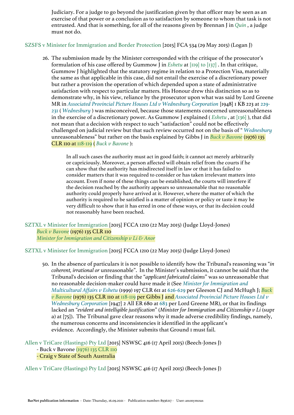Judiciary. For a judge to go beyond the justification given by that officer may be seen as an exercise of that power or a conclusion as to satisfaction by someone to whom that task is not entrusted. And that is something, for all of the reasons given by Brennan J in *[Quin](https://jade.io/article/67561)* , a judge must not do.

## SZSFS v Minister for Immigration and Border Protection [2015] FCA 534 (29 May 2015) (Logan J)

26. The submission made by the Minister corresponded with the critique of the prosecutor's formulation of his case offered by Gummow J in *[Eshetu](https://jade.io/article/68120)* at [\[119\] to \[137\]](https://jade.io/article/68120/section/552889) . In that critique, Gummow J highlighted that the statutory regime in relation to a Protection Visa, materially the same as that applicable in this case, did not entail the exercise of a discretionary power but rather a provision the operation of which depended upon a state of administrative satisfaction with respect to particular matters. His Honour drew this distinction so as to demonstrate why, in his view, reliance by the prosecutor upon what was said by Lord Greene MR in *[Associated Provincial Picture Houses Ltd v Wednesbury Corporation](https://jade.io/citation/15147703)* [1948] 1 KB 223 at [229-](https://jade.io/citation/2670181/section/22219) [231](https://jade.io/citation/2670181/section/22219) ( *[Wednesbury](https://jade.io/citation/15147703)* ) was misconceived, because those statements concerned unreasonableness in the exercise of a discretionary power. As Gummow J explained ( *[Eshetu](https://jade.io/article/68120)* , at [\[136\]](https://jade.io/article/68120/section/1836) ), that did not mean that a decision with respect to such "satisfaction" could not be effectively challenged on judicial review but that such review occurred not on the basis of " *[Wednesbury](https://jade.io/citation/15147703)* unreasonableness" but rather on the basis explained by Gibbs J in *[Buck v Bavone](https://jade.io/article/66591)* (1976) 135 CLR 110 at [118-119](https://jade.io/article/66591/section/418) ( *[Buck v Bavone](https://jade.io/article/66591)* ):

In all such cases the authority must act in good faith; it cannot act merely arbitrarily or capriciously. Moreover, a person affected will obtain relief from the courts if he can show that the authority has misdirected itself in law or that it has failed to consider matters that it was required to consider or has taken irrelevant matters into account. Even if none of these things can be established, the courts will interfere if the decision reached by the authority appears so unreasonable that no reasonable authority could properly have arrived at it. However, where the matter of which the authority is required to be satisfied is a matter of opinion or policy or taste it may be very difficult to show that it has erred in one of these ways, or that its decision could not reasonably have been reached.

SZTXL v Minister for Immigration [2015] FCCA 1210 (22 May 2015) (Judge Lloyd-Jones) *[Buck v Bavone](https://jade.io/article/66591)* (1976) 135 CLR 110 *[Minister for Immigration and Citizenship v Li & Anor](https://jade.io/article/294688)*

SZTXL v Minister for Immigration [2015] FCCA 1210 (22 May 2015) (Judge Lloyd-Jones)

50. In the absence of particulars it is not possible to identify how the Tribunal's reasoning was "*in coherent, irrational or* unreasonable". In the Minister's submission, it cannot be said that the Tribunal's decision or finding that the "*applicant fabricated claims*" was so unreasonable that no reasonable decision-maker could have made it (See *[Minister for Immigration and](https://jade.io/citation/18762355)  [Multicultural Affairs v Eshetu](https://jade.io/citation/18762355)* (1999) 197 CLR 611 at [626-629](https://jade.io/citation/18762348/section/17793) per Gleeson CJ and McHugh J; *[Buck](https://jade.io/article/66591)  [v Bavone](https://jade.io/article/66591)* (1976) 135 CLR 110 at [118-119](https://jade.io/article/66591/section/418) per Gibbs J and *[Associated Provincial Picture Houses Ltd v](https://jade.io/citation/1277738)  [Wednesbury Corporation](https://jade.io/citation/1277738)* [1947] 2 All ER 680 at [683](https://jade.io/citation/2670182/section/4238) per Lord Greene MR), or that its findings lacked an "*evident and intelligible justification*" (*Minister for Immigration and Citizenship v Li* (supr a) at [75]). The Tribunal gave clear reasons why it made adverse credibility findings, namely, the numerous concerns and inconsistencies it identified in the applicant's evidence. Accordingly, the Minister submits that Ground 1 must fail.

Allen v TriCare (Hastings) Pty Ltd [2015] NSWSC 416 (17 April 2015) (Beech-Jones J) - Buck v Bavone [\(1976\) 135 CLR 110](https://jade.io/article/66591)

# - Craig v State of South Australia

Allen v TriCare (Hastings) Pty Ltd [2015] NSWSC 416 (17 April 2015) (Beech-Jones J)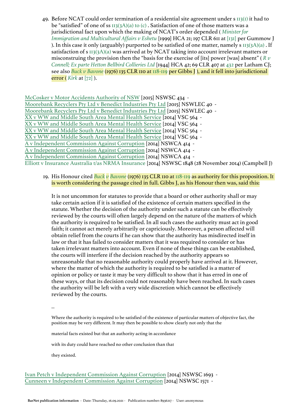49. Before NCAT could order termination of a residential site agreement under s [113\(1\)](https://jade.io/article/276828/section/5225) it had to be "satisfied" of one of ss [113\(3A\)\(a\) to \(c\)](https://jade.io/article/276828/section/546636) . Satisfaction of one of those matters was a jurisdictional fact upon which the making of NCAT's order depended ( *[Minister for](https://jade.io/article/68120)  [Immigration and Multicultural Affairs v Eshetu](https://jade.io/article/68120)* [1999] HCA 21; 197 CLR 611 at [\[131\]](https://jade.io/article/68120/section/2212) per Gummow J ). In this case it only (arguably) purported to be satisfied of one matter, namely s [113\(3A\)\(a\)](https://jade.io/article/276828/section/546632) . If satisfaction of s [113\(3A\)\(a\)](https://jade.io/article/276828/section/546632) was arrived at by NCAT taking into account irrelevant matters or misconstruing the provision then the "basis for the exercise of [its] power [was] absent" ( *[R v](https://jade.io/article/64347)  [Connell; Ex parte Hetton Bellbird Collieries Ltd](https://jade.io/article/64347)* [1944] HCA 42; 69 CLR 407 at [432](https://jade.io/article/64347/section/140606) per Latham CJ; see also *[Buck v Bavone](https://jade.io/article/66591)* (1976) 135 CLR 110 at [118-119](https://jade.io/article/66591/section/418) per Gibbs J ), and it fell into jurisdictional error ( *[Kirk](https://jade.io/article/123160)* at [\[72\]](https://jade.io/article/123160/section/486) ).

[McCosker v Motor Accidents Authority of NSW](https://jade.io/article/389576) [2015] NSWSC 434 - [Moorebank Recyclers Pty Ltd v Benedict Industries Pty Ltd](https://jade.io/article/390469) [2015] NSWLEC 40 - [Moorebank Recyclers Pty Ltd v Benedict Industries Pty Ltd](https://jade.io/article/390469) [2015] NSWLEC 40 - [XX v WW and Middle South Area Mental Health Service](https://jade.io/article/362561) [2014] VSC 564 - [XX v WW and Middle South Area Mental Health Service](https://jade.io/article/362561) [2014] VSC 564 - [XX v WW and Middle South Area Mental Health Service](https://jade.io/article/362561) [2014] VSC 564 - [XX v WW and Middle South Area Mental Health Service](https://jade.io/article/362561) [2014] VSC 564 - [A v Independent Commission Against Corruption](https://jade.io/article/354006) [2014] NSWCA 414 - [A v Independent Commission Against Corruption](https://jade.io/article/354006) [2014] NSWCA 414 - [A v Independent Commission Against Corruption](https://jade.io/article/354006) [2014] NSWCA 414 - Elliott v Insurance Australia t/as NRMA Insurance [2014] NSWSC 1848 (28 November 2014) (Campbell J)

19. His Honour cited *[Buck](https://jade.io/article/66591) [v](https://jade.io/article/66591) [Bavone](https://jade.io/article/66591)* (1976) 135 CLR 110 at [118-119](https://jade.io/article/66591/section/418) as authority for this proposition. It is worth considering the passage cited in full. Gibbs J, as his Honour then was, said this:

It is not uncommon for statutes to provide that a board or other authority shall or may take certain action if it is satisfied of the existence of certain matters specified in the statute. Whether the decision of the authority under such a statute can be effectively reviewed by the courts will often largely depend on the nature of the matters of which the authority is required to be satisfied. In all such cases the authority must act in good faith; it cannot act merely arbitrarily or capriciously. Moreover, a person affected will obtain relief from the courts if he can show that the authority has misdirected itself in law or that it has failed to consider matters that it was required to consider or has taken irrelevant matters into account. Even if none of these things can be established, the courts will interfere if the decision reached by the authority appears so unreasonable that no reasonable authority could properly have arrived at it. However, where the matter of which the authority is required to be satisfied is a matter of opinion or policy or taste it may be very difficult to show that it has erred in one of these ways, or that its decision could not reasonably have been reached. In such cases the authority will be left with a very wide discretion which cannot be effectively reviewed by the courts.

...

Where the authority is required to be satisfied of the existence of particular matters of objective fact, the position may be very different. It may then be possible to show clearly not only that the

material facts existed but that an authority acting in accordance

with its duty could have reached no other conclusion than that

they existed.

[Ivan Petch v Independent Commission Against Corruption](https://jade.io/article/352465) [2014] NSWSC 1693 - [Cunneen v Independent Commission Against Corruption](https://jade.io/article/351126) [2014] NSWSC 1571 -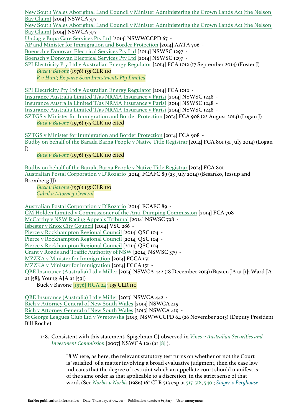[New South Wales Aboriginal Land Council v Minister Administering the Crown Lands Act \(the Nelson](https://jade.io/article/350731)  [Bay Claim\)](https://jade.io/article/350731) [2014] NSWCA 377 -

[New South Wales Aboriginal Land Council v Minister Administering the Crown Lands Act \(the Nelson](https://jade.io/article/350731)  [Bay Claim\)](https://jade.io/article/350731) [2014] NSWCA 377 -

[Undag v Bupa Care Services Pty Ltd](https://jade.io/article/407859) [2014] NSWWCCPD 67 -

[AP and Minister for Immigration and Border Protection](https://jade.io/article/347910) [2014] AATA 706 -

[Boensch v Donovan Electrical Services Pty Ltd](https://jade.io/article/347612) [2014] NSWSC 1297 -

[Boensch v Donovan Electrical Services Pty Ltd](https://jade.io/article/347612) [2014] NSWSC 1297 -

SPI Electricity Pty Ltd v Australian Energy Regulator [2014] FCA 1012 (17 September 2014) (Foster J) *[Buck v Bavone](https://jade.io/article/66591)* (1976) 135 CLR 110

*[R v Hunt; Ex parte Sean Investments Pty Limited](https://jade.io/article/66798)*

[SPI Electricity Pty Ltd v Australian Energy Regulator](https://jade.io/article/347311) [2014] FCA 1012 -

[Insurance Australia Limited T/as NRMA Insurance v Parisi](https://jade.io/article/346674) [2014] NSWSC 1248 -

[Insurance Australia Limited T/as NRMA Insurance v Parisi](https://jade.io/article/346674) [2014] NSWSC 1248 -

[Insurance Australia Limited T/as NRMA Insurance v Parisi](https://jade.io/article/346674) [2014] NSWSC 1248 -

SZTGS v Minister for Immigration and Border Protection [2014] FCA 908 (22 August 2014) (Logan J) *[Buck v Bavone](https://jade.io/article/66591)* (1976) 135 CLR 110 cited

[SZTGS v Minister for Immigration and Border Protection](https://jade.io/article/343024) [2014] FCA 908 -

Budby on behalf of the Barada Barna People v Native Title Registrar [2014] FCA 801 (31 July 2014) (Logan J)

*[Buck v Bavone](https://jade.io/article/66591)* (1976) 135 CLR 110 cited

[Budby on behalf of the Barada Barna People v Native Title Registrar](https://jade.io/article/339450) [2014] FCA 801 - Australian Postal Corporation v D'Rozario [2014] FCAFC 89 (23 July 2014) (Besanko, Jessup and Bromberg JJ)

*[Buck v Bavone](https://jade.io/article/66591)* (1976) 135 CLR 110

*[Cabal v Attorney-General](https://jade.io/article/103613)*

[Australian Postal Corporation v D'Rozario](https://jade.io/article/338964) [2014] FCAFC 89 -

[GM Holden Limited v Commissioner of the Anti-Dumping Commission](https://jade.io/article/338105) [2014] FCA 708 -

[McCarthy v NSW Racing Appeals Tribunal](https://jade.io/article/336719) [2014] NSWSC 798 -

[Isbester v Knox City Council](https://jade.io/article/336915) [2014] VSC 286 -

[Pierce v Rockhampton Regional Council](https://jade.io/article/336078) [2014] OSC 104 -

[Pierce v Rockhampton Regional Council](https://jade.io/article/336078) [2014] QSC 104 -

[Pierce v Rockhampton Regional Council](https://jade.io/article/336078) [2014] QSC 104 -

[Grant v Roads and Traffic Authority of NSW](https://jade.io/article/318517) [2014] NSWSC 379 -

[MZZKA v Minister for Immigration](https://jade.io/article/313667) [2014] FCCA 151 -

[MZZKA v Minister for Immigration](https://jade.io/article/313667) [2014] FCCA 151 -

QBE Insurance (Australia) Ltd v Miller [2013] NSWCA 442 (18 December 2013) (Basten JA at [1]; Ward JA at [58]; Young AJA at [59])

Buck v Bavone [\[1976\] HCA 24](https://jade.io/article/66591) ; 135 CLR 110

[QBE Insurance \(Australia\) Ltd v Miller](https://jade.io/article/311983) [2013] NSWCA 442 -

[Rich v Attorney General of New South Wales](https://jade.io/article/307227) [2013] NSWCA 419 -

[Rich v Attorney General of New South Wales](https://jade.io/article/307227) [2013] NSWCA 419 -

St George Leagues Club Ltd v Wretowska [2013] NSWWCCPD 64 (26 November 2013) (Deputy President Bill Roche)

148. Consistent with this statement, Spigelman CJ observed in *[Vines v Australian Securities and](https://jade.io/article/10939)  [Investment Commission](https://jade.io/article/10939)* [2007] NSWCA 126 (at [\[8\]](https://jade.io/article/10939/section/140572) ):

> "8 Where, as here, the relevant statutory test turns on whether or not the Court is 'satisfied' of a matter involving a broad evaluative judgment, then the case law indicates that the degree of restraint which an appellate court should manifest is of the same order as that applicable to a discretion, in the strict sense of that word. (See *[Norbis v Norbis](https://jade.io/article/67263)* (1986) 161 CLR 513 esp at [517-518](https://jade.io/article/67263/section/140168), [540](https://jade.io/article/67263/section/1115) ; *[Singer v Berghouse](https://jade.io/citation/18762309)*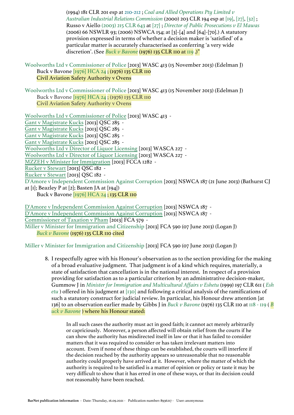(1994) 181 CLR 201 esp at [210-212](https://jade.io/citation/18762308/section/10905) ; *[Coal and Allied Operations Pty Limited v](https://jade.io/article/68216)  [Australian Industrial Relations Commission](https://jade.io/article/68216)* (2000) 203 CLR 194 esp at [\[19\],](https://jade.io/article/68216/section/140543) [\[27\],](https://jade.io/article/68216/section/140176) [\[32\]](https://jade.io/article/68216/section/260) ; Russo v Aiello [\(2003\) 215 CLR 643](https://jade.io/article/68425) at [\[27\]](https://jade.io/article/68425/section/140176) ; *[Director of Public Prosecutions v El Mawas](https://jade.io/article/126393)* (2006) 66 NSWLR 93; (2006) NSWCA 154; at [3]-[4] and [64]-[70].) A statutory provision expressed in terms of whether a decision maker is 'satisfied' of a particular matter is accurately characterised as conferring 'a very wide discretion'. (See *[Buck v Bavone](https://jade.io/article/66591)* (1976) 135 CLR 110 at [119](https://jade.io/article/66591/section/140442) .)"

Woolworths Ltd v Commissioner of Police [2013] WASC 413 (15 November 2013) (Edelman J) Buck v Bavone [\[1976\] HCA 24](https://jade.io/article/66591) ; (1976) 135 CLR 110 Civil Aviation Safety Authority v Ovens

Woolworths Ltd v Commissioner of Police [2013] WASC 413 (15 November 2013) (Edelman J) Buck v Bavone [\[1976\] HCA 24](https://jade.io/article/66591) ; (1976) 135 CLR 110 Civil Aviation Safety Authority v Ovens

[Woolworths Ltd v Commissioner of Police](https://jade.io/article/305789) [2013] WASC 413 - [Gant v Magistrate Kucks](https://jade.io/article/304339) [2013] QSC 285 - [Gant v Magistrate Kucks](https://jade.io/article/304339) [2013] QSC 285 - [Gant v Magistrate Kucks](https://jade.io/article/304339) [2013] QSC 285 - [Gant v Magistrate Kucks](https://jade.io/article/304339) [2013] QSC 285 - [Woolworths Ltd v Director of Liquor Licensing](https://jade.io/article/303163) [2013] WASCA 227 - [Woolworths Ltd v Director of Liquor Licensing](https://jade.io/article/303163) [2013] WASCA 227 - [MZZEH v Minister for Immigration](https://jade.io/article/303019) [2013] FCCA 1282 - [Rucker v Stewart](https://jade.io/article/298760) [2013] QSC 182 - [Rucker v Stewart](https://jade.io/article/298760) [2013] QSC 182 - D'Amore v Independent Commission Against Corruption [2013] NSWCA 187 (21 June 2013) (Bathurst CJ at [1]; Beazley P at [2]; Basten JA at [194]) Buck v Bavone [\[1976\] HCA 24](https://jade.io/article/66591) ; 135 CLR 110

[D'Amore v Independent Commission Against Corruption](https://jade.io/article/297060) [2013] NSWCA 187 - [D'Amore v Independent Commission Against Corruption](https://jade.io/article/297060) [2013] NSWCA 187 - [Commissioner of Taxation v Pham](https://jade.io/article/296636) [2013] FCA 579 - Miller v Minister for Immigration and Citizenship [2013] FCA 590 (07 June 2013) (Logan J) *[Buck v Bavone](https://jade.io/article/66591)* (1976) 135 CLR 110 cited

Miller v Minister for Immigration and Citizenship [2013] FCA 590 (07 June 2013) (Logan J)

8. I respectfully agree with his Honour's observation as to the section providing for the making of a broad evaluative judgment. That judgment is of a kind which requires, materially, a state of satisfaction that cancellation is in the national interest. In respect of a provision providing for satisfaction as to a particular criterion by an administrative decision-maker, Gummow J in *[Minister for Immigration and Multicultural Affairs v Eshetu](https://jade.io/article/68120)* (1999) 197 CLR 611 ( *[Esh](https://jade.io/article/68120) [etu](https://jade.io/article/68120)* ) offered in his judgment at [\[130\]](https://jade.io/article/68120/section/3814) and following a critical analysis of the ramifications of such a statutory construct for judicial review. In particular, his Honour drew attention [at 136] to an observation earlier made by Gibbs J in *[Buck v Bavone](https://jade.io/article/66591)* (1976) 135 CLR 110 at [118 - 119](https://jade.io/article/66591/section/418) ( *[B](https://jade.io/article/66591) [uck v Bavone](https://jade.io/article/66591)* ) where his Honour stated:

In all such cases the authority must act in good faith; it cannot act merely arbitrarily or capriciously. Moreover, a person affected will obtain relief from the courts if he can show the authority has misdirected itself in law or that it has failed to consider matters that it was required to consider or has taken irrelevant matters into account. Even if none of these things can be established, the courts will interfere if the decision reached by the authority appears so unreasonable that no reasonable authority could properly have arrived at it. However, where the matter of which the authority is required to be satisfied is a matter of opinion or policy or taste it may be very difficult to show that it has erred in one of these ways, or that its decision could not reasonably have been reached.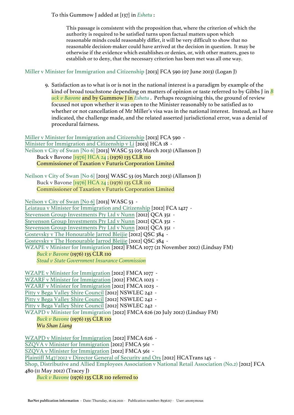## To this Gummow J added at [137] in *[Eshetu](https://jade.io/article/68120)* :

This passage is consistent with the proposition that, where the criterion of which the authority is required to be satisfied turns upon factual matters upon which reasonable minds could reasonably differ, it will be very difficult to show that no reasonable decision-maker could have arrived at the decision in question. It may be otherwise if the evidence which establishes or denies, or, with other matters, goes to establish or to deny, that the necessary criterion has been met was all one way.

## Miller v Minister for Immigration and Citizenship [2013] FCA 590 (07 June 2013) (Logan J)

9. Satisfaction as to what is or is not in the national interest is a paradigm by example of the kind of broad touchstone depending on matters of opinion or taste referred to by Gibbs J in *[B](https://jade.io/article/66591) [uck v Bavone](https://jade.io/article/66591)* and by Gummow J in *[Eshetu](https://jade.io/article/68120)* . Perhaps recognising this, the ground of review focused not upon whether it was open to the Minister reasonably to be satisfied as to whether or not cancellation of Mr Miller's visa was in the national interest. Instead, as I have indicated, the challenge made, and the related asserted jurisdictional error, was a denial of procedural fairness.

[Miller v Minister for Immigration and Citizenship](https://jade.io/article/296802) [2013] FCA 590 - [Minister for Immigration and Citizenship v Li](https://jade.io/article/294688) [2013] HCA 18 - Neilson v City of Swan [No 6] [2013] WASC 53 (05 March 2013) (Allanson J) Buck v Bavone [\[1976\] HCA 24](https://jade.io/article/66591) ; (1976) 135 CLR 110 Commissioner of Taxation v Futuris Corporation Limited

Neilson v City of Swan [No 6] [2013] WASC 53 (05 March 2013) (Allanson J) Buck v Bavone [\[1976\] HCA 24](https://jade.io/article/66591) ; (1976) 135 CLR 110 Commissioner of Taxation v Futuris Corporation Limited

[Neilson v City of Swan \[No 6\]](https://jade.io/article/291140) [2013] WASC 53 - [Leiataua v Minister for Immigration and Citizenship](https://jade.io/article/288465) [2012] FCA 1427 - [Stevenson Group Investments Pty Ltd v Nunn](https://jade.io/article/287616) [2012] QCA 351 - [Stevenson Group Investments Pty Ltd v Nunn](https://jade.io/article/287616) [2012] QCA 351 - [Stevenson Group Investments Pty Ltd v Nunn](https://jade.io/article/287616) [2012] QCA 351 - [Gostevsky v The Honourable Jarrod Bleijie](https://jade.io/article/287333) [2012] QSC 384 - [Gostevsky v The Honourable Jarrod Bleijie](https://jade.io/article/287333) [2012] QSC 384 - WZAPE v Minister for Immigration [2012] FMCA 1077 (21 November 2012) (Lindsay FM) *[Buck v Bavone](https://jade.io/article/66591)* (1976) 135 CLR 110 *[Stead v State Government Insurance Commission](https://jade.io/article/67304)*

[WZAPE v Minister for Immigration](https://jade.io/article/286556) [2012] FMCA 1077 - [WZARF v Minister for Immigration](https://jade.io/article/286374) [2012] FMCA 1023 - [WZARF v Minister for Immigration](https://jade.io/article/286374) [2012] FMCA 1023 - [Pitty v Bega Valley Shire Council](https://jade.io/article/285303) [2012] NSWLEC 242 - [Pitty v Bega Valley Shire Council](https://jade.io/article/285303) [2012] NSWLEC 242 - [Pitty v Bega Valley Shire Council](https://jade.io/article/285303) [2012] NSWLEC 242 - WZAPD v Minister for Immigration [2012] FMCA 626 (20 July 2012) (Lindsay FM) *[Buck v Bavone](https://jade.io/article/66591)* (1976) 135 CLR 110 *Wu Shan Liang* [WZAPD v Minister for Immigration](https://jade.io/article/268738) [2012] FMCA 626 - [SZQVA v Minister for Immigration](https://jade.io/article/268161) [2012] FMCA 561 - [SZQVA v Minister for Immigration](https://jade.io/article/268161) [2012] FMCA 561 - [Plaintiff M47/2012 v Director General of Security and Ors](https://jade.io/article/266909) [2012] HCATrans 145 - Shop, Distributive and Allied Employees Association v National Retail Association (No.2) [2012] FCA

480 (11 May 2012) (Tracey J)

*[Buck v Bavone](https://jade.io/article/66591)* (1976) 135 CLR 110 referred to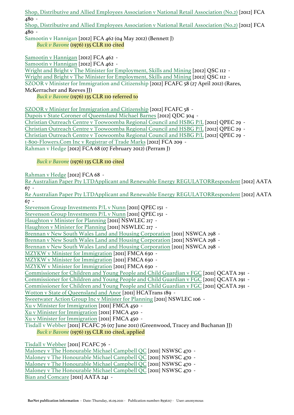[Shop, Distributive and Allied Employees Association v National Retail Association \(No.2\)](https://jade.io/article/264636) [2012] FCA 480 -

[Shop, Distributive and Allied Employees Association v National Retail Association \(No.2\)](https://jade.io/article/264636) [2012] FCA 480 -

Samootin v Hannigan [2012] FCA 462 (04 May 2012) (Bennett J) *[Buck v Bavone](https://jade.io/article/66591)* (1976) 135 CLR 110 cited

[Samootin v Hannigan](https://jade.io/article/264533) [2012] FCA 462 - [Samootin v Hannigan](https://jade.io/article/264533) [2012] FCA 462 - [Wright and Bright v The Minister for Employment, Skills and Mining](https://jade.io/article/264707) [2012] QSC 112 - [Wright and Bright v The Minister for Employment, Skills and Mining](https://jade.io/article/264707) [2012] QSC 112 - SZOOR v Minister for Immigration and Citizenship [2012] FCAFC 58 (27 April 2012) (Rares, McKerracher and Reeves JJ) *[Buck v Bavone](https://jade.io/article/66591)* (1976) 135 CLR 110 referred to

[SZOOR v Minister for Immigration and Citizenship](https://jade.io/article/264092) [2012] FCAFC 58 -

[Dupois v State Coroner of Queensland Michael Barnes](https://jade.io/article/284296) [2012] QDC 304 - [Christian Outreach Centre v Toowoomba Regional Council and HSBG P/L](https://jade.io/article/263893) [2012] QPEC 29 - [Christian Outreach Centre v Toowoomba Regional Council and HSBG P/L](https://jade.io/article/263893) [2012] QPEC 29 - [Christian Outreach Centre v Toowoomba Regional Council and HSBG P/L](https://jade.io/article/263893) [2012] QPEC 29 - [1-800-Flowers.Com Inc v Registrar of Trade Marks](https://jade.io/article/262581) [2012] FCA 209 - Rahman v Hedge [2012] FCA 68 (07 February 2012) (Perram J)

# *[Buck v Bavone](https://jade.io/article/66591)* (1976) 135 CLR 110 cited

[Rahman v Hedge](https://jade.io/article/260965) [2012] FCA 68 -

[Re Australian Paper Pty LTDApplicant and Renewable Energy REGULATORRespondent](https://jade.io/article/261194) [2012] AATA 67 -

[Re Australian Paper Pty LTDApplicant and Renewable Energy REGULATORRespondent](https://jade.io/article/261194) [2012] AATA 67 -

[Stevenson Group Investments P/L v Nunn](https://jade.io/article/260318) [2011] QPEC 151 -

[Stevenson Group Investments P/L v Nunn](https://jade.io/article/260318) [2011] QPEC 151 -

[Haughton v Minister for Planning](https://jade.io/article/260026) [2011] NSWLEC 217 -

[Haughton v Minister for Planning](https://jade.io/article/260026) [2011] NSWLEC 217 -

[Brennan v New South Wales Land and Housing Corporation](https://jade.io/article/253733) [2011] NSWCA 298 -

[Brennan v New South Wales Land and Housing Corporation](https://jade.io/article/253733) [2011] NSWCA 298 -

[Brennan v New South Wales Land and Housing Corporation](https://jade.io/article/253733) [2011] NSWCA 298 -

[MZYKW v Minister for Immigration](https://jade.io/article/252172) [2011] FMCA 630 -

[MZYKW v Minister for Immigration](https://jade.io/article/252172) [2011] FMCA 630 -

[MZYKW v Minister for Immigration](https://jade.io/article/252172) [2011] FMCA 630 -

[Commissioner for Children and Young People and Child Guardian v FGC](https://jade.io/article/257310) [2011] QCATA 291 -

[Commissioner for Children and Young People and Child Guardian v FGC](https://jade.io/article/257310) [2011] QCATA 291 -

[Commissioner for Children and Young People and Child Guardian v FGC](https://jade.io/article/257310) [2011] QCATA 291 - [Wotton v State of Queensland and Anor](https://jade.io/article/248777) [2011] HCATrans 189 -

[Sweetwater Action Group Inc v Minister for Planning](https://jade.io/article/229633) [2011] NSWLEC 106 -

[Xu v Minister for Immigration](https://jade.io/article/222352) [2011] FMCA 450 -

[Xu v Minister for Immigration](https://jade.io/article/222352) [2011] FMCA 450 -

[Xu v Minister for Immigration](https://jade.io/article/222352) [2011] FMCA 450 -

Tisdall v Webber [2011] FCAFC 76 (07 June 2011) (Greenwood, Tracey and Buchanan JJ)

*[Buck v Bavone](https://jade.io/article/66591)* (1976) 135 CLR 110 cited, applied

[Tisdall v Webber](https://jade.io/article/218019) [2011] FCAFC 76 - [Maloney v The Honourable Michael Campbell QC](https://jade.io/article/220368) [2011] NSWSC 470 - [Maloney v The Honourable Michael Campbell QC](https://jade.io/article/220368) [2011] NSWSC 470 - [Maloney v The Honourable Michael Campbell QC](https://jade.io/article/220368) [2011] NSWSC 470 - [Maloney v The Honourable Michael Campbell QC](https://jade.io/article/220368) [2011] NSWSC 470 - [Bian and Comcare](https://jade.io/article/215702) [2011] AATA 241 -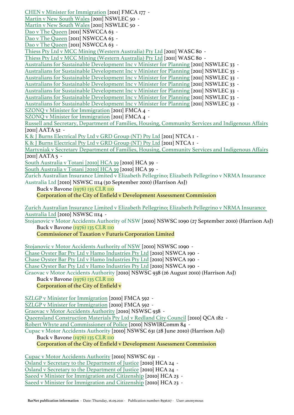BarNet publication information - Date: Thursday, 16.09.2021 - Publication number: 8936217 - User: anonymous [CHEN v Minister for Immigration](https://jade.io/article/215968) [2011] FMCA 177 - [Martin v New South Wales](https://jade.io/article/216008) [2011] NSWLEC 50 - [Martin v New South Wales](https://jade.io/article/216008) [2011] NSWLEC 50 -[Dao v The Queen](https://jade.io/article/215996) [2011] NSWCCA 63 -[Dao v The Queen](https://jade.io/article/215996) [2011] NSWCCA 63 - [Dao v The Queen](https://jade.io/article/215996) [2011] NSWCCA 63 - [Thiess Pty Ltd v MCC Mining \(Western Australia\) Pty Ltd](https://jade.io/article/214632) [2011] WASC 80 - [Thiess Pty Ltd v MCC Mining \(Western Australia\) Pty Ltd](https://jade.io/article/214632) [2011] WASC 80 - [Australians for Sustainable Development Inc v Minister for Planning](https://jade.io/article/210638) [2011] NSWLEC 33 - [Australians for Sustainable Development Inc v Minister for Planning](https://jade.io/article/210638) [2011] NSWLEC 33 - [Australians for Sustainable Development Inc v Minister for Planning](https://jade.io/article/210638) [2011] NSWLEC 33 - [Australians for Sustainable Development Inc v Minister for Planning](https://jade.io/article/210638) [2011] NSWLEC 33 - [Australians for Sustainable Development Inc v Minister for Planning](https://jade.io/article/210638) [2011] NSWLEC 33 - [Australians for Sustainable Development Inc v Minister for Planning](https://jade.io/article/210638) [2011] NSWLEC 33 - [Australians for Sustainable Development Inc v Minister for Planning](https://jade.io/article/210638) [2011] NSWLEC 33 - [SZONQ v Minister for Immigration](https://jade.io/article/209832) [2011] FMCA 4 - [SZONQ v Minister for Immigration](https://jade.io/article/209832) [2011] FMCA 4 - [Russell and Secretary, Department of Families, Housing, Community Services and Indigenous Affairs](https://jade.io/article/209015) [2011] AATA 52 - [K & J Burns Electrical Pty Ltd v GRD Group \(NT\) Pty Ltd](https://jade.io/article/258055) [2011] NTCA 1 - [K & J Burns Electrical Pty Ltd v GRD Group \(NT\) Pty Ltd](https://jade.io/article/258055) [2011] NTCA 1 - [Martyniak v Secretary Department of Families, Housing, Community Services and Indigenous Affairs](https://jade.io/article/208969)  $\sqrt{20II\ AATA 5}$  -[South Australia v Totani \[2010\] HCA 39](https://jade.io/article/203200) [2010] HCA 39 -[South Australia v Totani \[2010\] HCA 39](https://jade.io/article/203200) [2010] HCA 39 - Zurich Australian Insurance Limited v Elizabeth Pellegrino; Elizabeth Pellegrino v NRMA Insurance Australia Ltd [2010] NSWSC 1114 (30 September 2010) (Harrison AsJ) Buck v Bavone [\(1976\) 135 CLR 110](https://jade.io/article/66591) Corporation of the City of Enfield v Development Assessment Commission [Zurich Australian Insurance Limited v Elizabeth Pellegrino; Elizabeth Pellegrino v NRMA Insurance](https://jade.io/article/202298)  [Australia Ltd](https://jade.io/article/202298) [2010] NSWSC 1114 - Stojanovic v Motor Accidents Authority of NSW [2010] NSWSC 1090 (27 September 2010) (Harrison AsJ) Buck v Bavone [\(1976\) 135 CLR 110](https://jade.io/article/66591) Commissioner of Taxation v Futuris Corporation Limited [Stojanovic v Motor Accidents Authority of NSW](https://jade.io/article/202227) [2010] NSWSC 1090 - [Chase Oyster Bar Pty Ltd v Hamo Industries Pty Ltd](https://jade.io/article/202179) [2010] NSWCA 190 - [Chase Oyster Bar Pty Ltd v Hamo Industries Pty Ltd](https://jade.io/article/202179) [2010] NSWCA 190 - [Chase Oyster Bar Pty Ltd v Hamo Industries Pty Ltd](https://jade.io/article/202179) [2010] NSWCA 190 - Graovac v Motor Accidents Authority [2010] NSWSC 938 (26 August 2010) (Harrison AsJ) Buck v Bavone [\(1976\) 135 CLR 110](https://jade.io/article/66591) Corporation of the City of Enfield v [SZLGP v Minister for Immigration](https://jade.io/article/201373) [2010] FMCA 592 - [SZLGP v Minister for Immigration](https://jade.io/article/201373) [2010] FMCA 592 - [Graovac v Motor Accidents Authority](https://jade.io/article/201406) [2010] NSWSC 938 - [Queensland Construction Materials Pty Ltd v Redland City Council](https://jade.io/article/196576) [2010] QCA 182 - [Robert Whyte and Commissioner of Police](https://jade.io/article/185963) [2010] NSWIRComm 84 - Cupac v Motor Accidents Authority [2010] NSWSC 631 (28 June 2010) (Harrison AsJ) Buck v Bavone [\(1976\) 135 CLR 110](https://jade.io/article/66591) Corporation of the City of Enfield v Development Assessment Commission [Cupac v Motor Accidents Authority](https://jade.io/article/196409) [2010] NSWSC 631 - [Osland v Secretary to the Department of Justice](https://jade.io/article/185667) [2010] HCA 24 - [Osland v Secretary to the Department of Justice](https://jade.io/article/185667) [2010] HCA 24 - [Saeed v Minister for Immigration and Citizenship](https://jade.io/article/185666) [2010] HCA 23 - [Saeed v Minister for Immigration and Citizenship](https://jade.io/article/185666) [2010] HCA 23 -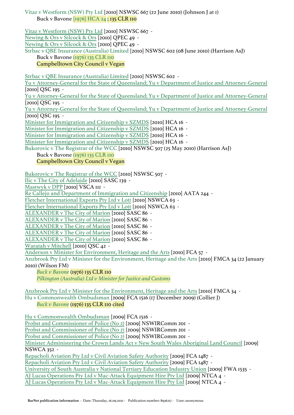Vitaz v Westform (NSW) Pty Ltd [2010] NSWSC 667 (22 June 2010) (Johnson J at 1) Buck v Bavone [\[1976\] HCA 24](https://jade.io/article/66591) ; 135 CLR 110 [Vitaz v Westform \(NSW\) Pty Ltd](https://jade.io/article/185652) [2010] NSWSC 667 - [Newing & Ors v Silcock & Ors](https://jade.io/article/185720) [2010] QPEC 49 - [Newing & Ors v Silcock & Ors](https://jade.io/article/185720) [2010] QPEC 49 - Strbac v QBE Insurance (Australia) Limited [2010] NSWSC 602 (08 June 2010) (Harrison AsJ) Buck v Bavone [\(1976\) 135 CLR 110](https://jade.io/article/66591) Campbelltown City Council v Vegan [Strbac v QBE Insurance \(Australia\) Limited](https://jade.io/article/181444) [2010] NSWSC 602 - [Yu v Attorney-General for the State of Queensland; Yu v Department of Justice and Attorney-General](https://jade.io/article/179180) [2010] QSC 195 - [Yu v Attorney-General for the State of Queensland; Yu v Department of Justice and Attorney-General](https://jade.io/article/179180) [2010] OSC 195 -[Yu v Attorney-General for the State of Queensland; Yu v Department of Justice and Attorney-General](https://jade.io/article/179180) [2010] OSC 195 -[Minister for Immigration and Citizenship v SZMDS](https://jade.io/article/148199) [2010] HCA 16 - [Minister for Immigration and Citizenship v SZMDS](https://jade.io/article/148199) [2010] HCA 16 - [Minister for Immigration and Citizenship v SZMDS](https://jade.io/article/148199) [2010] HCA 16 - [Minister for Immigration and Citizenship v SZMDS](https://jade.io/article/148199) [2010] HCA 16 - Bukorovic v The Registrar of the WCC [2010] NSWSC 507 (25 May 2010) (Harrison AsJ) Buck v Bavone [\(1976\) 135 CLR 110](https://jade.io/article/66591) Campbelltown City Council v Vegan [Bukorovic v The Registrar of the WCC](https://jade.io/article/148057) [2010] NSWSC 507 - [Ilic v The City of Adelaide](https://jade.io/article/147692) [2010] SASC 139 - [Mastwyk v DPP](https://jade.io/article/147512) [2010] VSCA III -[Re Callejo and Department of Immigration and Citizenship](https://jade.io/article/659178) [2010] AATA 244 - [Fletcher International Exports Pty Ltd v Lott](https://jade.io/article/140102) [2010] NSWCA 63 - [Fletcher International Exports Pty Ltd v Lott](https://jade.io/article/140102) [2010] NSWCA 63 - [ALEXANDER v The City of Marion](https://jade.io/article/140215) [2010] SASC 86 - [ALEXANDER v The City of Marion](https://jade.io/article/140215) [2010] SASC 86 - [ALEXANDER v The City of Marion](https://jade.io/article/140215) [2010] SASC 86 - [ALEXANDER v The City of Marion](https://jade.io/article/140215) [2010] SASC 86 - [ALEXANDER v The City of Marion](https://jade.io/article/140215) [2010] SASC 86 - [Waratah v Mitchell](https://jade.io/article/127014) [2010] QSC 42 - [Anderson v Minister for Environment, Heritage and the Arts](https://jade.io/article/123515) [2010] FCA 57 - Anzbrook Pty Ltd v Minister for the Environment, Heritage and the Arts [2010] FMCA 34 (22 January 2010) (Wilson FM) *[Buck v Bavone](https://jade.io/article/66591)* (1976) 135 CLR 110 *[Pilkington \(Australia\) Ltd v Minister for Justice and Customs](https://jade.io/article/100345)* [Anzbrook Pty Ltd v Minister for the Environment, Heritage and the Arts](https://jade.io/article/122968) [2010] FMCA 34 - Hu v Commonwealth Ombudsman [2009] FCA 1516 (17 December 2009) (Collier J) *[Buck v Bavone](https://jade.io/article/66591)* (1976) 135 CLR 110 cited [Hu v Commonwealth Ombudsman](https://jade.io/article/121975) [2009] FCA 1516 - [Probst and Commissioner of Police \(No 2\)](https://jade.io/article/121752) [2009] NSWIRComm 201 - [Probst and Commissioner of Police \(No 2\)](https://jade.io/article/121752) [2009] NSWIRComm 201 - [Probst and Commissioner of Police \(No 2\)](https://jade.io/article/121752) [2009] NSWIRComm 201 - [Minister Administering the Crown Lands Act v New South Wales Aboriginal Land Council](https://jade.io/article/121449) [2009] NSWCA 352 - [Repacholi Aviation Pty Ltd v Civil Aviation Safety Authority](https://jade.io/article/121641) [2009] FCA 1487 - [Repacholi Aviation Pty Ltd v Civil Aviation Safety Authority](https://jade.io/article/121641) [2009] FCA 1487 - [University of South Australia v National Tertiary Education Industry Union](https://jade.io/article/555792) [2009] FWA 1535 - [AJ Lucas Operations Pty Ltd v Mac-Attack Equipment Hire Pty Ltd](https://jade.io/article/293207) [2009] NTCA 4 -

[AJ Lucas Operations Pty Ltd v Mac-Attack Equipment Hire Pty Ltd](https://jade.io/article/293207) [2009] NTCA 4 -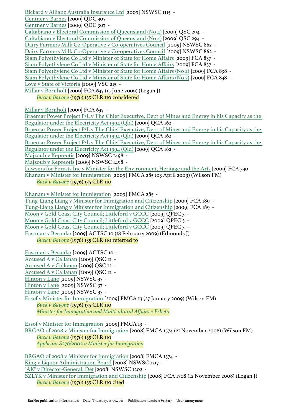[Rickard v Allianz Australia Insurance Ltd](https://jade.io/article/118861) [2009] NSWSC 1115 - [Gentner v Barnes](https://jade.io/article/118040) [2009] QDC 307 - [Gentner v Barnes](https://jade.io/article/118040) [2009] QDC 307 - [Caltabiano v Electoral Commission of Queensland \(No 4\)](https://jade.io/article/114034) [2009] QSC 294 - [Caltabiano v Electoral Commission of Queensland \(No 4\)](https://jade.io/article/114034) [2009] QSC 294 - [Dairy Farmers Milk Co-Operative v Co-operatives Council](https://jade.io/article/99032) [2009] NSWSC 862 - [Dairy Farmers Milk Co-Operative v Co-operatives Council](https://jade.io/article/99032) [2009] NSWSC 862 - [Siam Polyethylene Co Ltd v Minister of State for Home Affairs](https://jade.io/article/98114) [2009] FCA 837 - [Siam Polyethylene Co Ltd v Minister of State for Home Affairs](https://jade.io/article/98114) [2009] FCA 837 - [Siam Polyethylene Co Ltd v Minister of State for Home Affairs \(No 2\)](https://jade.io/article/98115) [2009] FCA 838 - [Siam Polyethylene Co Ltd v Minister of State for Home Affairs \(No 2\)](https://jade.io/article/98115) [2009] FCA 838 - [Love v State of Victoria](https://jade.io/article/95454) [2009] VSC 215 - Millar v Bornholt [2009] FCA 637 (15 June 2009) (Logan J) *[Buck v Bavone](https://jade.io/article/66591)* (1976) 135 CLR 110 considered

[Millar v Bornholt](https://jade.io/article/95023) [2009] FCA 637 -

[Braemar Power Project P/L v The Chief Executive, Dept of Mines and Energy in his Capacity as the](https://jade.io/article/95043)  [Regulator under the Electricity Act 1994 \(Qld\)](https://jade.io/article/95043) [2009] QCA 162 -

[Braemar Power Project P/L v The Chief Executive, Dept of Mines and Energy in his Capacity as the](https://jade.io/article/95043)  [Regulator under the Electricity Act 1994 \(Qld\)](https://jade.io/article/95043) [2009] QCA 162 -

[Braemar Power Project P/L v The Chief Executive, Dept of Mines and Energy in his Capacity as the](https://jade.io/article/95043)  [Regulator under the Electricity Act 1994 \(Qld\)](https://jade.io/article/95043) [2009] QCA 162 -

[Majzoub v Kepreotis](https://jade.io/article/255185) [2009] NSWSC 1498 -

[Majzoub v Kepreotis](https://jade.io/article/255185) [2009] NSWSC 1498 -

[Lawyers for Forests Inc v Minister for the Environment, Heritage and the Arts](https://jade.io/article/92140) [2009] FCA 330 -

Khanam v Minister for Immigration [2009] FMCA 285 (03 April 2009) (Wilson FM) *[Buck v Bavone](https://jade.io/article/66591)* (1976) 135 CLR 110

[Khanam v Minister for Immigration](https://jade.io/article/92076) [2009] FMCA 285 -

[Tung-Liang Liang v Minister for Immigration and Citizenship](https://jade.io/article/90305) [2009] FCA 189 -

[Tung-Liang Liang v Minister for Immigration and Citizenship](https://jade.io/article/90305) [2009] FCA 189 -

[Moon v Gold Coast City Council; Littleford v GCCC](https://jade.io/article/90169) [2009] QPEC 3 -

[Moon v Gold Coast City Council; Littleford v GCCC](https://jade.io/article/90169) [2009] QPEC 3 -

[Moon v Gold Coast City Council; Littleford v GCCC](https://jade.io/article/90169) [2009] QPEC 3 -

Eastman v Besanko [2009] ACTSC 10 (18 February 2009) (Edmonds J)

*[Buck v Bavone](https://jade.io/article/66591)* (1976) 135 CLR 110 referred to

[Eastman v Besanko](https://jade.io/article/89724) [2009] ACTSC 10 - [Accused A v Callanan](https://jade.io/article/89829) [2009] QSC 12 - [Accused A v Callanan](https://jade.io/article/89829) [2009] QSC 12 - [Accused A v Callanan](https://jade.io/article/89829) [2009] QSC 12 - [Hinton v Lane](https://jade.io/article/89610) [2009] NSWSC 37 - [Hinton v Lane](https://jade.io/article/89610) [2009] NSWSC 37 - [Hinton v Lane](https://jade.io/article/89610) [2009] NSWSC 37 - Essof v Minister for Immigration [2009] FMCA 13 (27 January 2009) (Wilson FM) *[Buck v Bavone](https://jade.io/article/66591)* (1976) 135 CLR 110 *[Minister for Immigration and Multicultural Affairs v Eshetu](https://jade.io/article/68120)*

[Essof v Minister for Immigration](https://jade.io/article/88928) [2009] FMCA 13 - BRGAO of 2008 v Minister for Immigration [2008] FMCA 1574 (21 November 2008) (Wilson FM) *[Buck v Bavone](https://jade.io/article/66591)* (1976) 135 CLR 110 *[Applicant S276/2002 v Minister for Immigration](https://jade.io/article/108622)*

[BRGAO of 2008 v Minister for Immigration](https://jade.io/article/86510) [2008] FMCA 1574 - [King v Liquor Administration Board](https://jade.io/article/86250) [2008] NSWSC 1217 - ["AK" v Director-General, Det](https://jade.io/article/86059) [2008] NSWSC 1202 - SZLYK v Minister for Immigration and Citizenship [2008] FCA 1708 (12 November 2008) (Logan J) *[Buck v Bavone](https://jade.io/article/66591)* (1976) 135 CLR 110 cited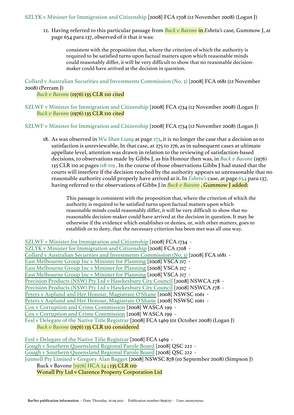12. Having referred to this particular passage from *[Buck v Bavone](https://jade.io/article/66591)* in *Eshetu's* case, Gummow J, at page 654 para 137, observed of it that it was:

consistent with the proposition that, where the criterion of which the authority is required to be satisfied turns upon factual matters upon which reasonable minds could reasonably differ, it will be very difficult to show that no reasonable decisionmaker could have arrived at the decision in question.

Collard v Australian Securities and Investments Commission (No. 3) [2008] FCA 1681 (12 November 2008) (Perram J)

*[Buck v Bavone](https://jade.io/article/66591)* (1976) 135 CLR 110 cited

SZLWF v Minister for Immigration and Citizenship [2008] FCA 1734 (12 November 2008) (Logan J) *[Buck v Bavone](https://jade.io/article/66591)* (1976) 135 CLR 110 cited

SZLWF v Minister for Immigration and Citizenship [2008] FCA 1734 (12 November 2008) (Logan J)

18. As was observed in *[Wu Shan Liang](https://jade.io/article/213870)* at page [275](https://jade.io/article/213870/section/140355), it is no longer the case that a decision as to satisfaction is unreviewable. In that case, at 275 to 276, as in subsequent cases at ultimate appellate level, attention was drawn in relation to the reviewing of satisfaction-based decisions, to observations made by Gibbs J, as his Honour then was, in *[Buck v Bavone](https://jade.io/article/66591)* (1976) 135 CLR 110 at pages [118-119](https://jade.io/article/66591/section/418) . In the course of those observations Gibbs J had stated that the courts will interfere if the decision reached by the authority appears so unreasonable that no reasonable authority could properly have arrived at it. In *[Eshetu's](https://jade.io/article/68120)* case, at page [654](https://jade.io/article/68120/section/140509) para 137, having referred to the observations of Gibbs J in *[Buck v Bavone](https://jade.io/article/66591)* , Gummow J added:

This passage is consistent with the proposition that, where the criterion of which the authority is required to be satisfied turns upon factual matters upon which reasonable minds could reasonably differ, it will be very difficult to show that no reasonable decision-maker could have arrived at the decision in question. It may be otherwise if the evidence which establishes or denies, or, with other matters, goes to establish or to deny, that the necessary criterion has been met was all one way.

[SZLWF v Minister for Immigration and Citizenship](https://jade.io/article/92863) [2008] FCA 1734 - [SZLYK v Minister for Immigration and Citizenship](https://jade.io/article/86137) [2008] FCA 1708 - [Collard v Australian Securities and Investments Commission \(No. 3\)](https://jade.io/article/85897) [2008] FCA 1681 - [East Melbourne Group Inc v Minister for Planning](https://jade.io/article/85381) [2008] VSCA 217 - [East Melbourne Group Inc v Minister for Planning](https://jade.io/article/85381) [2008] VSCA 217 - [East Melbourne Group Inc v Minister for Planning](https://jade.io/article/85381) [2008] VSCA 217 - [Precision Products \(NSW\) Pty Ltd v Hawkesbury City Council](https://jade.io/article/85430) [2008] NSWCA 278 - [Precision Products \(NSW\) Pty Ltd v Hawkesbury City Council](https://jade.io/article/85430) [2008] NSWCA 278 - [Peters v Asplund and Her Honour, Magistrate O'Shane](https://jade.io/article/84351) [2008] NSWSC 1061 - [Peters v Asplund and Her Honour, Magistrate O'Shane](https://jade.io/article/84351) [2008] NSWSC 1061 - [Cox v Corruption and Crime Commission](https://jade.io/article/84245) [2008] WASCA 199 - [Cox v Corruption and Crime Commission](https://jade.io/article/84245) [2008] WASCA 199 - Fesl v Delegate of the Native Title Registrar [2008] FCA 1469 (01 October 2008) (Logan J) *[Buck v Bavone](https://jade.io/article/66591)* (1976) 135 CLR 110 considered [Fesl v Delegate of the Native Title Registrar](https://jade.io/article/84007) [2008] FCA 1469 - [Gough v Southern Queensland Regional Parole Board](https://jade.io/article/83777) [2008] QSC 222 -

[Gough v Southern Queensland Regional Parole Board](https://jade.io/article/83777) [2008] QSC 222 - Jusmell Pty Limited v Gregory Alan Baggot [2008] NSWSC 878 (10 September 2008) (Simpson J) Buck v Bavone [\[1976\] HCA 24](https://jade.io/article/66591) ; 135 CLR 110 Wonall Pty Ltd v Clarence Property Corporation Ltd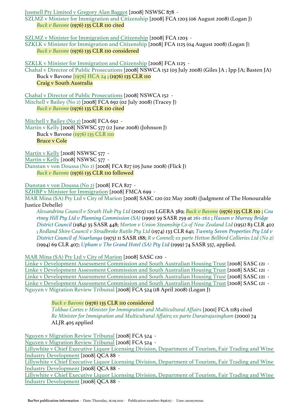[Jusmell Pty Limited v Gregory Alan Baggot](https://jade.io/article/82908) [2008] NSWSC 878 -

SZLMZ v Minister for Immigration and Citizenship [2008] FCA 1203 (06 August 2008) (Logan J) *[Buck v Bavone](https://jade.io/article/66591)* (1976) 135 CLR 110 cited

[SZLMZ v Minister for Immigration and Citizenship](https://jade.io/article/81836) [2008] FCA 1203 -

SZKLK v Minister for Immigration and Citizenship [2008] FCA 1125 (04 August 2008) (Logan J) *[Buck v Bavone](https://jade.io/article/66591)* (1976) 135 CLR 110 considered

[SZKLK v Minister for Immigration and Citizenship](https://jade.io/article/81225) [2008] FCA 1125 -

Chahal v Director of Public Prosecutions [2008] NSWCA 152 (03 July 2008) (Giles JA ; Ipp JA; Basten JA) Buck v Bavone [\[1976\] HCA 24](https://jade.io/article/66591) ; (1976) 135 CLR 110 Craig v South Australia

[Chahal v Director of Public Prosecutions](https://jade.io/article/79961) [2008] NSWCA 152 - Mitchell v Bailey (No 2) [2008] FCA 692 (02 July 2008) (Tracey J)

*[Buck v Bavone](https://jade.io/article/66591)* (1976) 135 CLR 110 cited

[Mitchell v Bailey \(No 2\)](https://jade.io/article/79845) [2008] FCA 692 - Martin v Kelly [2008] NSWSC 577 (12 June 2008) (Johnson J) Buck v Bavone [\(1976\) 135 CLR 110](https://jade.io/article/66591) Bruce v Cole

[Martin v Kelly](https://jade.io/article/78784) [2008] NSWSC 577 - [Martin v Kelly](https://jade.io/article/78784) [2008] NSWSC 577 - Dunstan v von Doussa (No 2) [2008] FCA 827 (05 June 2008) (Flick J) *[Buck v Bavone](https://jade.io/article/66591)* (1976) 135 CLR 110 followed

[Dunstan v von Doussa \(No 2\)](https://jade.io/article/78608) [2008] FCA 827 -

[SZHBP v Minister for Immigration](https://jade.io/article/78336) [2008] FMCA 699 -

MAR Mina (SA) Pty Ltd v City of Marion [2008] SASC 120 (02 May 2008) (Judgment of The Honourable Justice Debelle)

*[Alexandrina Council v Strath Hub Pty Ltd](https://jade.io/article/177759)* (2003) 129 LGERA 389; *[Buck v Bavone](https://jade.io/article/66591)* (1976) 135 CLR 110 ; *[Cou](https://jade.io/citation/3929279) [rtney Hill Pty Ltd v Planning Commission \(SA\)](https://jade.io/citation/3929279)* (1990) 59 SASR 259 at [261-262](https://jade.io/citation/2749370/section/5493) ; *[Hassen v Murray Bridge](https://jade.io/citation/1281396)  [District Council](https://jade.io/citation/1281396)* (1984) 35 SASR 448; *[Morton v Union Steamship Co of New Zealand Ltd](https://jade.io/article/64750)* (1951) 83 CLR 402 ; *[Redland Shire Council v Stradbroke Rutile Pty Ltd](https://jade.io/article/66490)* (1974) 133 CLR 641; *[Twenty Seven Properties Pty Ltd v](https://jade.io/citation/1365047)  [District Council of Noarlunga](https://jade.io/citation/1365047)* (1975) 11 SASR 188; *[R v Connell; ex parte Hetton Bellbird Collieries Ltd \(No 2\)](https://jade.io/article/64347)* (1994) 69 CLR 407; *[Upham v The Grand Hotel \(SA\) Pty Ltd](https://jade.io/citation/18245772)* (1999) 74 SASR 557, applied.

[MAR Mina \(SA\) Pty Ltd v City of Marion](https://jade.io/article/77271) [2008] SASC 120 -

[Linke v Development Assessment Commission and South Australian Housing Trust](https://jade.io/article/77023) [2008] SASC 121 - [Linke v Development Assessment Commission and South Australian Housing Trust](https://jade.io/article/77023) [2008] SASC 121 - [Linke v Development Assessment Commission and South Australian Housing Trust](https://jade.io/article/77023) [2008] SASC 121 - [Linke v Development Assessment Commission and South Australian Housing Trust](https://jade.io/article/77023) [2008] SASC 121 - Nguyen v Migration Review Tribunal [2008] FCA 524 (18 April 2008) (Logan J)

> *[Buck v Bavone](https://jade.io/article/66591)* (1976) 135 CLR 110 considered *[Tolibao Cortes v Minister for Immigration and Multicultural Affairs](https://jade.io/article/104257)* [2001] FCA 1183 cited *[Re Minister for Immigration and Multicultural Affairs; ex parte Durairajasingham](https://jade.io/article/68175)* (2000) 74 ALJR 405 applied

[Nguyen v Migration Review Tribunal](https://jade.io/article/69134) [2008] FCA 524 - [Nguyen v Migration Review Tribunal](https://jade.io/article/69134) [2008] FCA 524 - [Lillywhite v Chief Executive Liquor Licensing Division, Department of Tourism, Fair Trading and Wine](https://jade.io/article/69166)  [Industry Development](https://jade.io/article/69166) [2008] QCA 88 - [Lillywhite v Chief Executive Liquor Licensing Division, Department of Tourism, Fair Trading and Wine](https://jade.io/article/69166)  [Industry Development](https://jade.io/article/69166) [2008] QCA 88 - [Lillywhite v Chief Executive Liquor Licensing Division, Department of Tourism, Fair Trading and Wine](https://jade.io/article/69166) 

[Industry Development](https://jade.io/article/69166) [2008] QCA 88 -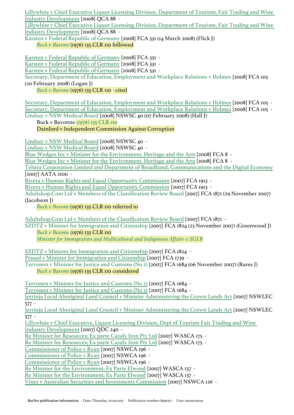[Lillywhite v Chief Executive Liquor Licensing Division, Department of Tourism, Fair Trading and Wine](https://jade.io/article/69166)  [Industry Development](https://jade.io/article/69166) [2008] QCA 88 -

[Lillywhite v Chief Executive Liquor Licensing Division, Department of Tourism, Fair Trading and Wine](https://jade.io/article/69166)  [Industry Development](https://jade.io/article/69166) [2008] QCA 88 -

Karsten v Federal Republic of Germany [2008] FCA 331 (14 March 2008) (Flick J) *[Buck v Bavone](https://jade.io/article/66591)* (1976) 135 CLR 110 followed

[Karsten v Federal Republic of Germany](https://jade.io/article/61094) [2008] FCA 331 - [Karsten v Federal Republic of Germany](https://jade.io/article/61094) [2008] FCA 331 - [Karsten v Federal Republic of Germany](https://jade.io/article/61094) [2008] FCA 331 - Secretary, Department of Education, Employment and Workplace Relations v Holmes [2008] FCA 105 (20 February 2008) (Logan J) *[Buck v Bavone](https://jade.io/article/66591)* (1976) 135 CLR 110 - cited

[Secretary, Department of Education, Employment and Workplace Relations v Holmes](https://jade.io/article/58325) [2008] FCA 105 - [Secretary, Department of Education, Employment and Workplace Relations v Holmes](https://jade.io/article/58325) [2008] FCA 105 - Lindsay v NSW Medical Board [2008] NSWSC 40 (07 February 2008) (Hall J)

Buck v Bavonne [\(1976\) 135 CLR 110](https://jade.io/article/66591)

Dainford v Independent Commission Against Corruption

[Lindsay v NSW Medical Board](https://jade.io/article/56279) [2008] NSWSC 40 -

[Lindsay v NSW Medical Board](https://jade.io/article/56279) [2008] NSWSC 40 -

[Blue Wedges Inc v Minister for the Environment, Heritage and the Arts](https://jade.io/article/55937) [2008] FCA 8 -

[Blue Wedges Inc v Minister for the Environment, Heritage and the Arts](https://jade.io/article/55937) [2008] FCA 8 -

[Telstra Corporation Limited and Department of Broadband, Communications and the Digital Economy](https://jade.io/article/692248) [2007] AATA 2100 -

[Rivera v Human Rights and Equal Opportunity Commission](https://jade.io/article/60354) [2007] FCA 1913 -

[Rivera v Human Rights and Equal Opportunity Commission](https://jade.io/article/60354) [2007] FCA 1913 -

Adultshop.Com Ltd v Members of the Classification Review Board [2007] FCA 1871 (29 November 2007) (Jacobson J)

*[Buck v Bavone](https://jade.io/article/66591)* (1976) 135 CLR 110 referred to

[Adultshop.Com Ltd v Members of the Classification Review Board](https://jade.io/article/18286) [2007] FCA 1871 -

SZDTZ v Minister for Immigration and Citizenship [2007] FCA 1824 (23 November 2007) (Greenwood J) *[Buck v Bavone](https://jade.io/article/66591)* (1976) 135 CLR 110

*[Minister for Immigration and Multicultural and Indigenous Affairs v SGLB](https://jade.io/article/68478)*

[SZDTZ v Minister for Immigration and Citizenship](https://jade.io/article/17806) [2007] FCA 1824 -

[Prasad v Minister for Immigration and Citizenship](https://jade.io/article/17391) [2007] FCA 1739 -

Tervonen v Minister for Justice and Customs (No 2) [2007] FCA 1684 (06 November 2007) (Rares J) *[Buck v Bavone](https://jade.io/article/66591)* (1976) 135 CLR 110 considered

[Tervonen v Minister for Justice and Customs \(No 2\)](https://jade.io/article/16944) [2007] FCA 1684 -

[Tervonen v Minister for Justice and Customs \(No 2\)](https://jade.io/article/16944) [2007] FCA 1684 -

[Jerrinja Local Aboriginal Land Council v Minister Administering the Crown Lands Act](https://jade.io/article/14411) [2007] NSWLEC 577 -

[Jerrinja Local Aboriginal Land Council v Minister Administering the Crown Lands Act](https://jade.io/article/14411) [2007] NSWLEC 577 -

[Lillywhite v Chief Executive, Liquor Licensing Division, Dept of Tourism Fair Trading and Wine](https://jade.io/article/16211)  [Industry Development](https://jade.io/article/16211) [2007] QDC 240 -

[Re Minister for Resources; Ex parte Cazaly Iron Pty Ltd](https://jade.io/article/13748) [2007] WASCA 175 -

[Re Minister for Resources; Ex parte Cazaly Iron Pty Ltd](https://jade.io/article/13748) [2007] WASCA 175 -

[Commissioner of Police v Ryan](https://jade.io/article/12826) [2007] NSWCA 196 -

[Commissioner of Police v Ryan](https://jade.io/article/12826) [2007] NSWCA 196 -

[Commissioner of Police v Ryan](https://jade.io/article/12826) [2007] NSWCA 196 -

[Re Minister for the Environment; Ex Parte Elwood](https://jade.io/article/11979) [2007] WASCA 137 -

[Re Minister for the Environment; Ex Parte Elwood](https://jade.io/article/11979) [2007] WASCA 137 -

[Vines v Australian Securities and Investments Commission](https://jade.io/article/10939) [2007] NSWCA 126 -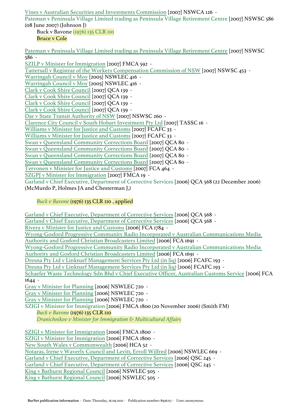[Vines v Australian Securities and Investments Commission](https://jade.io/article/10939) [2007] NSWCA 126 - Pateman v Peninsula Village Limited trading as Peninsula Village Retirement Centre [2007] NSWSC 586 (08 June 2007) (Johnson J) Buck v Bavone [\(1976\) 135 CLR 110](https://jade.io/article/66591) Bruce v Cole [Pateman v Peninsula Village Limited trading as Peninsula Village Retirement Centre](https://jade.io/article/9921) [2007] NSWSC 586 - [SZILP v Minister for Immigration](https://jade.io/article/9258) [2007] FMCA 592 - [Tattersall v Registrar of the Workers Compensation Commission of NSW](https://jade.io/article/8833) [2007] NSWSC 453 - [Warringah Council v Moy](https://jade.io/article/184932) [2005] NSWLEC 416 - [Warringah Council v Moy](https://jade.io/article/184932) [2005] NSWLEC 416 - [Clark v Cook Shire Council](https://jade.io/article/57016) [2007] QCA 139 - [Clark v Cook Shire Council](https://jade.io/article/57016) [2007] QCA 139 -

[Clarence City Council v South Hobart Investment Pty Ltd](https://jade.io/article/7578) [2007] TASSC 16 - [Williams v Minister for Justice and Customs](https://jade.io/article/5547) [2007] FCAFC 33 - [Williams v Minister for Justice and Customs](https://jade.io/article/5547) [2007] FCAFC 33 - [Swan v Queensland Community Corrections Board](https://jade.io/article/57131) [2007] QCA 80 - [Swan v Queensland Community Corrections Board](https://jade.io/article/57131) [2007] QCA 80 - [Swan v Queensland Community Corrections Board](https://jade.io/article/57131) [2007] QCA 80 - [Swan v Queensland Community Corrections Board](https://jade.io/article/57131) [2007] QCA 80 - [Tervonen v Minister for Justice and Customs](https://jade.io/article/5867) [2007] FCA 464 -

[Dar v State Transit Authority of NSW](https://jade.io/article/5775) [2007] NSWSC 260 -

[SZGPJ v Minister for Immigration](https://jade.io/article/4024) [2007] FMCA 19 - Garland v Chief Executive, Department of Corrective Services [2006] QCA 568 (22 December 2006)

(McMurdo P, Holmes JA and Chesterman J,)

[Clark v Cook Shire Council](https://jade.io/article/57016) [2007] QCA 139 - [Clark v Cook Shire Council](https://jade.io/article/57016) [2007] QCA 139 -

# *[Buck v Bavone](https://jade.io/article/66591)* (1976) 135 CLR 110 , applied

[Garland v Chief Executive, Department of Corrective Services](https://jade.io/article/169601) [2006] QCA 568 -

[Garland v Chief Executive, Department of Corrective Services](https://jade.io/article/169601) [2006] QCA 568 -

[Rivera v Minister for Justice and Customs](https://jade.io/article/4503) [2006] FCA 1784 -

[Wyong-Gosford Progressive Community Radio Incorporated v Australian Communications Media](https://jade.io/article/113693) 

[Authority and Gosford Christian Broadcasters Limited](https://jade.io/article/113693) [2006] FCA 1691 -

[Wyong-Gosford Progressive Community Radio Incorporated v Australian Communications Media](https://jade.io/article/113693) 

[Authority and Gosford Christian Broadcasters Limited](https://jade.io/article/113693) [2006] FCA 1691 -

[Dresna Pty Ltd v Linknarf Management Services Pty Ltd \(in liq\)](https://jade.io/article/3673) [2006] FCAFC 193 -

[Dresna Pty Ltd v Linknarf Management Services Pty Ltd \(in liq\)](https://jade.io/article/3673) [2006] FCAFC 193 -

[Schaefer Waste Technology Sdn Bhd v Chief Executive Officer, Australian Customs Service](https://jade.io/article/113564) [2006] FCA 1644 -

[Gray v Minister for Planning](https://jade.io/article/3105) [2006] NSWLEC 720 -

[Gray v Minister for Planning](https://jade.io/article/3105) [2006] NSWLEC 720 -

[Gray v Minister for Planning](https://jade.io/article/3105) [2006] NSWLEC 720 -

SZIGI v Minister for Immigration [2006] FMCA 1800 (20 November 2006) (Smith FM) *[Buck v Bavone](https://jade.io/article/66591)* (1976) 135 CLR 110

*[Dranichnikov v Minister for Immigration & Multicultural Affairs](https://jade.io/article/68395)*

[SZIGI v Minister for Immigration](https://jade.io/article/162261) [2006] FMCA 1800 - [SZIGI v Minister for Immigration](https://jade.io/article/162261) [2006] FMCA 1800 - [New South Wales v Commonwealth](https://jade.io/article/2866) [2006] HCA 52 - [Notaras, Irene v Waverly Council and Levitt, Erroll Wilfred](https://jade.io/article/2572) [2006] NSWLEC 669 - [Garland v Chief Executive, Department of Corrective Services](https://jade.io/article/173984) [2006] QSC 245 -[Garland v Chief Executive, Department of Corrective Services](https://jade.io/article/173984) [2006] QSC 245 - [King v Bathurst Regional Council](https://jade.io/article/1689) [2006] NSWLEC 505 - [King v Bathurst Regional Council](https://jade.io/article/1689) [2006] NSWLEC 505 -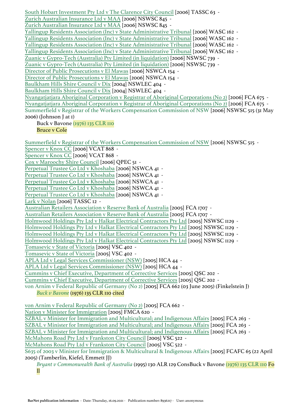[South Hobart Investment Pty Ltd v The Clarence City Council](https://jade.io/article/7534) [2006] TASSC 63 - [Zurich Australian Insurance Ltd v MAA](https://jade.io/article/1972) [2006] NSWSC 845 - [Zurich Australian Insurance Ltd v MAA](https://jade.io/article/1972) [2006] NSWSC 845 - [Yallingup Residents Association \(Inc\) v State Administrative Tribunal](https://jade.io/article/146157) [2006] WASC 162 - [Yallingup Residents Association \(Inc\) v State Administrative Tribunal](https://jade.io/article/146157) [2006] WASC 162 - [Yallingup Residents Association \(Inc\) v State Administrative Tribunal](https://jade.io/article/146157) [2006] WASC 162 - [Yallingup Residents Association \(Inc\) v State Administrative Tribunal](https://jade.io/article/146157) [2006] WASC 162 - [Zuanic v Gypro-Tech \(Australia\) Pty Limited \(in liquidation\)](https://jade.io/article/883) [2006] NSWSC 739 - [Zuanic v Gypro-Tech \(Australia\) Pty Limited \(in liquidation\)](https://jade.io/article/883) [2006] NSWSC 739 - [Director of Public Prosecutions v El Mawas](https://jade.io/article/126393) [2006] NSWCA 154 - [Director of Public Prosecutions v El Mawas](https://jade.io/article/126393) [2006] NSWCA 154 - Baulkham Hills Shire Council y Dix [2004] NSWLEC 404 -[Baulkham Hills Shire Council v Dix](https://jade.io/article/271752) [2004] NSWLEC 404 -[Nyangatjatjara Aboriginal Corporation v Registrar of Aboriginal Corporations \(No 2\)](https://jade.io/article/112620) [2006] FCA 675 - [Nyangatjatjara Aboriginal Corporation v Registrar of Aboriginal Corporations \(No 2\)](https://jade.io/article/112620) [2006] FCA 675 - Summerfield v Registrar of the Workers Compensation Commission of NSW [2006] NSWSC 515 (31 May 2006) (Johnson J at 1) Buck v Bavone [\(1976\) 135 CLR 110](https://jade.io/article/66591) Bruce v Cole [Summerfield v Registrar of the Workers Compensation Commission of NSW](https://jade.io/article/135198) [2006] NSWSC 515 - [Spencer v Knox CC](https://jade.io/article/748477) [2006] VCAT 868 - [Spencer v Knox CC](https://jade.io/article/748477) [2006] VCAT 868 - [Cox v Maroochy Shire Council](https://jade.io/article/171340) [2006] QPEC 51 - [Perpetual Trustee Co Ltd v Khoshaba](https://jade.io/article/126485) [2006] NSWCA 4I -[Perpetual Trustee Co Ltd v Khoshaba](https://jade.io/article/126485) [2006] NSWCA 41 - [Perpetual Trustee Co Ltd v Khoshaba](https://jade.io/article/126485) [2006] NSWCA 41 - [Perpetual Trustee Co Ltd v Khoshaba](https://jade.io/article/126485) [2006] NSWCA 41 - [Perpetual Trustee Co Ltd v Khoshaba](https://jade.io/article/126485) [2006] NSWCA 41 - [Lark v Nolan](https://jade.io/article/181298) [2006] TASSC 12 - [Australian Retailers Association v Reserve Bank of Australia](https://jade.io/article/111718) [2005] FCA 1707 - [Australian Retailers Association v Reserve Bank of Australia](https://jade.io/article/111718) [2005] FCA 1707 - [Holmwood Holdings Pty Ltd v Halkat Electrical Contractors Pty Ltd](https://jade.io/article/134050) [2005] NSWSC 1129 - [Holmwood Holdings Pty Ltd v Halkat Electrical Contractors Pty Ltd](https://jade.io/article/134050) [2005] NSWSC 1129 - [Holmwood Holdings Pty Ltd v Halkat Electrical Contractors Pty Ltd](https://jade.io/article/134050) [2005] NSWSC 1129 - [Holmwood Holdings Pty Ltd v Halkat Electrical Contractors Pty Ltd](https://jade.io/article/134050) [2005] NSWSC 1129 - [Tomasevic v State of Victoria](https://jade.io/article/76303) [2005] VSC 402 - [Tomasevic v State of Victoria](https://jade.io/article/76303) [2005] VSC 402 - [APLA Ltd v Legal Services Commissioner \(NSW\)](https://jade.io/article/319) [2005] HCA 44 - [APLA Ltd v Legal Services Commissioner \(NSW\)](https://jade.io/article/319) [2005] HCA 44 - [Cummins v Chief Executive, Department of Corrective Services](https://jade.io/article/173662) [2005] QSC 202 - [Cummins v Chief Executive, Department of Corrective Services](https://jade.io/article/173662) [2005] QSC 202 von Arnim v Federal Republic of Germany (No 2) [2005] FCA 662 (03 June 2005) (Finkelstein J) *[Buck v Bavone](https://jade.io/article/66591)* (1976) 135 CLR 110 cited [von Arnim v Federal Republic of Germany \(No 2\)](https://jade.io/article/110732) [2005] FCA 662 - [Nation v Minister for Immigration](https://jade.io/article/160101) [2005] FMCA 620 - [SZBAL v Minister for Immigration and Multicultural; and Indigenous Affairs](https://jade.io/article/110568) [2005] FCA 263 -[SZBAL v Minister for Immigration and Multicultural; and Indigenous Affairs](https://jade.io/article/110568) [2005] FCA 263 - [SZBAL v Minister for Immigration and Multicultural; and Indigenous Affairs](https://jade.io/article/110568) [2005] FCA 263 -[McMahons Road Pty Ltd v Frankston City Council](https://jade.io/article/76430) [2005] VSC 522 - [McMahons Road Pty Ltd v Frankston City Council](https://jade.io/article/76430) [2005] VSC 522 - S635 of 2003 v Minister for Immigration & Multicultural & Indigenous Affairs [2005] FCAFC 65 (22 April 2005) (Tamberlin, Kiefel, Emmett JJ) *[Bryant v Commonwealth Bank of Australia](https://jade.io/article/213436)* (1995) 130 ALR 129 ConsBuck v Bavone [\(1976\) 135 CLR 110](https://jade.io/article/66591) Fo ll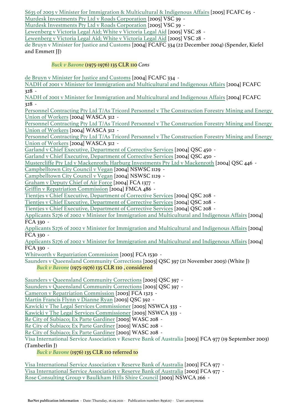[S635 of 2003 v Minister for Immigration & Multicultural & Indigenous Affairs](https://jade.io/article/99711) [2005] FCAFC 65 - [Murdesk Investments Pty Ltd v Roads Corporation](https://jade.io/article/76288) [2005] VSC 39 - [Murdesk Investments Pty Ltd v Roads Corporation](https://jade.io/article/76288) [2005] VSC 39 - [Lewenberg v Victoria Legal Aid; White v Victoria Legal Aid](https://jade.io/article/76169) [2005] VSC 28 - [Lewenberg v Victoria Legal Aid; White v Victoria Legal Aid](https://jade.io/article/76169) [2005] VSC 28 -

de Bruyn v Minister for Justice and Customs [2004] FCAFC 334 (22 December 2004) (Spender, Kiefel and Emmett JJ)

## *[Buck v Bavone](https://jade.io/article/66591)* (1975-1976) 135 CLR 110 *Cons*

[de Bruyn v Minister for Justice and Customs](https://jade.io/article/101014) [2004] FCAFC 334 -

[NADH of 2001 v Minister for Immigration and Multicultural and Indigenous Affairs](https://jade.io/article/101010) [2004] FCAFC 328 -

[NADH of 2001 v Minister for Immigration and Multicultural and Indigenous Affairs](https://jade.io/article/101010) [2004] FCAFC 328 -

[Personnel Contracting Pty Ltd T/As Tricord Personnel v The Construction Forestry Mining and Energy](https://jade.io/article/143391)  [Union of Workers](https://jade.io/article/143391) [2004] WASCA 312 -

[Personnel Contracting Pty Ltd T/As Tricord Personnel v The Construction Forestry Mining and Energy](https://jade.io/article/143391)  [Union of Workers](https://jade.io/article/143391) [2004] WASCA 312 -

[Personnel Contracting Pty Ltd T/As Tricord Personnel v The Construction Forestry Mining and Energy](https://jade.io/article/143391)  [Union of Workers](https://jade.io/article/143391) [2004] WASCA 312 -

[Garland v Chief Executive, Department of Corrective Services](https://jade.io/article/173505) [2004] QSC 450 -

[Garland v Chief Executive, Department of Corrective Services](https://jade.io/article/173505) [2004] QSC 450 -

[Mustercliffe Pty Ltd v Mackenroth; Harburg Investments Pty Ltd v Mackenroth](https://jade.io/article/173501) [2004] QSC 446 -

[Campbelltown City Council v Vegan](https://jade.io/article/183188) [2004] NSWSC 1129 -

[Campbelltown City Council v Vegan](https://jade.io/article/183188) [2004] NSWSC 1129 -

[Graham v Deputy Chief of Air Force](https://jade.io/article/109637) [2004] FCA 1377 -

[Griffin v Repatriation Commission](https://jade.io/article/159126) [2004] FMCA 486 -

[Tientjes v Chief Executive, Department of Corrective Services](https://jade.io/article/173352) [2004] QSC 208 -

[Tientjes v Chief Executive, Department of Corrective Services](https://jade.io/article/173352) [2004] QSC 208 -

[Tientjes v Chief Executive, Department of Corrective Services](https://jade.io/article/173352) [2004] QSC 208 -

[Applicants S276 of 2002 v Minister for Immigration and Multicultural and Indigenous Affairs](https://jade.io/article/108622) [2004] FCA 330 -

[Applicants S276 of 2002 v Minister for Immigration and Multicultural and Indigenous Affairs](https://jade.io/article/108622) [2004] FCA 330 -

[Applicants S276 of 2002 v Minister for Immigration and Multicultural and Indigenous Affairs](https://jade.io/article/108622) [2004] FCA 330 -

[Whitworth v Repatriation Commission](https://jade.io/article/108167) [2003] FCA 1530 -

Saunders v Queensland Community Corrections [2003] QSC 397 (21 November 2003) (White J)

# *[Buck v Bavone](https://jade.io/article/66591)* (1975-1976) 135 CLR 110 , considered

[Saunders v Queensland Community Corrections](https://jade.io/article/173152) [2003] QSC 397 -

[Saunders v Queensland Community Corrections](https://jade.io/article/173152) [2003] QSC 397 -

[Cameron v Repatriation Commission](https://jade.io/article/107950) [2003] FCA 1323 -

[Martin Francis Flynn v Dianne Ryan](https://jade.io/article/173149) [2003] QSC 392 -

[Kawicki v The Legal Services Commissioner](https://jade.io/article/125182) [2003] NSWCA 333 -

[Kawicki v The Legal Services Commissioner](https://jade.io/article/125182) [2003] NSWCA 333 -

[Re City of Subiaco; Ex Parte Gardiner](https://jade.io/article/145349) [2003] WASC 208 -

[Re City of Subiaco; Ex Parte Gardiner](https://jade.io/article/145349) [2003] WASC 208 -

[Re City of Subiaco; Ex Parte Gardiner](https://jade.io/article/145349) [2003] WASC 208 -

Visa International Service Association v Reserve Bank of Australia [2003] FCA 977 (19 September 2003) (Tamberlin J)

*[Buck v Bavone](https://jade.io/article/66591)* (1976) 135 CLR 110 referred to

[Visa International Service Association v Reserve Bank of Australia](https://jade.io/article/107598) [2003] FCA 977 - [Visa International Service Association v Reserve Bank of Australia](https://jade.io/article/107598) [2003] FCA 977 - [Rose Consulting Group v Baulkham Hills Shire Council](https://jade.io/article/125243) [2003] NSWCA 266 -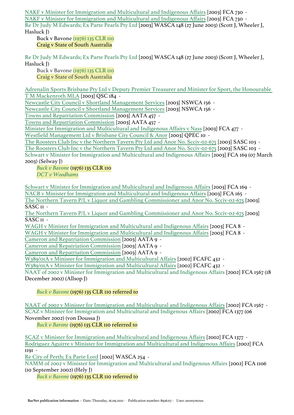[NAKF v Minister for Immigration and Multicultural and Indigenous Affairs](https://jade.io/article/107346) [2003] FCA 730 - [NAKF v Minister for Immigration and Multicultural and Indigenous Affairs](https://jade.io/article/107346) [2003] FCA 730 - Re Dr Judy M Edwards; Ex Parte Pearls Pty Ltd [2003] WASCA 148 (27 June 2003) (Scott J, Wheeler J,

Hasluck J)

Buck v Bavone [\(1976\) 135 CLR 110](https://jade.io/article/66591) Craig v State of South Australia

Re Dr Judy M Edwards; Ex Parte Pearls Pty Ltd [2003] WASCA 148 (27 June 2003) (Scott J, Wheeler J, Hasluck J)

Buck v Bavone [\(1976\) 135 CLR 110](https://jade.io/article/66591) Craig v State of South Australia

[Adrenalin Sports Brisbane Pty Ltd v Deputy Premier Treasurer and Minister for Sport, the Honourable](https://jade.io/article/173014)  [T M Mackenroth MLA](https://jade.io/article/173014) [2003] QSC 184 -

[Newcastle City Council v Shortland Management Services](https://jade.io/article/125344) [2003] NSWCA 156 -

[Newcastle City Council v Shortland Management Services](https://jade.io/article/125344) [2003] NSWCA 156 -

[Towns and Repatriation Commission](https://jade.io/article/735799) [2003] AATA 457 -

[Towns and Repatriation Commission](https://jade.io/article/735799) [2003] AATA 457 -

[Minister for Immigration and Multicultural and Indigenous Affairs v Nass](https://jade.io/article/107075) [2003] FCA 477 -

[Westfield Management Ltd v Brisbane City Council & Anor](https://jade.io/article/171045) [2003] QPEC 10 -

[The Roosters Club Inc v the Northern Tavern Pty Ltd and Anor No. Scciv-02-675](https://jade.io/article/177487) [2003] SASC 103 -

[The Roosters Club Inc v the Northern Tavern Pty Ltd and Anor No. Scciv-02-675](https://jade.io/article/177487) [2003] SASC 103 - Schwart v Minister for Immigration and Multicultural and Indigenous Affairs [2003] FCA 169 (07 March

2003) (Selway J)

*[Buck v Bavone](https://jade.io/article/66591)* (1976) 135 CLR 110 *[DCT v Woodhams](https://jade.io/article/68176)*

[Schwart v Minister for Immigration and Multicultural and Indigenous Affairs](https://jade.io/article/106751) [2003] FCA 169 - [NACB v Minister for Immigration and Multicultural and Indigenous Affairs](https://jade.io/article/106748) [2003] FCA 165 - [The Northern Tavern P/L v Liquor and Gambling Commissioner and Anor No. Scciv-02-675](https://jade.io/article/177401) [2003] SASC II -

[The Northern Tavern P/L v Liquor and Gambling Commissioner and Anor No. Scciv-02-675](https://jade.io/article/177401) [2003] SASC II -

[WAGH v Minister for Immigration and Multicultural and Indigenous Affairs](https://jade.io/article/106579) [2003] FCA 8 -

[WAGH v Minister for Immigration and Multicultural and Indigenous Affairs](https://jade.io/article/106579) [2003] FCA 8 -

[Cameron and Repatriation Commission](https://jade.io/article/734969) [2003] AATA 9 -

[Cameron and Repatriation Commission](https://jade.io/article/734969) [2003] AATA 9 -

[Cameron and Repatriation Commission](https://jade.io/article/734969) [2003] AATA 9 -

[W389/01A v Minister for Immigration and Multicultural Affairs](https://jade.io/article/100351) [2002] FCAFC 432 -

[W389/01A v Minister for Immigration and Multicultural Affairs](https://jade.io/article/100351) [2002] FCAFC 432 -

NAAT of 2002 v Minister for Immigration and Multicultural and Indigenous Affairs [2002] FCA 1567 (18 December 2002) (Allsop J)

*[Buck v Bavone](https://jade.io/article/66591)* (1976) 135 CLR 110 referred to

[NAAT of 2002 v Minister for Immigration and Multicultural and Indigenous Affairs](https://jade.io/article/106512) [2002] FCA 1567 - SCAZ v Minister for Immigration and Multicultural and Indigenous Affairs [2002] FCA 1377 (06 November 2002) (von Doussa J)

*[Buck v Barone](https://jade.io/article/66591)* (1976) 135 CLR 110 referred to

[SCAZ v Minister for Immigration and Multicultural and Indigenous Affairs](https://jade.io/article/106321) [2002] FCA 1377 - [Rodriguez Aguirre v Minister for Immigration and Multicultural and Indigenous Affairs](https://jade.io/article/106104) [2002] FCA 1191 -

[Re City of Perth; Ex Parte Lord](https://jade.io/article/142634) [2002] WASCA 254 -

NAMM of 2002 v Minister for Immigration and Multicultural and Indigenous Affairs [2002] FCA 1106 (10 September 2002) (Hely J)

*[Buck v Bavone](https://jade.io/article/66591)* (1976) 135 CLR 110 referred to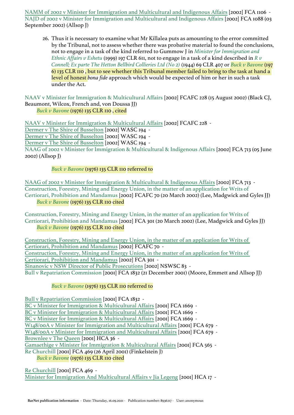[NAMM of 2002 v Minister for Immigration and Multicultural and Indigenous Affairs](https://jade.io/article/106049) [2002] FCA 1106 - NAJD of 2002 v Minister for Immigration and Multicultural and Indigenous Affairs [2002] FCA 1088 (03 September 2002) (Allsop J)

26. Thus it is necessary to examine what Mr Killalea puts as amounting to the error committed by the Tribunal, not to assess whether there was probative material to found the conclusions, not to engage in a task of the kind referred to Gummow J in *[Minister for Immigration and](https://jade.io/article/68120)  [Ethnic Affairs v Eshetu](https://jade.io/article/68120)* (1999) 197 CLR 611, not to engage in a task of a kind described in *[R v](https://jade.io/article/64347)  [Connell; Ex parte The Hetton Bellbird Collieries Ltd \(No 2\)](https://jade.io/article/64347)* (1944) 69 CLR 407 or *[Buck v Bavone](https://jade.io/article/66591)* (197 6) 135 CLR 110 , but to see whether this Tribunal member failed to bring to the task at hand a level of honest *bona fide* approach which would be expected of him or her in such a task under the Act.

NAAV v Minister for Immigration & Multicultural Affairs [2002] FCAFC 228 (15 August 2002) (Black CJ, Beaumont, Wilcox, French and, von Doussa JJ) *[Buck v Bavone](https://jade.io/article/66591)* (1976) 135 CLR 110 , cited

[NAAV v Minister for Immigration & Multicultural Affairs](https://jade.io/article/100155) [2002] FCAFC 228 -

[Dermer v The Shire of Busselton](https://jade.io/article/144990) [2002] WASC 194 -

[Dermer v The Shire of Busselton](https://jade.io/article/144990) [2002] WASC 194 -

[Dermer v The Shire of Busselton](https://jade.io/article/144990) [2002] WASC 194 -

NAAG of 2002 v Minister for Immigration & Multicultural & Indigenous Affairs [2002] FCA 713 (05 June 2002) (Allsop J)

# *[Buck v Bavone](https://jade.io/article/66591)* (1976) 135 CLR 110 referred to

[NAAG of 2002 v Minister for Immigration & Multicultural & Indigenous Affairs](https://jade.io/article/105654) [2002] FCA 713 - Construction, Forestry, Mining and Energy Union, in the matter of an application for Writs of Certiorari, Prohibition and Mandamus [2002] FCAFC 70 (20 March 2002) (Lee, Madgwick and Gyles JJ) *[Buck v Bavone](https://jade.io/article/66591)* (1976) 135 CLR 110 cited

Construction, Forestry, Mining and Energy Union, in the matter of an application for Writs of Certiorari, Prohibition and Mandamus [2002] FCA 301 (20 March 2002) (Lee, Madgwick and Gyles JJ) *[Buck v Bavone](https://jade.io/article/66591)* (1976) 135 CLR 110 cited

[Construction, Forestry, Mining and Energy Union, in the matter of an application for Writs of](https://jade.io/article/99990)  [Certiorari, Prohibition and Mandamus](https://jade.io/article/99990) [2002] FCAFC 70 - [Construction, Forestry, Mining and Energy Union, in the matter of an application for Writs of](https://jade.io/article/105244)  [Certiorari, Prohibition and Mandamus](https://jade.io/article/105244) [2002] FCA 301 - [Sinanovic v NSW Director of Public Prosecutions](https://jade.io/article/131461) [2002] NSWSC 83 - Bull v Repatriation Commission [2001] FCA 1832 (21 December 2001) (Moore, Emmett and Allsop JJ)

# *[Buck v Bavone](https://jade.io/article/66591)* (1976) 135 CLR 110 referred to

[Bull v Repatriation Commission](https://jade.io/article/104901) [2001] FCA 1832 - [BC v Minister for Immigration & Multicultural Affairs](https://jade.io/article/104749) [2001] FCA 1669 - [BC v Minister for Immigration & Multicultural Affairs](https://jade.io/article/104749) [2001] FCA 1669 - [BC v Minister for Immigration & Multicultural Affairs](https://jade.io/article/104749) [2001] FCA 1669 - [W148/00A v Minister for Immigration and Multicultural Affairs](https://jade.io/article/103815) [2001] FCA 679 - [W148/00A v Minister for Immigration and Multicultural Affairs](https://jade.io/article/103815) [2001] FCA 679 - [Brownlee v The Queen](https://jade.io/article/68269) [2001] HCA 36 - [Gamaethige v Minister for Immigration & Multicultural Affairs](https://jade.io/article/103632) [2001] FCA 565 - Re Churchill [2001] FCA 469 (26 April 2001) (Finkelstein J) *[Buck v Bavone](https://jade.io/article/66591)* (1976) 135 CLR 110 cited

[Re Churchill](https://jade.io/article/103504) [2001] FCA 469 - [Minister for Immigration And Multicultural Affairs v Jia Legeng](https://jade.io/article/68248) [2001] HCA 17 -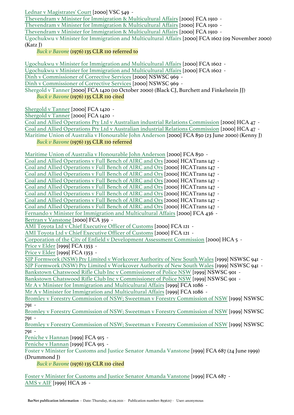[Lednar v Magistrates' Court](https://jade.io/article/73832) [2000] VSC 549 -

[Thevendram v Minister for Immigration & Multicultural Affairs](https://jade.io/article/102992) [2000] FCA 1910 -

[Thevendram v Minister for Immigration & Multicultural Affairs](https://jade.io/article/102992) [2000] FCA 1910 -

[Thevendram v Minister for Immigration & Multicultural Affairs](https://jade.io/article/102992) [2000] FCA 1910 -

Ugochukwu v Minister for Immigration and Multicultural Affairs [2000] FCA 1602 (09 November 2000) (Katz J)

# *[Buck v Bavone](https://jade.io/article/66591)* (1976) 135 CLR 110 referred to

[Ugochukwu v Minister for Immigration and Multicultural Affairs](https://jade.io/article/102678) [2000] FCA 1602 -

[Ugochukwu v Minister for Immigration and Multicultural Affairs](https://jade.io/article/102678) [2000] FCA 1602 -

[Dinh v Commissioner of Corrective Services](https://jade.io/article/182545) [2000] NSWSC 969 -

[Dinh v Commissioner of Corrective Services](https://jade.io/article/182545) [2000] NSWSC 969 -

Shergold v Tanner [2000] FCA 1420 (10 October 2000) (Black CJ, Burchett and Finkelstein JJ) *[Buck v Bavone](https://jade.io/article/66591)* (1976) 135 CLR 110 cited

[Shergold v Tanner](https://jade.io/article/102510) [2000] FCA 1420 -

[Shergold v Tanner](https://jade.io/article/102510) [2000] FCA 1420 -

[Coal and Allied Operations Pty Ltd v Australian industrial Relations Commission](https://jade.io/article/68216) [2000] HCA 47 -

[Coal and Allied Operations Pty Ltd v Australian industrial Relations Commission](https://jade.io/article/68216) [2000] HCA 47 - Maritime Union of Australia v Honourable John Anderson [2000] FCA 850 (23 June 2000) (Kenny J)

# *[Buck v Bavone](https://jade.io/article/66591)* (1976) 135 CLR 110 referred

[Maritime Union of Australia v Honourable John Anderson](https://jade.io/article/101932) [2000] FCA 850 -

[Coal and Allied Operations v Full Bench of AIRC and Ors](https://jade.io/article/232013) [2000] HCATrans 147 - [Coal and Allied Operations v Full Bench of AIRC and Ors](https://jade.io/article/232013) [2000] HCATrans 147 - [Coal and Allied Operations v Full Bench of AIRC and Ors](https://jade.io/article/232013) [2000] HCATrans 147 - [Coal and Allied Operations v Full Bench of AIRC and Ors](https://jade.io/article/232013) [2000] HCATrans 147 - [Coal and Allied Operations v Full Bench of AIRC and Ors](https://jade.io/article/232013) [2000] HCATrans 147 - [Coal and Allied Operations v Full Bench of AIRC and Ors](https://jade.io/article/232013) [2000] HCATrans 147 - [Coal and Allied Operations v Full Bench of AIRC and Ors](https://jade.io/article/232013) [2000] HCATrans 147 - [Coal and Allied Operations v Full Bench of AIRC and Ors](https://jade.io/article/232013) [2000] HCATrans 147 - [Fernando v Minister for Immigration and Multicultural Affairs](https://jade.io/article/101534) [2000] FCA 436 - [Bertran v Vanstone](https://jade.io/article/101457) [2000] FCA 359 - [AMI Toyota Ltd v Chief Executive Officer of Customs](https://jade.io/article/101241) [2000] FCA 121 - [AMI Toyota Ltd v Chief Executive Officer of Customs](https://jade.io/article/101241) [2000] FCA 121 - [Corporation of the City of Enfield v Development Assessment Commission](https://jade.io/article/68219) [2000] HCA 5 - Price y Elder [1999] FCA 1353 -Price y Elder [1999] FCA 1353 -[SJP Formwork \(NSW\) Pty Limited v Workcover Authority of New South Wales](https://jade.io/article/128028) [1999] NSWSC 941 - [SJP Formwork \(NSW\) Pty Limited v Workcover Authority of New South Wales](https://jade.io/article/128028) [1999] NSWSC 941 - [Bankstown Chatswood Rifle Club Inc v Commissioner of Police NSW](https://jade.io/article/127778) [1999] NSWSC 901 - [Bankstown Chatswood Rifle Club Inc v Commissioner of Police NSW](https://jade.io/article/127778) [1999] NSWSC 901 - [Mr A v Minister for Immigration and Multicultural Affairs](https://jade.io/article/117273) [1999] FCA 1086 -[Mr A v Minister for Immigration and Multicultural Affairs](https://jade.io/article/117273) [1999] FCA 1086 - [Bromley v Forestry Commission of NSW; Sweetman v Forestry Commission of NSW](https://jade.io/article/127872) [1999] NSWSC 791 - [Bromley v Forestry Commission of NSW; Sweetman v Forestry Commission of NSW](https://jade.io/article/127872) [1999] NSWSC 791 - [Bromley v Forestry Commission of NSW; Sweetman v Forestry Commission of NSW](https://jade.io/article/127872) [1999] NSWSC 791 - [Peniche v Hannan](https://jade.io/article/117101) [1999] FCA 915 - [Peniche v Hannan](https://jade.io/article/117101) [1999] FCA 915 - Foster v Minister for Customs and Justice Senator Amanda Vanstone [1999] FCA 687 (24 June 1999) (Drummond J) *[Buck v Bavone](https://jade.io/article/66591)* (1976) 135 CLR 110 cited [Foster v Minister for Customs and Justice Senator Amanda Vanstone](https://jade.io/article/117022) [1999] FCA 687 -

[AMS v AIF](https://jade.io/article/68125) [1999] HCA 26 -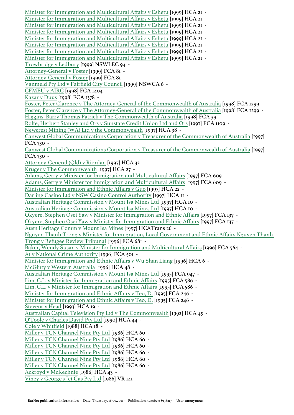[Minister for Immigration and Multicultural Affairs v Eshetu](https://jade.io/article/68120) [1999] HCA 21 - [Minister for Immigration and Multicultural Affairs v Eshetu](https://jade.io/article/68120) [1999] HCA 21 - [Minister for Immigration and Multicultural Affairs v Eshetu](https://jade.io/article/68120) [1999] HCA 21 - [Minister for Immigration and Multicultural Affairs v Eshetu](https://jade.io/article/68120) [1999] HCA 21 - [Minister for Immigration and Multicultural Affairs v Eshetu](https://jade.io/article/68120) [1999] HCA 21 - [Minister for Immigration and Multicultural Affairs v Eshetu](https://jade.io/article/68120) [1999] HCA 21 - [Minister for Immigration and Multicultural Affairs v Eshetu](https://jade.io/article/68120) [1999] HCA 21 - [Minister for Immigration and Multicultural Affairs v Eshetu](https://jade.io/article/68120) [1999] HCA 21 - [Trowbridge v Ledbury](https://jade.io/article/163949) [1999] NSWLEC 94 - [Attorney-General v Foster](https://jade.io/article/116299) [1999] FCA 81 - [Attorney-General v Foster](https://jade.io/article/116299) [1999] FCA 81 - [Vanmeld Pty Ltd v Fairfield City Council](https://jade.io/article/181917) [1999] NSWCA 6 - [CFMEU v AIRC](https://jade.io/article/115884) [1998] FCA 1404 - [Kazar v Duus](https://jade.io/article/115838) [1998] FCA 1378 - [Foster, Peter Clarence v The Attorney-General of the Commonwealth of Australia](https://jade.io/article/115736) [1998] FCA 1299 - [Foster, Peter Clarence v The Attorney-General of the Commonwealth of Australia](https://jade.io/article/115736) [1998] FCA 1299 - [Higgins, Barry Thomas Patrick v The Commonwealth of Australia](https://jade.io/article/114596) [1998] FCA 39 - [Rolfe, Herbert Stanley and Ors v Sunstate Credit Union Ltd and Ors](https://jade.io/article/155510) [1997] FCA 1109 - [Newcrest Mining \(WA\) Ltd v the Commonwealth](https://jade.io/article/68005) [1997] HCA 38 - [Canwest Global Communications Corporation v Treasurer of the Commonwealth of Australia](https://jade.io/article/155205) [1997] FCA 730 - [Canwest Global Communications Corporation v Treasurer of the Commonwealth of Australia](https://jade.io/article/155205) [1997] FCA 730 - [Attorney-General \(Qld\) v Riordan](https://jade.io/article/67999) [1997] HCA 32 - [Kruger v The Commonwealth](https://jade.io/article/67993) [1997] HCA 27 - [Adams, Gerry v Minister for Immigration and Multicultural Affairs](https://jade.io/article/155067) [1997] FCA 609 - [Adams, Gerry v Minister for Immigration and Multicultural Affairs](https://jade.io/article/155067) [1997] FCA 609 - [Minister for Immigration and Ethnic Affairs v Guo](https://jade.io/article/67988) [1997] HCA 22 - [Darling Casino Ltd v NSW Casino Control Authority](https://jade.io/article/61497) [1997] HCA 11 - [Australian Heritage Commission v Mount Isa Mines Ltd](https://jade.io/article/61496) [1997] HCA 10 - [Australian Heritage Commission v Mount Isa Mines Ltd](https://jade.io/article/61496) [1997] HCA 10 - [Okyere, Stephen Osei Yaw v Minister for Immigration and Ethnic Affairs](https://jade.io/article/154704) [1997] FCA 137 - [Okyere, Stephen Osei Yaw v Minister for Immigration and Ethnic Affairs](https://jade.io/article/154704) [1997] FCA 137 - [Ausn Heritage Comm v Mount Isa Mines](https://jade.io/article/230943) [1997] HCATrans 26 - [Nguyen Thanh Trong v Minister for Immigration, Local Government and Ethnic Affairs Nguyen Thanh](https://jade.io/article/214274)  [Trong v Refugee Review Tribunal](https://jade.io/article/214274) [1996] FCA 681 - [Baker, Wendy Susan v Minister for Immigration and Multicultural Affairs](https://jade.io/article/328779) [1996] FCA 564 - [A1 v National Crime Authority](https://jade.io/article/214181) [1996] FCA 501 - [Minister for Immigration and Ethnic Affairs v Wu Shan Liang](https://jade.io/article/67977) [1996] HCA 6 -[McGinty v Western Australia](https://jade.io/article/188386) [1996] HCA 48 - [Australian Heritage Commission v Mount Isa Mines Ltd](https://jade.io/article/213814) [1995] FCA 947 - [Lim, C.L. v Minister for Immigration and Ethnic Affairs](https://jade.io/article/213572) [1995] FCA 586 - [Lim, C.L. v Minister for Immigration and Ethnic Affairs](https://jade.io/article/213572) [1995] FCA 586 - [Minister for Immigration and Ethnic Affairs v Teo, D.](https://jade.io/article/213350) [1995] FCA 246 - [Minister for Immigration and Ethnic Affairs v Teo, D.](https://jade.io/article/213350) [1995] FCA 246 - [Stevens v Head](https://jade.io/article/67747) [1993] HCA 19 -[Australian Capital Television Pty Ltd v The Commonwealth](https://jade.io/article/67707) [1992] HCA 45 - [O'Toole v Charles David Pty Ltd](https://jade.io/article/67586) [1990] HCA 44 - [Cole v Whitfield](https://jade.io/article/67418) [1988] HCA 18 - [Miller v TCN Channel Nine Pty Ltd](https://jade.io/article/67311) [1986] HCA 60 - [Miller v TCN Channel Nine Pty Ltd](https://jade.io/article/67311) [1986] HCA 60 - [Miller v TCN Channel Nine Pty Ltd](https://jade.io/article/67311) [1986] HCA 60 - [Miller v TCN Channel Nine Pty Ltd](https://jade.io/article/67311) [1986] HCA 60 - [Miller v TCN Channel Nine Pty Ltd](https://jade.io/article/67311) [1986] HCA 60 - [Miller v TCN Channel Nine Pty Ltd](https://jade.io/article/67311) [1986] HCA 60 - [Ackroyd v McKechnie](https://jade.io/article/67292) [1986] HCA 43 - [Viney v George's Jet Gas Pty Ltd](https://jade.io/article/539557) [1986] VR 141 -